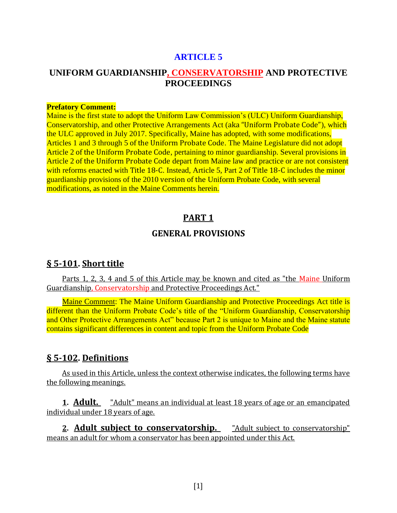#### **ARTICLE 5**

### **UNIFORM GUARDIANSHIP, CONSERVATORSHIP AND PROTECTIVE PROCEEDINGS**

#### **Prefatory Comment:**

Maine is the first state to adopt the Uniform Law Commission's (ULC) Uniform Guardianship, Conservatorship, and other Protective Arrangements Act (aka "Uniform Probate Code"), which the ULC approved in July 2017. Specifically, Maine has adopted, with some modifications, Articles 1 and 3 through 5 of the Uniform Probate Code. The Maine Legislature did not adopt Article 2 of the Uniform Probate Code, pertaining to minor guardianship. Several provisions in Article 2 of the Uniform Probate Code depart from Maine law and practice or are not consistent with reforms enacted with Title 18-C. Instead, Article 5, Part 2 of Title 18-C includes the minor guardianship provisions of the 2010 version of the Uniform Probate Code, with several modifications, as noted in the Maine Comments herein.

#### **PART 1**

#### **GENERAL PROVISIONS**

#### **§ 5-101. Short title**

Parts 1, 2, 3, 4 and 5 of this Article may be known and cited as "the Maine Uniform Guardianship, Conservatorship and Protective Proceedings Act."

Maine Comment: The Maine Uniform Guardianship and Protective Proceedings Act title is different than the Uniform Probate Code's title of the "Uniform Guardianship, Conservatorship and Other Protective Arrangements Act" because Part 2 is unique to Maine and the Maine statute contains significant differences in content and topic from the Uniform Probate Code

#### **§ 5-102. Definitions**

As used in this Article, unless the context otherwise indicates, the following terms have the following meanings.

**1. Adult.** "Adult" means an individual at least 18 years of age or an emancipated individual under 18 years of age.

**2. Adult subject to conservatorship.** "Adult subject to conservatorship" means an adult for whom a conservator has been appointed under this Act.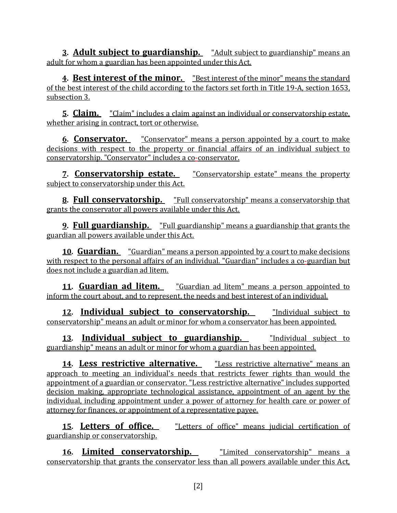**3. Adult subject to guardianship.** "Adult subject to guardianship" means an adult for whom a guardian has been appointed under this Act.

**4. Best interest of the minor.** "Best interest of the minor" means the standard of the best interest of the child according to the factors set forth in Title 19-A, section 1653, subsection 3.

**5. Claim.** "Claim" includes a claim against an individual or conservatorship estate, whether arising in contract, tort or otherwise.

**6. Conservator.** "Conservator" means a person appointed by a court to make decisions with respect to the property or financial affairs of an individual subject to conservatorship. "Conservator" includes a co-conservator.

**7. Conservatorship estate.** "Conservatorship estate" means the property subject to conservatorship under this Act.

**8. Full conservatorship.** "Full conservatorship" means a conservatorship that grants the conservator all powers available under this Act.

**9. Full guardianship.** "Full guardianship" means a guardianship that grants the guardian all powers available under this Act.

**10. Guardian.** "Guardian" means a person appointed by a court to make decisions with respect to the personal affairs of an individual. "Guardian" includes a co-guardian but does not include a guardian ad litem.

**11. Guardian ad litem.** "Guardian ad litem" means a person appointed to inform the court about, and to represent, the needs and best interest of an individual.

**12. Individual subject to conservatorship.** "Individual subject to conservatorship" means an adult or minor for whom a conservator has been appointed.

**13. Individual subject to guardianship.** "Individual subject to guardianship" means an adult or minor for whom a guardian has been appointed.

**14. Less restrictive alternative.** "Less restrictive alternative" means an approach to meeting an individual's needs that restricts fewer rights than would the appointment of a guardian or conservator. "Less restrictive alternative" includes supported decision making, appropriate technological assistance, appointment of an agent by the individual, including appointment under a power of attorney for health care or power of attorney for finances, or appointment of a representative payee.

**15. Letters of office.** "Letters of office" means judicial certification of guardianship or conservatorship.

**16. Limited conservatorship.** "Limited conservatorship" means a conservatorship that grants the conservator less than all powers available under this Act,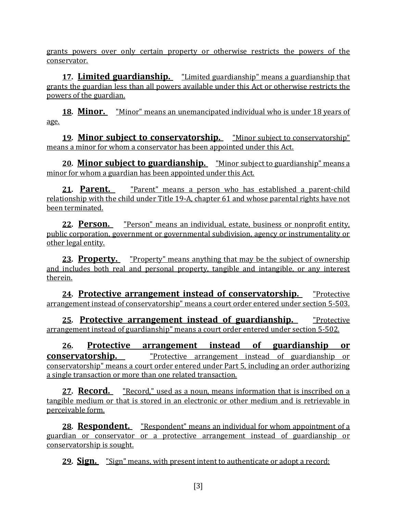grants powers over only certain property or otherwise restricts the powers of the conservator.

**17. Limited guardianship.** "Limited guardianship" means a guardianship that grants the guardian less than all powers available under this Act or otherwise restricts the powers of the guardian.

**18. Minor.** "Minor" means an unemancipated individual who is under 18 years of age.

**19. Minor subject to conservatorship.** "Minor subject to conservatorship" means a minor for whom a conservator has been appointed under this Act.

**20. Minor subject to guardianship.** "Minor subject to guardianship" means a minor for whom a guardian has been appointed under this Act.

**21. Parent.** "Parent" means a person who has established a parent-child relationship with the child under Title 19-A, chapter 61 and whose parental rights have not been terminated.

**22. Person.** "Person" means an individual, estate, business or nonprofit entity, public corporation, government or governmental subdivision, agency or instrumentality or other legal entity.

**23. Property.** "Property" means anything that may be the subject of ownership and includes both real and personal property, tangible and intangible, or any interest therein.

**24. Protective arrangement instead of conservatorship.** "Protective arrangement instead of conservatorship" means a court order entered under section 5-503.

**25. Protective arrangement instead of guardianship.** "Protective arrangement instead of guardianship" means a court order entered under section 5-502.

**26. Protective arrangement instead of guardianship or conservatorship. "Protective arrangement instead of guardianship or** conservatorship" means a court order entered under Part 5, including an order authorizing a single transaction or more than one related transaction.

**27. Record.** "Record," used as a noun, means information that is inscribed on a tangible medium or that is stored in an electronic or other medium and is retrievable in perceivable form.

**28. Respondent.** "Respondent" means an individual for whom appointment of a guardian or conservator or a protective arrangement instead of guardianship or conservatorship is sought.

**29. Sign.** "Sign" means, with present intent to authenticate or adopt a record: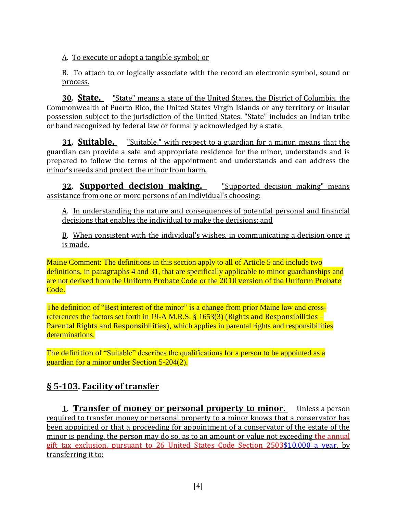A. To execute or adopt a tangible symbol; or

B. To attach to or logically associate with the record an electronic symbol, sound or process.

**30. State.** "State" means a state of the United States, the District of Columbia, the Commonwealth of Puerto Rico, the United States Virgin Islands or any territory or insular possession subject to the jurisdiction of the United States. "State" includes an Indian tribe or band recognized by federal law or formally acknowledged by a state.

**31. Suitable.** "Suitable," with respect to a guardian for a minor, means that the guardian can provide a safe and appropriate residence for the minor, understands and is prepared to follow the terms of the appointment and understands and can address the minor's needs and protect the minor from harm.

**32. Supported decision making.** "Supported decision making" means assistance from one or more persons of an individual's choosing:

A. In understanding the nature and consequences of potential personal and financial decisions that enables the individual to make the decisions; and

B. When consistent with the individual's wishes, in communicating a decision once it is made.

Maine Comment: The definitions in this section apply to all of Article 5 and include two definitions, in paragraphs 4 and 31, that are specifically applicable to minor guardianships and are not derived from the Uniform Probate Code or the 2010 version of the Uniform Probate Code.

The definition of "Best interest of the minor" is a change from prior Maine law and crossreferences the factors set forth in 19-A M.R.S.  $\S$  1653(3) (Rights and Responsibilities – Parental Rights and Responsibilities), which applies in parental rights and responsibilities determinations.

The definition of "Suitable" describes the qualifications for a person to be appointed as a guardian for a minor under Section 5-204(2).

# **§ 5-103. Facility of transfer**

**1. Transfer of money or personal property to minor.** Unless a person required to transfer money or personal property to a minor knows that a conservator has been appointed or that a proceeding for appointment of a conservator of the estate of the minor is pending, the person may do so, as to an amount or value not exceeding the annual gift tax exclusion, pursuant to 26 United States Code Section 2503\$10,000 a year, by transferring it to: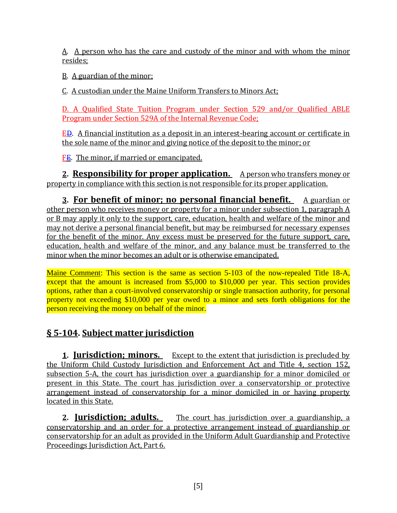A. A person who has the care and custody of the minor and with whom the minor resides;

B. A guardian of the minor;

C. A custodian under the Maine Uniform Transfers to Minors Act;

D. A Qualified State Tuition Program under Section 529 and/or Qualified ABLE Program under Section 529A of the Internal Revenue Code;

ED. A financial institution as a deposit in an interest-bearing account or certificate in the sole name of the minor and giving notice of the deposit to the minor; or

FE. The minor, if married or emancipated.

**2. Responsibility for proper application.** A person who transfers money or property in compliance with this section is not responsible for its proper application.

**3. For benefit of minor; no personal financial benefit.** A guardian or other person who receives money or property for a minor under subsection 1, paragraph A or B may apply it only to the support, care, education, health and welfare of the minor and may not derive a personal financial benefit, but may be reimbursed for necessary expenses for the benefit of the minor. Any excess must be preserved for the future support, care, education, health and welfare of the minor, and any balance must be transferred to the minor when the minor becomes an adult or is otherwise emancipated.

Maine Comment: This section is the same as section 5-103 of the now-repealed Title 18-A, except that the amount is increased from \$5,000 to \$10,000 per year. This section provides options, rather than a court-involved conservatorship or single transaction authority, for personal property not exceeding \$10,000 per year owed to a minor and sets forth obligations for the person receiving the money on behalf of the minor.

## **§ 5-104. Subject matter jurisdiction**

**1. Jurisdiction; minors.** Except to the extent that jurisdiction is precluded by the Uniform Child Custody Jurisdiction and Enforcement Act and Title 4, section 152, subsection 5-A, the court has jurisdiction over a guardianship for a minor domiciled or present in this State. The court has jurisdiction over a conservatorship or protective arrangement instead of conservatorship for a minor domiciled in or having property located in this State.

**2. Jurisdiction; adults.** The court has jurisdiction over a guardianship, a conservatorship and an order for a protective arrangement instead of guardianship or conservatorship for an adult as provided in the Uniform Adult Guardianship and Protective Proceedings Jurisdiction Act, Part 6.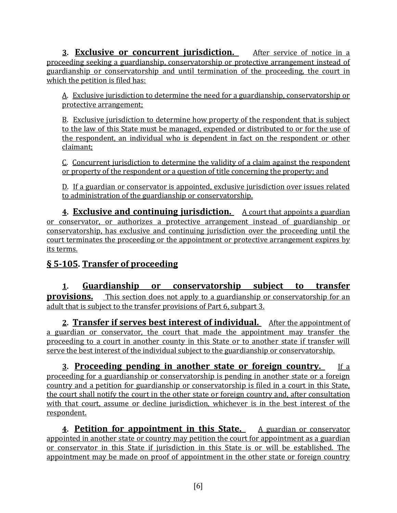**3. Exclusive or concurrent jurisdiction.** After service of notice in a proceeding seeking a guardianship, conservatorship or protective arrangement instead of guardianship or conservatorship and until termination of the proceeding, the court in which the petition is filed has:

A. Exclusive jurisdiction to determine the need for a guardianship, conservatorship or protective arrangement;

B. Exclusive jurisdiction to determine how property of the respondent that is subject to the law of this State must be managed, expended or distributed to or for the use of the respondent, an individual who is dependent in fact on the respondent or other claimant;

C. Concurrent jurisdiction to determine the validity of a claim against the respondent or property of the respondent or a question of title concerning the property; and

D. If a guardian or conservator is appointed, exclusive jurisdiction over issues related to administration of the guardianship or conservatorship.

**4. Exclusive and continuing jurisdiction.** A court that appoints a guardian or conservator, or authorizes a protective arrangement instead of guardianship or conservatorship, has exclusive and continuing jurisdiction over the proceeding until the court terminates the proceeding or the appointment or protective arrangement expires by its terms.

# **§ 5-105. Transfer of proceeding**

**1. Guardianship or conservatorship subject to transfer provisions.** This section does not apply to a guardianship or conservatorship for an adult that is subject to the transfer provisions of Part 6, subpart 3.

**2. Transfer if serves best interest of individual.** After the appointment of a guardian or conservator, the court that made the appointment may transfer the proceeding to a court in another county in this State or to another state if transfer will serve the best interest of the individual subject to the guardianship or conservatorship.

**3. Proceeding pending in another state or foreign country.** If a proceeding for a guardianship or conservatorship is pending in another state or a foreign country and a petition for guardianship or conservatorship is filed in a court in this State, the court shall notify the court in the other state or foreign country and, after consultation with that court, assume or decline jurisdiction, whichever is in the best interest of the respondent.

**4. Petition for appointment in this State.** A guardian or conservator appointed in another state or country may petition the court for appointment as a guardian or conservator in this State if jurisdiction in this State is or will be established. The appointment may be made on proof of appointment in the other state or foreign country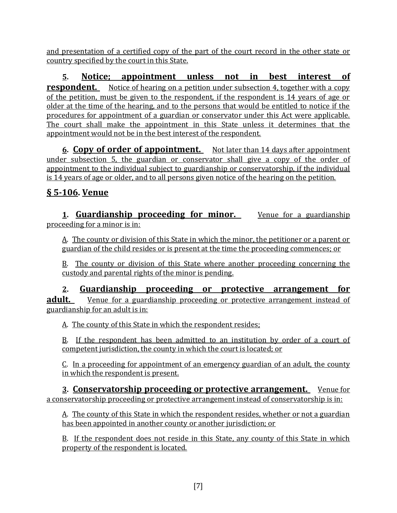and presentation of a certified copy of the part of the court record in the other state or country specified by the court in this State.

**5. Notice; appointment unless not in best interest of respondent.** Notice of hearing on a petition under subsection 4, together with a copy of the petition, must be given to the respondent, if the respondent is 14 years of age or older at the time of the hearing, and to the persons that would be entitled to notice if the procedures for appointment of a guardian or conservator under this Act were applicable. The court shall make the appointment in this State unless it determines that the appointment would not be in the best interest of the respondent.

**6. Copy of order of appointment.** Not later than 14 days after appointment under subsection 5, the guardian or conservator shall give a copy of the order of appointment to the individual subject to guardianship or conservatorship, if the individual is 14 years of age or older, and to all persons given notice of the hearing on the petition.

## **§ 5-106. Venue**

**1. Guardianship proceeding for minor.** Venue for a guardianship proceeding for a minor is in:

A. The county or division of this State in which the minor, the petitioner or a parent or guardian of the child resides or is present at the time the proceeding commences; or

B. The county or division of this State where another proceeding concerning the custody and parental rights of the minor is pending.

**2. Guardianship proceeding or protective arrangement for adult.** Venue for a guardianship proceeding or protective arrangement instead of guardianship for an adult is in:

A. The county of this State in which the respondent resides;

B. If the respondent has been admitted to an institution by order of a court of competent jurisdiction, the county in which the court is located; or

C. In a proceeding for appointment of an emergency guardian of an adult, the county in which the respondent is present.

**3. Conservatorship proceeding or protective arrangement.** Venue for a conservatorship proceeding or protective arrangement instead of conservatorship is in:

A. The county of this State in which the respondent resides, whether or not a guardian has been appointed in another county or another jurisdiction; or

B. If the respondent does not reside in this State, any county of this State in which property of the respondent is located.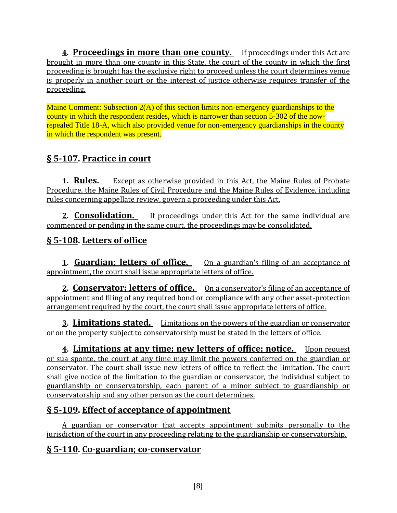**4. Proceedings in more than one county.** If proceedings under this Act are brought in more than one county in this State, the court of the county in which the first proceeding is brought has the exclusive right to proceed unless the court determines venue is properly in another court or the interest of justice otherwise requires transfer of the proceeding.

Maine Comment: Subsection 2(A) of this section limits non-emergency guardianships to the county in which the respondent resides, which is narrower than section 5-302 of the nowrepealed Title 18-A, which also provided venue for non-emergency guardianships in the county in which the respondent was present.

## **§ 5-107. Practice in court**

**1. Rules.** Except as otherwise provided in this Act, the Maine Rules of Probate Procedure, the Maine Rules of Civil Procedure and the Maine Rules of Evidence, including rules concerning appellate review, govern a proceeding under this Act.

**2. Consolidation.** If proceedings under this Act for the same individual are commenced or pending in the same court, the proceedings may be consolidated.

## **§ 5-108. Letters of office**

**1. Guardian; letters of office.** On a guardian's filing of an acceptance of appointment, the court shall issue appropriate letters of office.

**2. Conservator; letters of office.** On a conservator's filing of an acceptance of appointment and filing of any required bond or compliance with any other asset-protection arrangement required by the court, the court shall issue appropriate letters of office.

**3. Limitations stated.** Limitations on the powers of the guardian or conservator or on the property subject to conservatorship must be stated in the letters of office.

**<u>4. Limitations at any time; new letters of office; notice. Upon request</u>** or sua sponte, the court at any time may limit the powers conferred on the guardian or conservator. The court shall issue new letters of office to reflect the limitation. The court shall give notice of the limitation to the guardian or conservator, the individual subject to guardianship or conservatorship, each parent of a minor subject to guardianship or conservatorship and any other person as the court determines.

## **§ 5-109. Effect of acceptance of appointment**

A guardian or conservator that accepts appointment submits personally to the jurisdiction of the court in any proceeding relating to the guardianship or conservatorship.

## **§ 5-110. Co-guardian; co-conservator**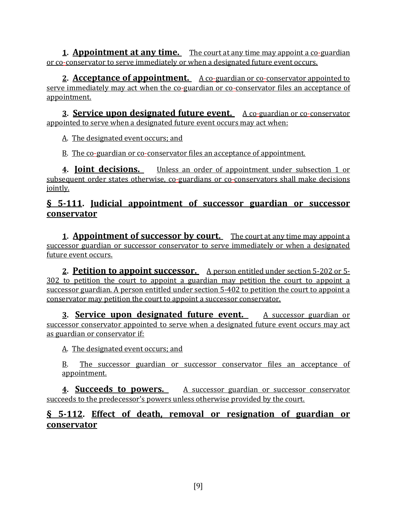**1. Appointment at any time.** The court at any time may appoint a co-guardian or co-conservator to serve immediately or when a designated future event occurs.

**2. Acceptance of appointment.** A co-guardian or co-conservator appointed to serve immediately may act when the co-guardian or co-conservator files an acceptance of appointment.

**3. Service upon designated future event.** A co-guardian or co-conservator appointed to serve when a designated future event occurs may act when:

A. The designated event occurs; and

B. The co-guardian or co-conservator files an acceptance of appointment.

**4. Joint decisions.** Unless an order of appointment under subsection 1 or subsequent order states otherwise, co-guardians or co-conservators shall make decisions jointly.

### **§ 5-111. Judicial appointment of successor guardian or successor conservator**

**1. Appointment of successor by court.** The court at any time may appoint a successor guardian or successor conservator to serve immediately or when a designated future event occurs.

**2. Petition to appoint successor.** A person entitled under section 5-202 or 5- 302 to petition the court to appoint a guardian may petition the court to appoint a successor guardian. A person entitled under section 5-402 to petition the court to appoint a conservator may petition the court to appoint a successor conservator.

**3. Service upon designated future event.** A successor guardian or successor conservator appointed to serve when a designated future event occurs may act as guardian or conservator if:

A. The designated event occurs; and

B. The successor guardian or successor conservator files an acceptance of appointment.

**4. Succeeds to powers.** A successor guardian or successor conservator succeeds to the predecessor's powers unless otherwise provided by the court.

## **§ 5-112. Effect of death, removal or resignation of guardian or conservator**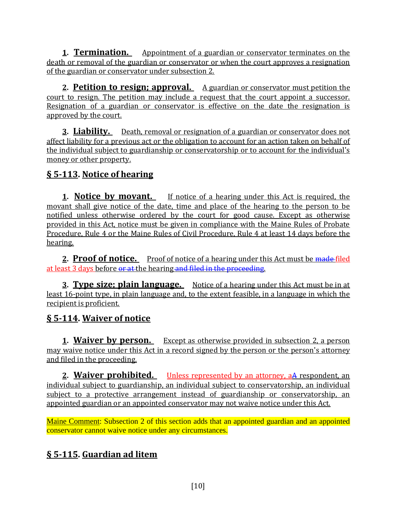**1. Termination.** Appointment of a guardian or conservator terminates on the death or removal of the guardian or conservator or when the court approves a resignation of the guardian or conservator under subsection 2.

**2. Petition to resign; approval.** A guardian or conservator must petition the court to resign. The petition may include a request that the court appoint a successor. Resignation of a guardian or conservator is effective on the date the resignation is approved by the court.

**3. Liability.** Death, removal or resignation of a guardian or conservator does not affect liability for a previous act or the obligation to account for an action taken on behalf of the individual subject to guardianship or conservatorship or to account for the individual's money or other property.

## **§ 5-113. Notice of hearing**

**1. Notice by movant.** If notice of a hearing under this Act is required, the movant shall give notice of the date, time and place of the hearing to the person to be notified unless otherwise ordered by the court for good cause. Except as otherwise provided in this Act, notice must be given in compliance with the Maine Rules of Probate Procedure, Rule 4 or the Maine Rules of Civil Procedure, Rule 4 at least 14 days before the hearing.

**2. Proof of notice.** Proof of notice of a hearing under this Act must be madefiled at least 3 days before or at the hearing and filed in the proceeding.

**<u>3. Type size; plain language.** Notice of a hearing under this Act must be in at</u> least 16-point type, in plain language and, to the extent feasible, in a language in which the recipient is proficient.

## **§ 5-114. Waiver of notice**

**1. Waiver by person.** Except as otherwise provided in subsection 2, a person may waive notice under this Act in a record signed by the person or the person's attorney and filed in the proceeding.

**2. Waiver prohibited.** Unless represented by an attorney, aA respondent, an individual subject to guardianship, an individual subject to conservatorship, an individual subject to a protective arrangement instead of guardianship or conservatorship, an appointed guardian or an appointed conservator may not waive notice under this Act.

Maine Comment: Subsection 2 of this section adds that an appointed guardian and an appointed conservator cannot waive notice under any circumstances.

## **§ 5-115. Guardian ad litem**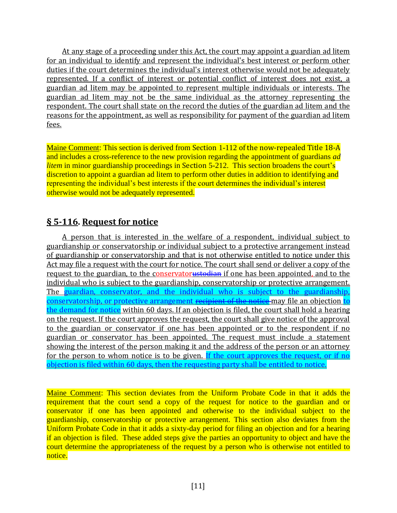At any stage of a proceeding under this Act, the court may appoint a guardian ad litem for an individual to identify and represent the individual's best interest or perform other duties if the court determines the individual's interest otherwise would not be adequately represented. If a conflict of interest or potential conflict of interest does not exist, a guardian ad litem may be appointed to represent multiple individuals or interests. The guardian ad litem may not be the same individual as the attorney representing the respondent. The court shall state on the record the duties of the guardian ad litem and the reasons for the appointment, as well as responsibility for payment of the guardian ad litem fees.

Maine Comment: This section is derived from Section 1-112 of the now-repealed Title 18-A and includes a cross-reference to the new provision regarding the appointment of guardians *ad litem* in minor guardianship proceedings in Section 5-212. This section broadens the court's discretion to appoint a guardian ad litem to perform other duties in addition to identifying and representing the individual's best interests if the court determines the individual's interest otherwise would not be adequately represented.

## **§ 5-116. Request for notice**

A person that is interested in the welfare of a respondent, individual subject to guardianship or conservatorship or individual subject to a protective arrangement instead of guardianship or conservatorship and that is not otherwise entitled to notice under this Act may file a request with the court for notice. The court shall send or deliver a copy of the request to the guardian, to the conservatorustodian if one has been appointed, and to the individual who is subject to the guardianship, conservatorship or protective arrangement. The guardian, conservator, and the individual who is subject to the guardianship, conservatorship, or protective arrangement recipient of the notice may file an objection to the demand for notice within 60 days. If an objection is filed, the court shall hold a hearing on the request. If the court approves the request, the court shall give notice of the approval to the guardian or conservator if one has been appointed or to the respondent if no guardian or conservator has been appointed. The request must include a statement showing the interest of the person making it and the address of the person or an attorney for the person to whom notice is to be given. If the court approves the request, or if no objection is filed within 60 days, then the requesting party shall be entitled to notice.

Maine Comment: This section deviates from the Uniform Probate Code in that it adds the requirement that the court send a copy of the request for notice to the guardian and or conservator if one has been appointed and otherwise to the individual subject to the guardianship, conservatorship or protective arrangement. This section also deviates from the Uniform Probate Code in that it adds a sixty-day period for filing an objection and for a hearing if an objection is filed. These added steps give the parties an opportunity to object and have the court determine the appropriateness of the request by a person who is otherwise not entitled to notice.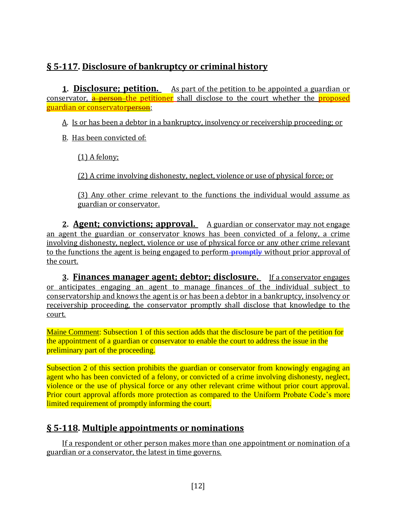## **§ 5-117. Disclosure of bankruptcy or criminal history**

**1. Disclosure; petition.** As part of the petition to be appointed a guardian or conservator, a person the petitioner shall disclose to the court whether the proposed guardian or conservator<del>person</del>:

A. Is or has been a debtor in a bankruptcy, insolvency or receivership proceeding; or

B. Has been convicted of:

(1) A felony;

(2) A crime involving dishonesty, neglect, violence or use of physical force; or

(3) Any other crime relevant to the functions the individual would assume as guardian or conservator.

**2. Agent; convictions; approval.** A guardian or conservator may not engage an agent the guardian or conservator knows has been convicted of a felony, a crime involving dishonesty, neglect, violence or use of physical force or any other crime relevant to the functions the agent is being engaged to perform promptly without prior approval of the court.

**3. Finances manager agent; debtor; disclosure.** If a conservator engages or anticipates engaging an agent to manage finances of the individual subject to conservatorship and knows the agent is or has been a debtor in a bankruptcy, insolvency or receivership proceeding, the conservator promptly shall disclose that knowledge to the court.

Maine Comment: Subsection 1 of this section adds that the disclosure be part of the petition for the appointment of a guardian or conservator to enable the court to address the issue in the preliminary part of the proceeding.

Subsection 2 of this section prohibits the guardian or conservator from knowingly engaging an agent who has been convicted of a felony, or convicted of a crime involving dishonesty, neglect, violence or the use of physical force or any other relevant crime without prior court approval. Prior court approval affords more protection as compared to the Uniform Probate Code's more limited requirement of promptly informing the court.

## **§ 5-118. Multiple appointments or nominations**

If a respondent or other person makes more than one appointment or nomination of a guardian or a conservator, the latest in time governs.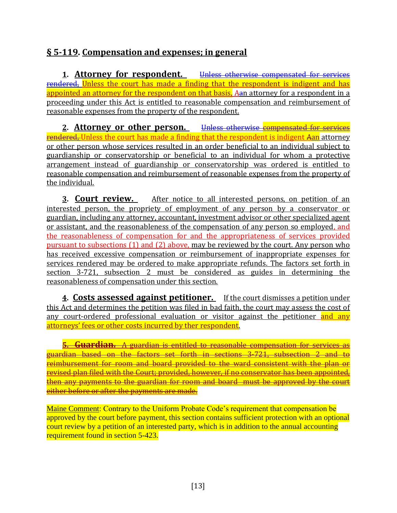## **§ 5-119. Compensation and expenses; in general**

**1. Attorney for respondent.** Unless otherwise compensated for services rendered, Unless the court has made a finding that the respondent is indigent and has appointed an attorney for the respondent on that basis, Aan attorney for a respondent in a proceeding under this Act is entitled to reasonable compensation and reimbursement of reasonable expenses from the property of the respondent.

**2. Attorney or other person.** Unless otherwise compensated for services rendered, Unless the court has made a finding that the respondent is indigent Aan attorney or other person whose services resulted in an order beneficial to an individual subject to guardianship or conservatorship or beneficial to an individual for whom a protective arrangement instead of guardianship or conservatorship was ordered is entitled to reasonable compensation and reimbursement of reasonable expenses from the property of the individual.

**3. Court review.** After notice to all interested persons, on petition of an interested person, the propriety of employment of any person by a conservator or guardian, including any attorney, accountant, investment advisor or other specialized agent or assistant, and the reasonableness of the compensation of any person so employed, and the reasonableness of compensation for and the appropriateness of services provided pursuant to subsections (1) and (2) above, may be reviewed by the court. Any person who has received excessive compensation or reimbursement of inappropriate expenses for services rendered may be ordered to make appropriate refunds. The factors set forth in section 3-721, subsection 2 must be considered as guides in determining the reasonableness of compensation under this section.

**4. Costs assessed against petitioner.** If the court dismisses a petition under this Act and determines the petition was filed in bad faith, the court may assess the cost of any court-ordered professional evaluation or visitor against the petitioner and any attorneys' fees or other costs incurred by ther respondent.

**5. Guardian.** A guardian is entitled to reasonable compensation for services as guardian based on the factors set forth in sections 3-721, subsection 2 and to reimbursement for room and board provided to the ward consistent with the plan or revised plan filed with the Court; provided, however, if no conservator has been appointed, then any payments to the guardian for room and board must be approved by the court either before or after the payments are made.

Maine Comment: Contrary to the Uniform Probate Code's requirement that compensation be approved by the court before payment, this section contains sufficient protection with an optional court review by a petition of an interested party, which is in addition to the annual accounting requirement found in section 5-423.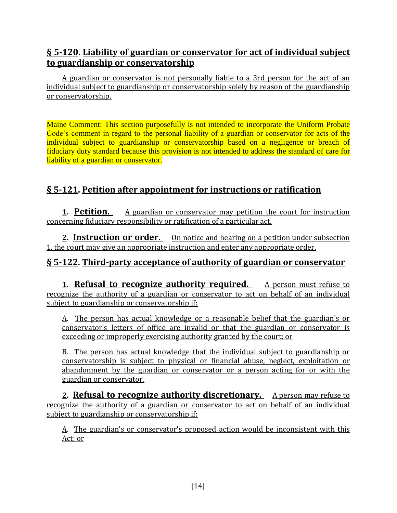## **§ 5-120. Liability of guardian or conservator for act of individual subject to guardianship or conservatorship**

A guardian or conservator is not personally liable to a 3rd person for the act of an individual subject to guardianship or conservatorship solely by reason of the guardianship or conservatorship.

Maine Comment: This section purposefully is not intended to incorporate the Uniform Probate Code's comment in regard to the personal liability of a guardian or conservator for acts of the individual subject to guardianship or conservatorship based on a negligence or breach of fiduciary duty standard because this provision is not intended to address the standard of care for liability of a guardian or conservator.

## **§ 5-121. Petition after appointment for instructions or ratification**

**1. Petition.** A guardian or conservator may petition the court for instruction concerning fiduciary responsibility or ratification of a particular act.

**2. Instruction or order.** On notice and hearing on a petition under subsection 1, the court may give an appropriate instruction and enter any appropriate order.

## **§ 5-122. Third-party acceptance of authority of guardian or conservator**

**1. Refusal to recognize authority required.** A person must refuse to recognize the authority of a guardian or conservator to act on behalf of an individual subject to guardianship or conservatorship if:

A. The person has actual knowledge or a reasonable belief that the guardian's or conservator's letters of office are invalid or that the guardian or conservator is exceeding or improperly exercising authority granted by the court; or

B. The person has actual knowledge that the individual subject to guardianship or conservatorship is subject to physical or financial abuse, neglect, exploitation or abandonment by the guardian or conservator or a person acting for or with the guardian or conservator.

2. **Refusal to recognize authority discretionary.** A person may refuse to recognize the authority of a guardian or conservator to act on behalf of an individual subject to guardianship or conservatorship if:

A. The guardian's or conservator's proposed action would be inconsistent with this Act; or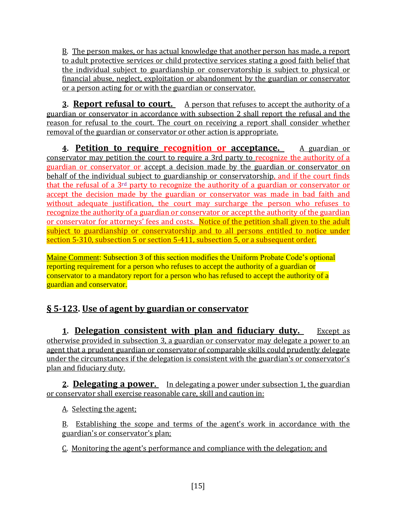B. The person makes, or has actual knowledge that another person has made, a report to adult protective services or child protective services stating a good faith belief that the individual subject to guardianship or conservatorship is subject to physical or financial abuse, neglect, exploitation or abandonment by the guardian or conservator or a person acting for or with the guardian or conservator.

**3. Report refusal to court.** A person that refuses to accept the authority of a guardian or conservator in accordance with subsection 2 shall report the refusal and the reason for refusal to the court. The court on receiving a report shall consider whether removal of the guardian or conservator or other action is appropriate.

**4. Petition to require recognition or acceptance.** A guardian or conservator may petition the court to require a 3rd party to recognize the authority of a guardian or conservator or accept a decision made by the guardian or conservator on behalf of the individual subject to guardianship or conservatorship, and if the court finds that the refusal of a 3rd party to recognize the authority of a guardian or conservator or accept the decision made by the guardian or conservator was made in bad faith and without adequate justification, the court may surcharge the person who refuses to recognize the authority of a guardian or conservator or accept the authority of the guardian or conservator for attorneys' fees and costs. Notice of the petition shall given to the adult subject to guardianship or conservatorship and to all persons entitled to notice under section 5-310, subsection 5 or section 5-411, subsection 5, or a subsequent order.

Maine Comment: Subsection 3 of this section modifies the Uniform Probate Code's optional reporting requirement for a person who refuses to accept the authority of a guardian or conservator to a mandatory report for a person who has refused to accept the authority of a guardian and conservator.

# **§ 5-123. Use of agent by guardian or conservator**

**1. Delegation consistent with plan and fiduciary duty.** Except as otherwise provided in subsection 3, a guardian or conservator may delegate a power to an agent that a prudent guardian or conservator of comparable skills could prudently delegate under the circumstances if the delegation is consistent with the guardian's or conservator's plan and fiduciary duty.

**2. Delegating a power.** In delegating a power under subsection 1, the guardian or conservator shall exercise reasonable care, skill and caution in:

A. Selecting the agent;

B. Establishing the scope and terms of the agent's work in accordance with the guardian's or conservator's plan;

C. Monitoring the agent's performance and compliance with the delegation; and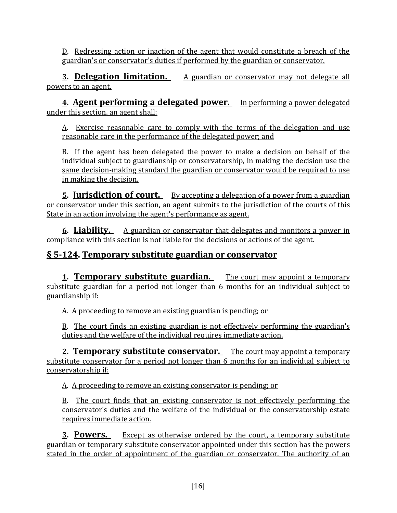D. Redressing action or inaction of the agent that would constitute a breach of the guardian's or conservator's duties if performed by the guardian or conservator.

**3. Delegation limitation.** A guardian or conservator may not delegate all powers to an agent.

**4. Agent performing a delegated power.** In performing a power delegated under this section, an agent shall:

A. Exercise reasonable care to comply with the terms of the delegation and use reasonable care in the performance of the delegated power; and

B. If the agent has been delegated the power to make a decision on behalf of the individual subject to guardianship or conservatorship, in making the decision use the same decision-making standard the guardian or conservator would be required to use in making the decision.

**<u>5. <b>Jurisdiction of court.** By accepting a delegation of a power from a guardian</u> or conservator under this section, an agent submits to the jurisdiction of the courts of this State in an action involving the agent's performance as agent.

**6. Liability.** A guardian or conservator that delegates and monitors a power in compliance with this section is not liable for the decisions or actions of the agent.

## **§ 5-124. Temporary substitute guardian or conservator**

**1. Temporary substitute guardian.** The court may appoint a temporary substitute guardian for a period not longer than 6 months for an individual subject to guardianship if:

A. A proceeding to remove an existing guardian is pending; or

B. The court finds an existing guardian is not effectively performing the guardian's duties and the welfare of the individual requires immediate action.

**2. Temporary substitute conservator.** The court may appoint a temporary substitute conservator for a period not longer than 6 months for an individual subject to conservatorship if:

A. A proceeding to remove an existing conservator is pending; or

B. The court finds that an existing conservator is not effectively performing the conservator's duties and the welfare of the individual or the conservatorship estate requires immediate action.

**3. Powers.** Except as otherwise ordered by the court, a temporary substitute guardian or temporary substitute conservator appointed under this section has the powers stated in the order of appointment of the guardian or conservator. The authority of an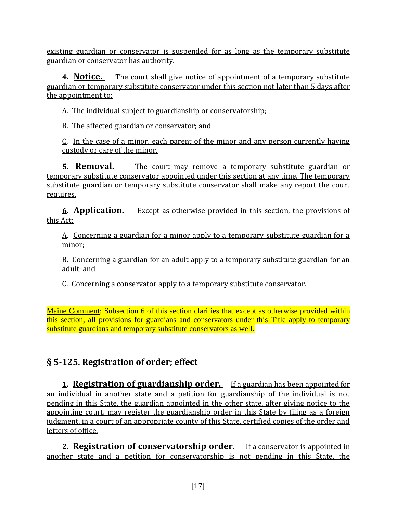existing guardian or conservator is suspended for as long as the temporary substitute guardian or conservator has authority.

**4. Notice.** The court shall give notice of appointment of a temporary substitute guardian or temporary substitute conservator under this section not later than 5 days after the appointment to:

A. The individual subject to guardianship or conservatorship;

B. The affected guardian or conservator; and

C. In the case of a minor, each parent of the minor and any person currently having custody or care of the minor.

**5. Removal.** The court may remove a temporary substitute guardian or temporary substitute conservator appointed under this section at any time. The temporary substitute guardian or temporary substitute conservator shall make any report the court requires.

**6. Application.** Except as otherwise provided in this section, the provisions of this Act:

A. Concerning a guardian for a minor apply to a temporary substitute guardian for a minor;

B. Concerning a guardian for an adult apply to a temporary substitute guardian for an adult; and

C. Concerning a conservator apply to a temporary substitute conservator.

Maine Comment: Subsection 6 of this section clarifies that except as otherwise provided within this section, all provisions for guardians and conservators under this Title apply to temporary substitute guardians and temporary substitute conservators as well.

# **§ 5-125. Registration of order; effect**

**1. Registration of guardianship order.** If a guardian has been appointed for an individual in another state and a petition for guardianship of the individual is not pending in this State, the guardian appointed in the other state, after giving notice to the appointing court, may register the guardianship order in this State by filing as a foreign judgment, in a court of an appropriate county of this State, certified copies of the order and letters of office.

**2. Registration of conservatorship order.** If a conservator is appointed in another state and a petition for conservatorship is not pending in this State, the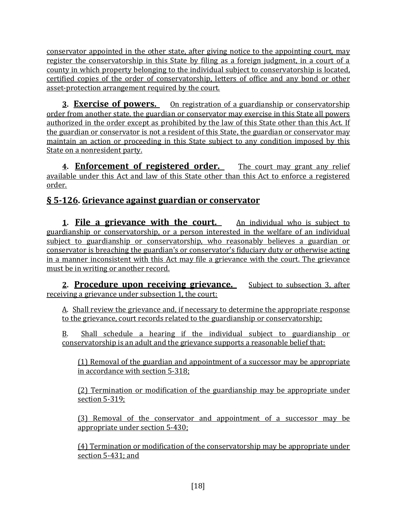conservator appointed in the other state, after giving notice to the appointing court, may register the conservatorship in this State by filing as a foreign judgment, in a court of a county in which property belonging to the individual subject to conservatorship is located, certified copies of the order of conservatorship, letters of office and any bond or other asset-protection arrangement required by the court.

**3. Exercise of powers.** On registration of a guardianship or conservatorship order from another state, the guardian or conservator may exercise in this State all powers authorized in the order except as prohibited by the law of this State other than this Act. If the guardian or conservator is not a resident of this State, the guardian or conservator may maintain an action or proceeding in this State subject to any condition imposed by this State on a nonresident party.

**4. Enforcement of registered order.** The court may grant any relief available under this Act and law of this State other than this Act to enforce a registered order.

# **§ 5-126. Grievance against guardian or conservator**

**1. File a grievance with the court.** An individual who is subject to guardianship or conservatorship, or a person interested in the welfare of an individual subject to guardianship or conservatorship, who reasonably believes a guardian or conservator is breaching the guardian's or conservator's fiduciary duty or otherwise acting in a manner inconsistent with this Act may file a grievance with the court. The grievance must be in writing or another record.

**2. Procedure upon receiving grievance.** Subject to subsection 3, after receiving a grievance under subsection 1, the court:

A. Shall review the grievance and, if necessary to determine the appropriate response to the grievance, court records related to the guardianship or conservatorship;

B. Shall schedule a hearing if the individual subject to guardianship or conservatorship is an adult and the grievance supports a reasonable belief that:

(1) Removal of the guardian and appointment of a successor may be appropriate in accordance with section 5-318;

(2) Termination or modification of the guardianship may be appropriate under section 5-319;

(3) Removal of the conservator and appointment of a successor may be appropriate under section 5-430;

(4) Termination or modification of the conservatorship may be appropriate under section 5-431; and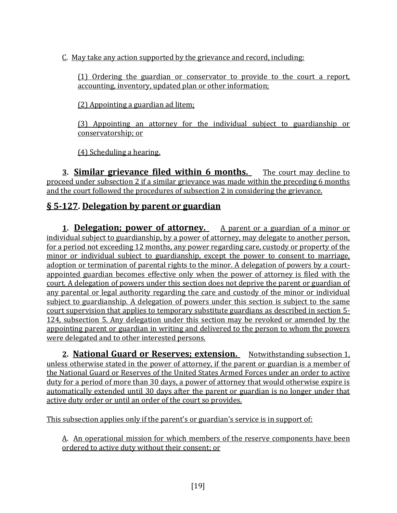C. May take any action supported by the grievance and record, including:

(1) Ordering the guardian or conservator to provide to the court a report, accounting, inventory, updated plan or other information;

(2) Appointing a guardian ad litem;

(3) Appointing an attorney for the individual subject to guardianship or conservatorship; or

(4) Scheduling a hearing.

**3. Similar grievance filed within 6 months.** The court may decline to proceed under subsection 2 if a similar grievance was made within the preceding 6 months and the court followed the procedures of subsection 2 in considering the grievance.

## **§ 5-127. Delegation by parent or guardian**

**1. Delegation; power of attorney.** A parent or a guardian of a minor or individual subject to guardianship, by a power of attorney, may delegate to another person, for a period not exceeding 12 months, any power regarding care, custody or property of the minor or individual subject to guardianship, except the power to consent to marriage, adoption or termination of parental rights to the minor. A delegation of powers by a courtappointed guardian becomes effective only when the power of attorney is filed with the court. A delegation of powers under this section does not deprive the parent or guardian of any parental or legal authority regarding the care and custody of the minor or individual subject to guardianship. A delegation of powers under this section is subject to the same court supervision that applies to temporary substitute guardians as described in section 5- 124, subsection 5. Any delegation under this section may be revoked or amended by the appointing parent or guardian in writing and delivered to the person to whom the powers were delegated and to other interested persons.

2. **National Guard or Reserves; extension.** Notwithstanding subsection 1, unless otherwise stated in the power of attorney, if the parent or guardian is a member of the National Guard or Reserves of the United States Armed Forces under an order to active duty for a period of more than 30 days, a power of attorney that would otherwise expire is automatically extended until 30 days after the parent or guardian is no longer under that active duty order or until an order of the court so provides.

This subsection applies only if the parent's or guardian's service is in support of:

A. An operational mission for which members of the reserve components have been ordered to active duty without their consent; or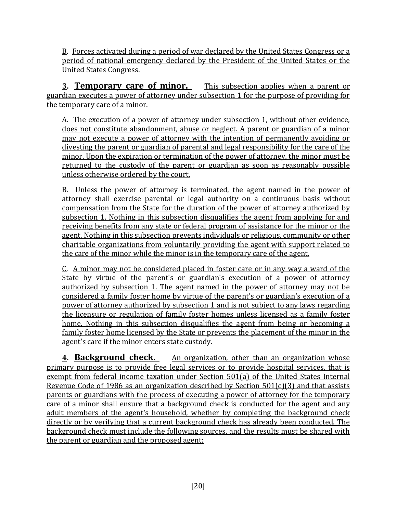B. Forces activated during a period of war declared by the United States Congress or a period of national emergency declared by the President of the United States or the United States Congress.

**3. Temporary care of minor.** This subsection applies when a parent or guardian executes a power of attorney under subsection 1 for the purpose of providing for the temporary care of a minor.

A. The execution of a power of attorney under subsection 1, without other evidence, does not constitute abandonment, abuse or neglect. A parent or guardian of a minor may not execute a power of attorney with the intention of permanently avoiding or divesting the parent or guardian of parental and legal responsibility for the care of the minor. Upon the expiration or termination of the power of attorney, the minor must be returned to the custody of the parent or guardian as soon as reasonably possible unless otherwise ordered by the court.

B. Unless the power of attorney is terminated, the agent named in the power of attorney shall exercise parental or legal authority on a continuous basis without compensation from the State for the duration of the power of attorney authorized by subsection 1. Nothing in this subsection disqualifies the agent from applying for and receiving benefits from any state or federal program of assistance for the minor or the agent. Nothing in this subsection prevents individuals or religious, community or other charitable organizations from voluntarily providing the agent with support related to the care of the minor while the minor is in the temporary care of the agent.

C. A minor may not be considered placed in foster care or in any way a ward of the State by virtue of the parent's or guardian's execution of a power of attorney authorized by subsection 1. The agent named in the power of attorney may not be considered a family foster home by virtue of the parent's or guardian's execution of a power of attorney authorized by subsection 1 and is not subject to any laws regarding the licensure or regulation of family foster homes unless licensed as a family foster home. Nothing in this subsection disqualifies the agent from being or becoming a family foster home licensed by the State or prevents the placement of the minor in the agent's care if the minor enters state custody.

**4. Background check.** An organization, other than an organization whose primary purpose is to provide free legal services or to provide hospital services, that is exempt from federal income taxation under Section 501(a) of the United States Internal Revenue Code of 1986 as an organization described by Section  $501(c)(3)$  and that assists parents or guardians with the process of executing a power of attorney for the temporary care of a minor shall ensure that a background check is conducted for the agent and any adult members of the agent's household, whether by completing the background check directly or by verifying that a current background check has already been conducted. The background check must include the following sources, and the results must be shared with the parent or guardian and the proposed agent: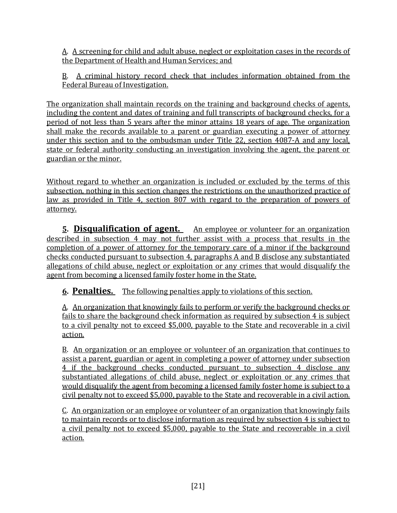A. A screening for child and adult abuse, neglect or exploitation cases in the records of the Department of Health and Human Services; and

B. A criminal history record check that includes information obtained from the Federal Bureau of Investigation.

The organization shall maintain records on the training and background checks of agents, including the content and dates of training and full transcripts of background checks, for a period of not less than 5 years after the minor attains 18 years of age. The organization shall make the records available to a parent or guardian executing a power of attorney under this section and to the ombudsman under Title 22, section 4087-A and any local, state or federal authority conducting an investigation involving the agent, the parent or guardian or the minor.

Without regard to whether an organization is included or excluded by the terms of this subsection, nothing in this section changes the restrictions on the unauthorized practice of law as provided in Title 4, section 807 with regard to the preparation of powers of attorney.

**<u>5. Disqualification of agent.** An employee or volunteer for an organization</u> described in subsection 4 may not further assist with a process that results in the completion of a power of attorney for the temporary care of a minor if the background checks conducted pursuant to subsection 4, paragraphs A and B disclose any substantiated allegations of child abuse, neglect or exploitation or any crimes that would disqualify the agent from becoming a licensed family foster home in the State.

**6. Penalties.** The following penalties apply to violations of this section.

A. An organization that knowingly fails to perform or verify the background checks or fails to share the background check information as required by subsection 4 is subject to a civil penalty not to exceed \$5,000, payable to the State and recoverable in a civil action.

B. An organization or an employee or volunteer of an organization that continues to assist a parent, guardian or agent in completing a power of attorney under subsection 4 if the background checks conducted pursuant to subsection 4 disclose any substantiated allegations of child abuse, neglect or exploitation or any crimes that would disqualify the agent from becoming a licensed family foster home is subject to a civil penalty not to exceed \$5,000, payable to the State and recoverable in a civil action.

C. An organization or an employee or volunteer of an organization that knowingly fails to maintain records or to disclose information as required by subsection 4 is subject to a civil penalty not to exceed \$5,000, payable to the State and recoverable in a civil action.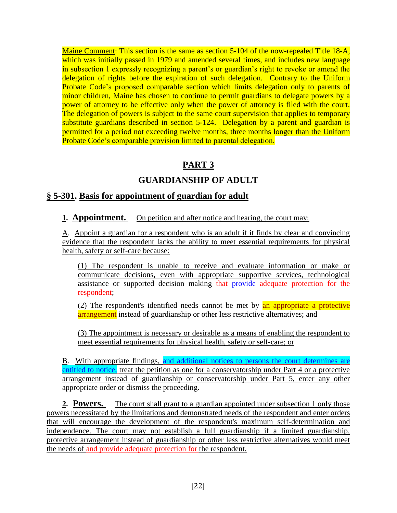Maine Comment: This section is the same as section 5-104 of the now-repealed Title 18-A, which was initially passed in 1979 and amended several times, and includes new language in subsection 1 expressly recognizing a parent's or guardian's right to revoke or amend the delegation of rights before the expiration of such delegation. Contrary to the Uniform Probate Code's proposed comparable section which limits delegation only to parents of minor children, Maine has chosen to continue to permit guardians to delegate powers by a power of attorney to be effective only when the power of attorney is filed with the court. The delegation of powers is subject to the same court supervision that applies to temporary substitute guardians described in section 5-124. Delegation by a parent and guardian is permitted for a period not exceeding twelve months, three months longer than the Uniform Probate Code's comparable provision limited to parental delegation.

## **PART 3**

## **GUARDIANSHIP OF ADULT**

### **§ 5-301. Basis for appointment of guardian for adult**

#### **1. Appointment.** On petition and after notice and hearing, the court may:

A. Appoint a guardian for a respondent who is an adult if it finds by clear and convincing evidence that the respondent lacks the ability to meet essential requirements for physical health, safety or self-care because:

(1) The respondent is unable to receive and evaluate information or make or communicate decisions, even with appropriate supportive services, technological assistance or supported decision making that provide adequate protection for the respondent;

(2) The respondent's identified needs cannot be met by **an appropriate** a protective arrangement instead of guardianship or other less restrictive alternatives; and

(3) The appointment is necessary or desirable as a means of enabling the respondent to meet essential requirements for physical health, safety or self-care; or

B. With appropriate findings, and additional notices to persons the court determines are entitled to notice, treat the petition as one for a conservatorship under Part 4 or a protective arrangement instead of guardianship or conservatorship under Part 5, enter any other appropriate order or dismiss the proceeding.

**2. Powers.** The court shall grant to a guardian appointed under subsection 1 only those powers necessitated by the limitations and demonstrated needs of the respondent and enter orders that will encourage the development of the respondent's maximum self-determination and independence. The court may not establish a full guardianship if a limited guardianship, protective arrangement instead of guardianship or other less restrictive alternatives would meet the needs of and provide adequate protection for the respondent.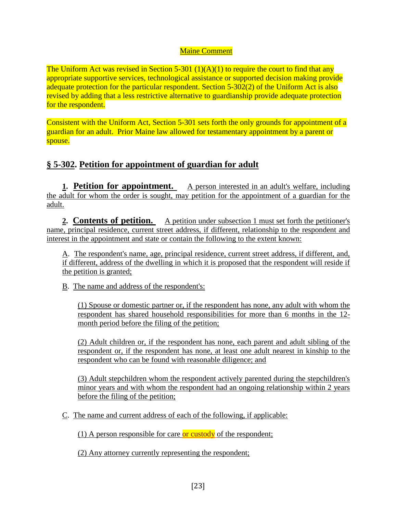#### Maine Comment

The Uniform Act was revised in Section 5-301  $(1)(A)(1)$  to require the court to find that any appropriate supportive services, technological assistance or supported decision making provide adequate protection for the particular respondent. Section 5-302(2) of the Uniform Act is also revised by adding that a less restrictive alternative to guardianship provide adequate protection for the respondent.

Consistent with the Uniform Act, Section 5-301 sets forth the only grounds for appointment of a guardian for an adult. Prior Maine law allowed for testamentary appointment by a parent or spouse.

### **§ 5-302. Petition for appointment of guardian for adult**

**1. Petition for appointment.** A person interested in an adult's welfare, including the adult for whom the order is sought, may petition for the appointment of a guardian for the adult.

**2. Contents of petition.** A petition under subsection 1 must set forth the petitioner's name, principal residence, current street address, if different, relationship to the respondent and interest in the appointment and state or contain the following to the extent known:

A. The respondent's name, age, principal residence, current street address, if different, and, if different, address of the dwelling in which it is proposed that the respondent will reside if the petition is granted;

B. The name and address of the respondent's:

(1) Spouse or domestic partner or, if the respondent has none, any adult with whom the respondent has shared household responsibilities for more than 6 months in the 12 month period before the filing of the petition;

(2) Adult children or, if the respondent has none, each parent and adult sibling of the respondent or, if the respondent has none, at least one adult nearest in kinship to the respondent who can be found with reasonable diligence; and

(3) Adult stepchildren whom the respondent actively parented during the stepchildren's minor years and with whom the respondent had an ongoing relationship within 2 years before the filing of the petition;

C. The name and current address of each of the following, if applicable:

(1) A person responsible for care or custody of the respondent;

(2) Any attorney currently representing the respondent;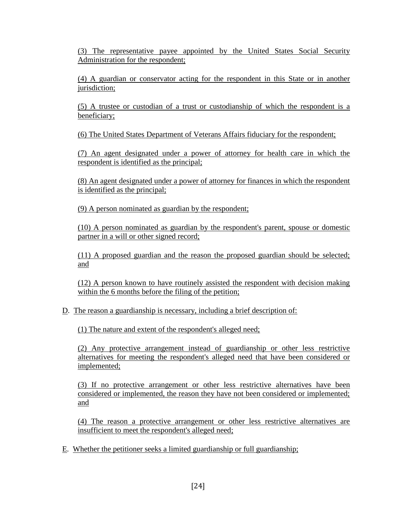(3) The representative payee appointed by the United States Social Security Administration for the respondent;

(4) A guardian or conservator acting for the respondent in this State or in another jurisdiction;

(5) A trustee or custodian of a trust or custodianship of which the respondent is a beneficiary;

(6) The United States Department of Veterans Affairs fiduciary for the respondent;

(7) An agent designated under a power of attorney for health care in which the respondent is identified as the principal;

(8) An agent designated under a power of attorney for finances in which the respondent is identified as the principal;

(9) A person nominated as guardian by the respondent;

(10) A person nominated as guardian by the respondent's parent, spouse or domestic partner in a will or other signed record;

(11) A proposed guardian and the reason the proposed guardian should be selected; and

(12) A person known to have routinely assisted the respondent with decision making within the 6 months before the filing of the petition;

#### D. The reason a guardianship is necessary, including a brief description of:

(1) The nature and extent of the respondent's alleged need;

(2) Any protective arrangement instead of guardianship or other less restrictive alternatives for meeting the respondent's alleged need that have been considered or implemented;

(3) If no protective arrangement or other less restrictive alternatives have been considered or implemented, the reason they have not been considered or implemented; and

(4) The reason a protective arrangement or other less restrictive alternatives are insufficient to meet the respondent's alleged need;

E. Whether the petitioner seeks a limited guardianship or full guardianship;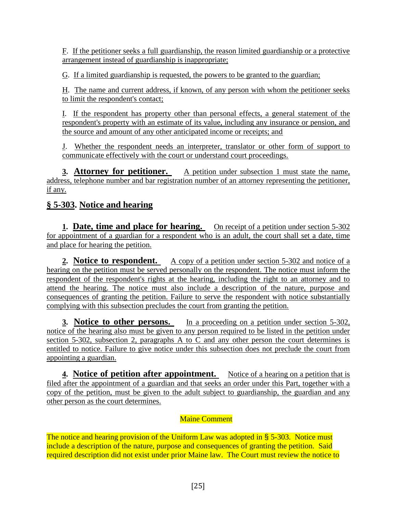F. If the petitioner seeks a full guardianship, the reason limited guardianship or a protective arrangement instead of guardianship is inappropriate;

G. If a limited guardianship is requested, the powers to be granted to the guardian;

H. The name and current address, if known, of any person with whom the petitioner seeks to limit the respondent's contact;

I. If the respondent has property other than personal effects, a general statement of the respondent's property with an estimate of its value, including any insurance or pension, and the source and amount of any other anticipated income or receipts; and

J. Whether the respondent needs an interpreter, translator or other form of support to communicate effectively with the court or understand court proceedings.

**3. Attorney for petitioner.** A petition under subsection 1 must state the name, address, telephone number and bar registration number of an attorney representing the petitioner, if any.

## **§ 5-303. Notice and hearing**

**1. Date, time and place for hearing.** On receipt of a petition under section 5-302 for appointment of a guardian for a respondent who is an adult, the court shall set a date, time and place for hearing the petition.

**2. Notice to respondent.** A copy of a petition under section 5-302 and notice of a hearing on the petition must be served personally on the respondent. The notice must inform the respondent of the respondent's rights at the hearing, including the right to an attorney and to attend the hearing. The notice must also include a description of the nature, purpose and consequences of granting the petition. Failure to serve the respondent with notice substantially complying with this subsection precludes the court from granting the petition.

**3. Notice to other persons.** In a proceeding on a petition under section 5-302, notice of the hearing also must be given to any person required to be listed in the petition under section 5-302, subsection 2, paragraphs A to C and any other person the court determines is entitled to notice. Failure to give notice under this subsection does not preclude the court from appointing a guardian.

**4. Notice of petition after appointment.** Notice of a hearing on a petition that is filed after the appointment of a guardian and that seeks an order under this Part, together with a copy of the petition, must be given to the adult subject to guardianship, the guardian and any other person as the court determines.

#### Maine Comment

The notice and hearing provision of the Uniform Law was adopted in § 5-303. Notice must include a description of the nature, purpose and consequences of granting the petition. Said required description did not exist under prior Maine law. The Court must review the notice to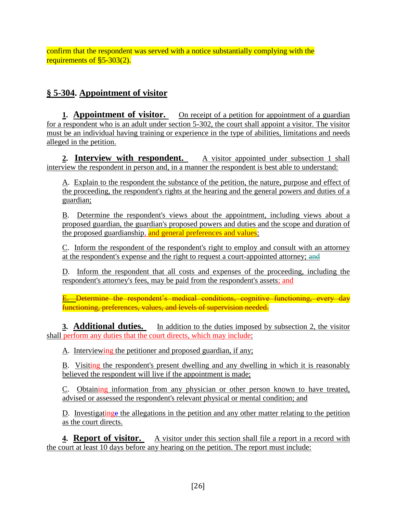confirm that the respondent was served with a notice substantially complying with the requirements of §5-303(2).

## **§ 5-304. Appointment of visitor**

**1. Appointment of visitor.** On receipt of a petition for appointment of a guardian for a respondent who is an adult under section 5-302, the court shall appoint a visitor. The visitor must be an individual having training or experience in the type of abilities, limitations and needs alleged in the petition.

**2. Interview with respondent.** A visitor appointed under subsection 1 shall interview the respondent in person and, in a manner the respondent is best able to understand:

A. Explain to the respondent the substance of the petition, the nature, purpose and effect of the proceeding, the respondent's rights at the hearing and the general powers and duties of a guardian;

B. Determine the respondent's views about the appointment, including views about a proposed guardian, the guardian's proposed powers and duties and the scope and duration of the proposed guardianship, and general preferences and values;

C. Inform the respondent of the respondent's right to employ and consult with an attorney at the respondent's expense and the right to request a court-appointed attorney; and

D. Inform the respondent that all costs and expenses of the proceeding, including the respondent's attorney's fees, may be paid from the respondent's assets; and

E. Determine the respondent's medical conditions, cognitive functioning, every day functioning, preferences, values, and levels of supervision needed.

**3. Additional duties.** In addition to the duties imposed by subsection 2, the visitor shall perform any duties that the court directs, which may include:

A. Interviewing the petitioner and proposed guardian, if any;

B. Visiting the respondent's present dwelling and any dwelling in which it is reasonably believed the respondent will live if the appointment is made;

C. Obtaining information from any physician or other person known to have treated, advised or assessed the respondent's relevant physical or mental condition; and

D. Investigatinge the allegations in the petition and any other matter relating to the petition as the court directs.

**4. Report of visitor.** A visitor under this section shall file a report in a record with the court at least 10 days before any hearing on the petition. The report must include: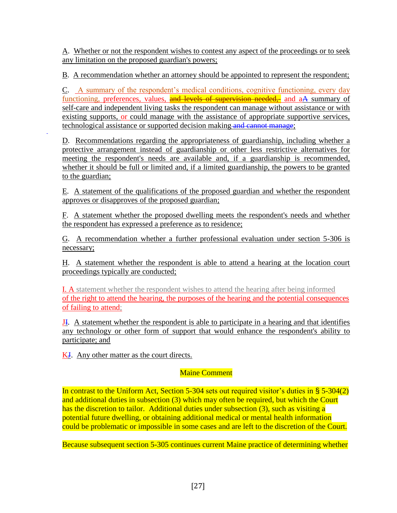A. Whether or not the respondent wishes to contest any aspect of the proceedings or to seek any limitation on the proposed guardian's powers;

B. A recommendation whether an attorney should be appointed to represent the respondent;

C. A summary of the respondent's medical conditions, cognitive functioning, every day functioning, preferences, values, and levels of supervision needed, and aA summary of self-care and independent living tasks the respondent can manage without assistance or with existing supports, or could manage with the assistance of appropriate supportive services, technological assistance or supported decision making and cannot manage;

D. Recommendations regarding the appropriateness of guardianship, including whether a protective arrangement instead of guardianship or other less restrictive alternatives for meeting the respondent's needs are available and, if a guardianship is recommended, whether it should be full or limited and, if a limited guardianship, the powers to be granted to the guardian;

E. A statement of the qualifications of the proposed guardian and whether the respondent approves or disapproves of the proposed guardian;

F. A statement whether the proposed dwelling meets the respondent's needs and whether the respondent has expressed a preference as to residence;

G. A recommendation whether a further professional evaluation under section 5-306 is necessary;

H. A statement whether the respondent is able to attend a hearing at the location court proceedings typically are conducted;

I. A statement whether the respondent wishes to attend the hearing after being informed of the right to attend the hearing, the purposes of the hearing and the potential consequences of failing to attend;

JI. A statement whether the respondent is able to participate in a hearing and that identifies any technology or other form of support that would enhance the respondent's ability to participate; and

K<sub>J</sub>. Any other matter as the court directs.

#### Maine Comment

In contrast to the Uniform Act, Section 5-304 sets out required visitor's duties in § 5-304(2) and additional duties in subsection (3) which may often be required, but which the Court has the discretion to tailor. Additional duties under subsection (3), such as visiting a potential future dwelling, or obtaining additional medical or mental health information could be problematic or impossible in some cases and are left to the discretion of the Court.

Because subsequent section 5-305 continues current Maine practice of determining whether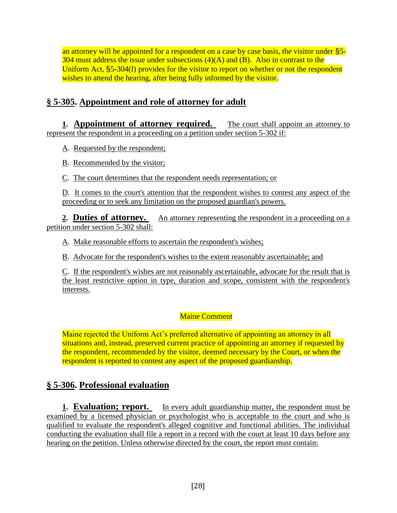an attorney will be appointed for a respondent on a case by case basis, the visitor under §5-  $304$  must address the issue under subsections  $(4)(A)$  and  $(B)$ . Also in contrast to the Uniform Act, §5-304(I) provides for the visitor to report on whether or not the respondent wishes to attend the hearing, after being fully informed by the visitor.

### **§ 5-305. Appointment and role of attorney for adult**

**1. Appointment of attorney required.** The court shall appoint an attorney to represent the respondent in a proceeding on a petition under section 5-302 if:

A. Requested by the respondent;

B. Recommended by the visitor;

C. The court determines that the respondent needs representation; or

D. It comes to the court's attention that the respondent wishes to contest any aspect of the proceeding or to seek any limitation on the proposed guardian's powers.

**2. Duties of attorney.** An attorney representing the respondent in a proceeding on a petition under section 5-302 shall:

A. Make reasonable efforts to ascertain the respondent's wishes;

B. Advocate for the respondent's wishes to the extent reasonably ascertainable; and

C. If the respondent's wishes are not reasonably ascertainable, advocate for the result that is the least restrictive option in type, duration and scope, consistent with the respondent's interests.

#### Maine Comment

Maine rejected the Uniform Act's preferred alternative of appointing an attorney in all situations and, instead, preserved current practice of appointing an attorney if requested by the respondent, recommended by the visitor, deemed necessary by the Court, or when the respondent is reported to contest any aspect of the proposed guardianship.

#### **§ 5-306. Professional evaluation**

**1. Evaluation; report.** In every adult guardianship matter, the respondent must be examined by a licensed physician or psychologist who is acceptable to the court and who is qualified to evaluate the respondent's alleged cognitive and functional abilities. The individual conducting the evaluation shall file a report in a record with the court at least 10 days before any hearing on the petition. Unless otherwise directed by the court, the report must contain: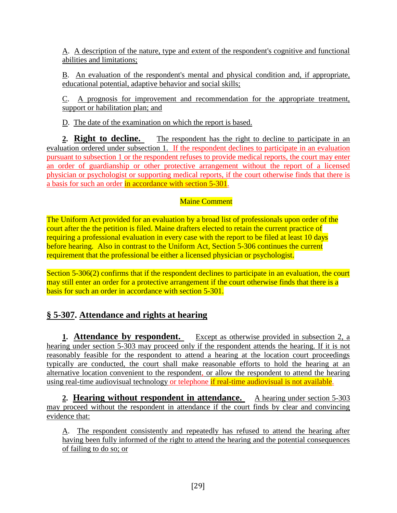A. A description of the nature, type and extent of the respondent's cognitive and functional abilities and limitations;

B. An evaluation of the respondent's mental and physical condition and, if appropriate, educational potential, adaptive behavior and social skills;

C. A prognosis for improvement and recommendation for the appropriate treatment, support or habilitation plan; and

D. The date of the examination on which the report is based.

**2. Right to decline.** The respondent has the right to decline to participate in an evaluation ordered under subsection 1. If the respondent declines to participate in an evaluation pursuant to subsection 1 or the respondent refuses to provide medical reports, the court may enter an order of guardianship or other protective arrangement without the report of a licensed physician or psychologist or supporting medical reports, if the court otherwise finds that there is a basis for such an order in accordance with section 5-301.

#### Maine Comment

The Uniform Act provided for an evaluation by a broad list of professionals upon order of the court after the the petition is filed. Maine drafters elected to retain the current practice of requiring a professional evaluation in every case with the report to be filed at least 10 days before hearing. Also in contrast to the Uniform Act, Section 5-306 continues the current requirement that the professional be either a licensed physician or psychologist.

Section 5-306(2) confirms that if the respondent declines to participate in an evaluation, the court may still enter an order for a protective arrangement if the court otherwise finds that there is a basis for such an order in accordance with section 5-301.

# **§ 5-307. Attendance and rights at hearing**

**1. Attendance by respondent.** Except as otherwise provided in subsection 2, a hearing under section 5-303 may proceed only if the respondent attends the hearing. If it is not reasonably feasible for the respondent to attend a hearing at the location court proceedings typically are conducted, the court shall make reasonable efforts to hold the hearing at an alternative location convenient to the respondent, or allow the respondent to attend the hearing using real-time audiovisual technology or telephone if real-time audiovisual is not available.

**2. Hearing without respondent in attendance.** A hearing under section 5-303 may proceed without the respondent in attendance if the court finds by clear and convincing evidence that:

A. The respondent consistently and repeatedly has refused to attend the hearing after having been fully informed of the right to attend the hearing and the potential consequences of failing to do so; or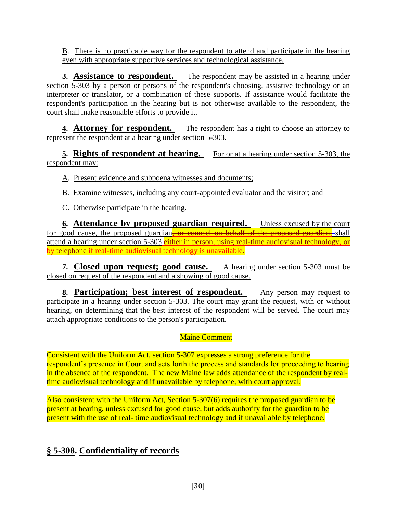B. There is no practicable way for the respondent to attend and participate in the hearing even with appropriate supportive services and technological assistance.

**3. Assistance to respondent.** The respondent may be assisted in a hearing under section 5-303 by a person or persons of the respondent's choosing, assistive technology or an interpreter or translator, or a combination of these supports. If assistance would facilitate the respondent's participation in the hearing but is not otherwise available to the respondent, the court shall make reasonable efforts to provide it.

**4. Attorney for respondent.** The respondent has a right to choose an attorney to represent the respondent at a hearing under section 5-303.

**5. Rights of respondent at hearing.** For or at a hearing under section 5-303, the respondent may:

A. Present evidence and subpoena witnesses and documents;

- B. Examine witnesses, including any court-appointed evaluator and the visitor; and
- C. Otherwise participate in the hearing.

**<u>6. Attendance by proposed guardian required.** Unless excused by the court</u> for good cause, the proposed guardian, or counsel on behalf of the proposed guardian, shall attend a hearing under section 5-303 either in person, using real-time audiovisual technology, or by telephone if real-time audiovisual technology is unavailable.

**7. Closed upon request; good cause.** A hearing under section 5-303 must be closed on request of the respondent and a showing of good cause.

**8. Participation; best interest of respondent.** Any person may request to participate in a hearing under section 5-303. The court may grant the request, with or without hearing, on determining that the best interest of the respondent will be served. The court may attach appropriate conditions to the person's participation.

## Maine Comment

Consistent with the Uniform Act, section 5-307 expresses a strong preference for the respondent's presence in Court and sets forth the process and standards for proceeding to hearing in the absence of the respondent. The new Maine law adds attendance of the respondent by realtime audiovisual technology and if unavailable by telephone, with court approval.

Also consistent with the Uniform Act, Section 5-307(6) requires the proposed guardian to be present at hearing, unless excused for good cause, but adds authority for the guardian to be present with the use of real- time audiovisual technology and if unavailable by telephone.

# **§ 5-308. Confidentiality of records**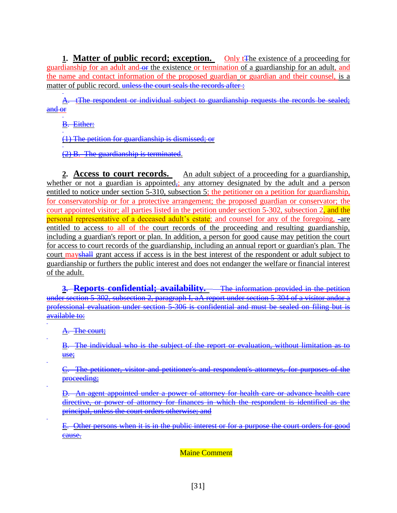**1. Matter of public record; exception.** Only t<sub>The existence of a proceeding for</sub> guardianship for an adult and or the existence or termination of a guardianship for an adult, and the name and contact information of the proposed guardian or guardian and their counsel, is a matter of public record. unless the court seals the records after :

A. tThe respondent or individual subject to guardianship requests the records be sealed; and or

B. Either:

(1) The petition for guardianship is dismissed; or

(2) B. The guardianship is terminated.

2. **Access to court records.** An adult subject of a proceeding for a guardianship, whether or not a guardian is appointed<sub> $\overline{x}$ </sub>; any attorney designated by the adult and a person entitled to notice under section 5-310, subsection 5; the petitioner on a petition for guardianship, for conservatorship or for a protective arrangement; the proposed guardian or conservator; the court appointed visitor; all parties listed in the petition under section 5-302, subsection 2, and the personal representative of a deceased adult's estate; and counsel for any of the foregoing, -are entitled to access to all of the court records of the proceeding and resulting guardianship, including a guardian's report or plan. In addition, a person for good cause may petition the court for access to court records of the guardianship, including an annual report or guardian's plan. The court may shall grant access if access is in the best interest of the respondent or adult subject to guardianship or furthers the public interest and does not endanger the welfare or financial interest of the adult.

**3. Reports confidential; availability.** The information provided in the petition <u>under section 5-302, subsection 2, paragraph I, aA report under section 5-304 of a visitor andor a</u><br>under section 5-302, subsection 2, paragraph I, aA report under section 5-304 of a visitor andor a professional evaluation under section 5-306 is confidential and must be sealed on filing but is available to:

A. The court;

B. The individual who is the subject of the report or evaluation, without limitation as to use;

C. The petitioner, visitor and petitioner's and respondent's attorneys, for purposes of the proceeding;

D. An agent appointed under a power of attorney for health care or advance health care directive, or power of attorney for finances in which the respondent is identified as the principal, unless the court orders otherwise; and

E. Other persons when it is in the public interest or for a purpose the court orders for good cause.

Maine Comment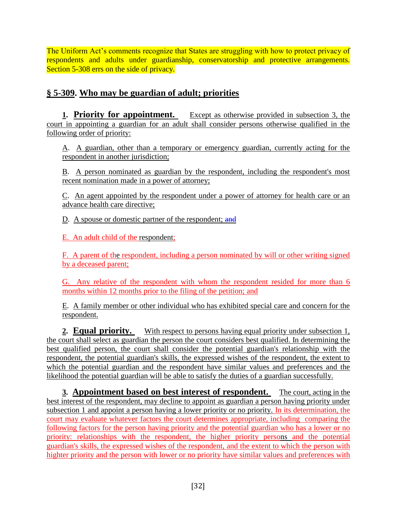The Uniform Act's comments recognize that States are struggling with how to protect privacy of respondents and adults under guardianship, conservatorship and protective arrangements. Section 5-308 errs on the side of privacy.

## **§ 5-309. Who may be guardian of adult; priorities**

**1. Priority for appointment.** Except as otherwise provided in subsection 3, the court in appointing a guardian for an adult shall consider persons otherwise qualified in the following order of priority:

A. A guardian, other than a temporary or emergency guardian, currently acting for the respondent in another jurisdiction;

B. A person nominated as guardian by the respondent, including the respondent's most recent nomination made in a power of attorney;

C. An agent appointed by the respondent under a power of attorney for health care or an advance health care directive;

D. A spouse or domestic partner of the respondent; and

E. An adult child of the respondent;

F. A parent of the respondent, including a person nominated by will or other writing signed by a deceased parent;

G. Any relative of the respondent with whom the respondent resided for more than 6 months within 12 months prior to the filing of the petition; and

E. A family member or other individual who has exhibited special care and concern for the respondent.

**2. Equal priority.** With respect to persons having equal priority under subsection 1, the court shall select as guardian the person the court considers best qualified. In determining the best qualified person, the court shall consider the potential guardian's relationship with the respondent, the potential guardian's skills, the expressed wishes of the respondent, the extent to which the potential guardian and the respondent have similar values and preferences and the likelihood the potential guardian will be able to satisfy the duties of a guardian successfully.

**3. Appointment based on best interest of respondent.** The court, acting in the best interest of the respondent, may decline to appoint as guardian a person having priority under subsection 1 and appoint a person having a lower priority or no priority. In its determination, the court may evaluate whatever factors the court determines appropriate, including comparing the following factors for the person having priority and the potential guardian who has a lower or no priority: relationships with the respondent, the higher priority persons and the potential guardian's skills, the expressed wishes of the respondent, and the extent to which the person with highter priority and the person with lower or no priority have similar values and preferences with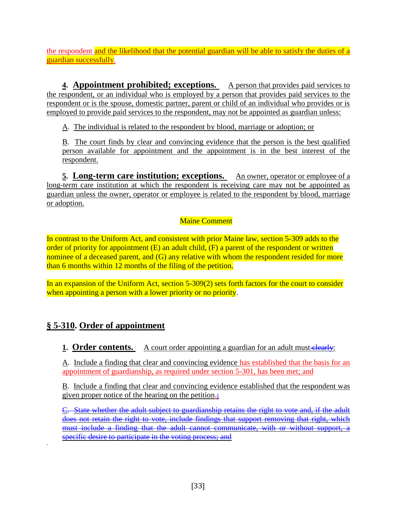the respondent and the likelihood that the potential guardian will be able to satisfy the duties of a guardian successfully.

**4. Appointment prohibited; exceptions.** A person that provides paid services to the respondent, or an individual who is employed by a person that provides paid services to the respondent or is the spouse, domestic partner, parent or child of an individual who provides or is employed to provide paid services to the respondent, may not be appointed as guardian unless:

A. The individual is related to the respondent by blood, marriage or adoption; or

B. The court finds by clear and convincing evidence that the person is the best qualified person available for appointment and the appointment is in the best interest of the respondent.

**5. Long-term care institution; exceptions.** An owner, operator or employee of a long-term care institution at which the respondent is receiving care may not be appointed as guardian unless the owner, operator or employee is related to the respondent by blood, marriage or adoption.

#### Maine Comment

In contrast to the Uniform Act, and consistent with prior Maine law, section 5-309 adds to the order of priority for appointment (E) an adult child, (F) a parent of the respondent or written nominee of a deceased parent, and (G) any relative with whom the respondent resided for more than 6 months within 12 months of the filing of the petition.

In an expansion of the Uniform Act, section 5-309(2) sets forth factors for the court to consider when appointing a person with a lower priority or no priority.

## **§ 5-310. Order of appointment**

#### **1. Order contents.** A court order appointing a guardian for an adult must clearly:

A. Include a finding that clear and convincing evidence has established that the basis for an appointment of guardianship, as required under section 5-301, has been met; and

B. Include a finding that clear and convincing evidence established that the respondent was given proper notice of the hearing on the petition.;

C. State whether the adult subject to guardianship retains the right to vote and, if the adult does not retain the right to vote, include findings that support removing that right, which must include a finding that the adult cannot communicate, with or without support, a specific desire to participate in the voting process; and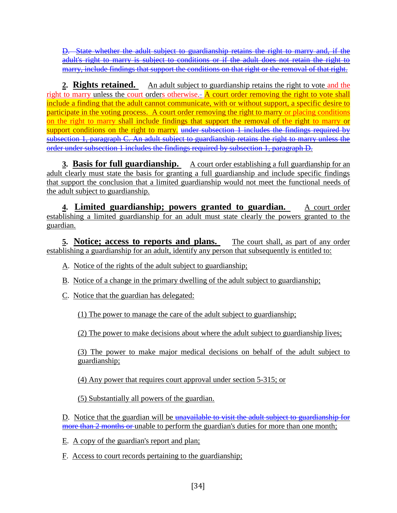D. State whether the adult subject to guardianship retains the right to marry and, if the adult's right to marry is subject to conditions or if the adult does not retain the right to marry, include findings that support the conditions on that right or the removal of that right.

**2. Rights retained.** An adult subject to guardianship retains the right to vote and the right to marry unless the court orders otherwise. $-$  A court order removing the right to vote shall include a finding that the adult cannot communicate, with or without support, a specific desire to participate in the voting process. A court order removing the right to marry or placing conditions on the right to marry shall include findings that support the removal of the right to marry or support conditions on the right to marry. under subsection 1 includes the findings required by subsection 1, paragraph C. An adult subject to guardianship retains the right to marry unless the order under subsection 1 includes the findings required by subsection 1, paragraph D.

**3. Basis for full guardianship.** A court order establishing a full guardianship for an adult clearly must state the basis for granting a full guardianship and include specific findings that support the conclusion that a limited guardianship would not meet the functional needs of the adult subject to guardianship.

**4. Limited guardianship; powers granted to guardian.** A court order establishing a limited guardianship for an adult must state clearly the powers granted to the guardian.

**5. Notice; access to reports and plans.** The court shall, as part of any order establishing a guardianship for an adult, identify any person that subsequently is entitled to:

- A. Notice of the rights of the adult subject to guardianship;
- B. Notice of a change in the primary dwelling of the adult subject to guardianship;
- C. Notice that the guardian has delegated:

(1) The power to manage the care of the adult subject to guardianship;

(2) The power to make decisions about where the adult subject to guardianship lives;

(3) The power to make major medical decisions on behalf of the adult subject to guardianship;

(4) Any power that requires court approval under section 5-315; or

(5) Substantially all powers of the guardian.

D. Notice that the guardian will be unavailable to visit the adult subject to guardianship for more than 2 months or unable to perform the guardian's duties for more than one month;

- E. A copy of the guardian's report and plan;
- F. Access to court records pertaining to the guardianship;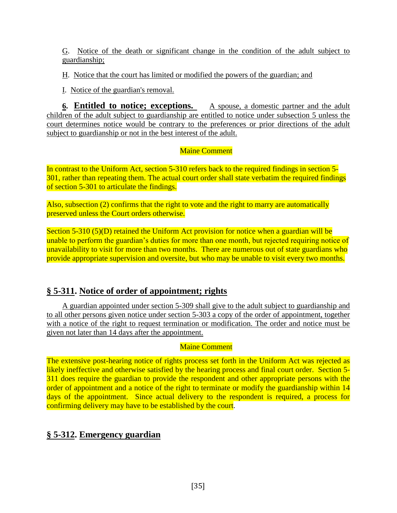G. Notice of the death or significant change in the condition of the adult subject to guardianship;

H. Notice that the court has limited or modified the powers of the guardian; and

I. Notice of the guardian's removal.

**6. Entitled to notice; exceptions.** A spouse, a domestic partner and the adult children of the adult subject to guardianship are entitled to notice under subsection 5 unless the court determines notice would be contrary to the preferences or prior directions of the adult subject to guardianship or not in the best interest of the adult.

#### Maine Comment

In contrast to the Uniform Act, section 5-310 refers back to the required findings in section 5- 301, rather than repeating them. The actual court order shall state verbatim the required findings of section 5-301 to articulate the findings.

Also, subsection (2) confirms that the right to vote and the right to marry are automatically preserved unless the Court orders otherwise.

Section  $5-310$  (5)(D) retained the Uniform Act provision for notice when a guardian will be unable to perform the guardian's duties for more than one month, but rejected requiring notice of unavailability to visit for more than two months. There are numerous out of state guardians who provide appropriate supervision and oversite, but who may be unable to visit every two months.

#### **§ 5-311. Notice of order of appointment; rights**

A guardian appointed under section 5-309 shall give to the adult subject to guardianship and to all other persons given notice under section 5-303 a copy of the order of appointment, together with a notice of the right to request termination or modification. The order and notice must be given not later than 14 days after the appointment.

#### Maine Comment

The extensive post-hearing notice of rights process set forth in the Uniform Act was rejected as likely ineffective and otherwise satisfied by the hearing process and final court order. Section 5-311 does require the guardian to provide the respondent and other appropriate persons with the order of appointment and a notice of the right to terminate or modify the guardianship within 14 days of the appointment. Since actual delivery to the respondent is required, a process for confirming delivery may have to be established by the court.

#### **§ 5-312. Emergency guardian**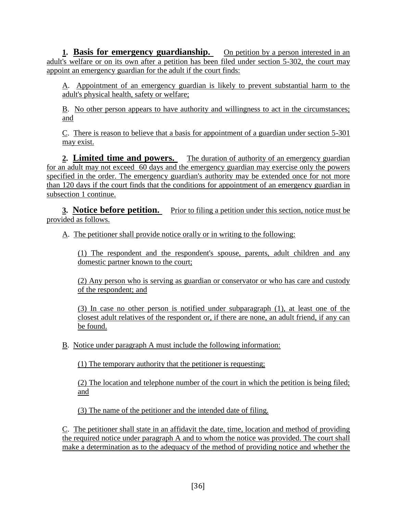**1. Basis for emergency guardianship.** On petition by a person interested in an adult's welfare or on its own after a petition has been filed under section 5-302, the court may appoint an emergency guardian for the adult if the court finds:

A. Appointment of an emergency guardian is likely to prevent substantial harm to the adult's physical health, safety or welfare;

B. No other person appears to have authority and willingness to act in the circumstances; and

C. There is reason to believe that a basis for appointment of a guardian under section 5-301 may exist.

**2. Limited time and powers.** The duration of authority of an emergency guardian for an adult may not exceed 60 days and the emergency guardian may exercise only the powers specified in the order. The emergency guardian's authority may be extended once for not more than 120 days if the court finds that the conditions for appointment of an emergency guardian in subsection 1 continue.

**3. Notice before petition.** Prior to filing a petition under this section, notice must be provided as follows.

A. The petitioner shall provide notice orally or in writing to the following:

(1) The respondent and the respondent's spouse, parents, adult children and any domestic partner known to the court;

(2) Any person who is serving as guardian or conservator or who has care and custody of the respondent; and

(3) In case no other person is notified under subparagraph (1), at least one of the closest adult relatives of the respondent or, if there are none, an adult friend, if any can be found.

B. Notice under paragraph A must include the following information:

(1) The temporary authority that the petitioner is requesting;

(2) The location and telephone number of the court in which the petition is being filed; and

(3) The name of the petitioner and the intended date of filing.

C. The petitioner shall state in an affidavit the date, time, location and method of providing the required notice under paragraph A and to whom the notice was provided. The court shall make a determination as to the adequacy of the method of providing notice and whether the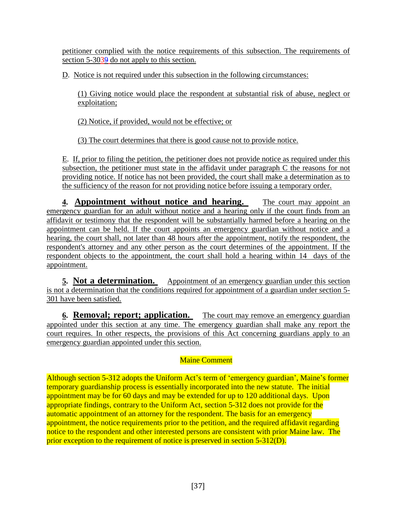petitioner complied with the notice requirements of this subsection. The requirements of section 5-3039 do not apply to this section.

D. Notice is not required under this subsection in the following circumstances:

(1) Giving notice would place the respondent at substantial risk of abuse, neglect or exploitation;

(2) Notice, if provided, would not be effective; or

(3) The court determines that there is good cause not to provide notice.

E. If, prior to filing the petition, the petitioner does not provide notice as required under this subsection, the petitioner must state in the affidavit under paragraph C the reasons for not providing notice. If notice has not been provided, the court shall make a determination as to the sufficiency of the reason for not providing notice before issuing a temporary order.

**4. Appointment without notice and hearing.** The court may appoint an emergency guardian for an adult without notice and a hearing only if the court finds from an affidavit or testimony that the respondent will be substantially harmed before a hearing on the appointment can be held. If the court appoints an emergency guardian without notice and a hearing, the court shall, not later than 48 hours after the appointment, notify the respondent, the respondent's attorney and any other person as the court determines of the appointment. If the respondent objects to the appointment, the court shall hold a hearing within 14 days of the appointment.

**5. Not a determination.** Appointment of an emergency guardian under this section is not a determination that the conditions required for appointment of a guardian under section 5- 301 have been satisfied.

**6. Removal; report; application.** The court may remove an emergency guardian appointed under this section at any time. The emergency guardian shall make any report the court requires. In other respects, the provisions of this Act concerning guardians apply to an emergency guardian appointed under this section.

### Maine Comment

Although section 5-312 adopts the Uniform Act's term of 'emergency guardian', Maine's former temporary guardianship process is essentially incorporated into the new statute. The initial appointment may be for 60 days and may be extended for up to 120 additional days. Upon appropriate findings, contrary to the Uniform Act, section 5-312 does not provide for the automatic appointment of an attorney for the respondent. The basis for an emergency appointment, the notice requirements prior to the petition, and the required affidavit regarding notice to the respondent and other interested persons are consistent with prior Maine law. The prior exception to the requirement of notice is preserved in section 5-312(D).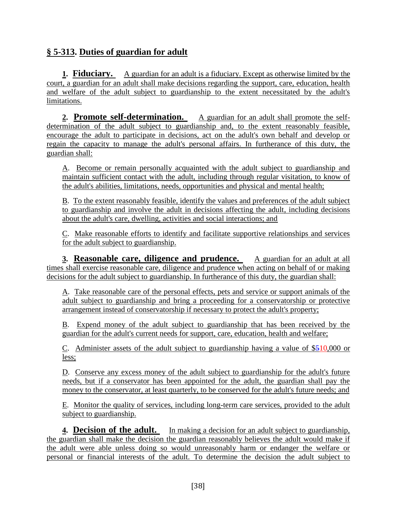# **§ 5-313. Duties of guardian for adult**

**1. Fiduciary.** A guardian for an adult is a fiduciary. Except as otherwise limited by the court, a guardian for an adult shall make decisions regarding the support, care, education, health and welfare of the adult subject to guardianship to the extent necessitated by the adult's limitations.

**2. Promote self-determination.** A guardian for an adult shall promote the selfdetermination of the adult subject to guardianship and, to the extent reasonably feasible, encourage the adult to participate in decisions, act on the adult's own behalf and develop or regain the capacity to manage the adult's personal affairs. In furtherance of this duty, the guardian shall:

A. Become or remain personally acquainted with the adult subject to guardianship and maintain sufficient contact with the adult, including through regular visitation, to know of the adult's abilities, limitations, needs, opportunities and physical and mental health;

B. To the extent reasonably feasible, identify the values and preferences of the adult subject to guardianship and involve the adult in decisions affecting the adult, including decisions about the adult's care, dwelling, activities and social interactions; and

C. Make reasonable efforts to identify and facilitate supportive relationships and services for the adult subject to guardianship.

**3. Reasonable care, diligence and prudence.** A guardian for an adult at all times shall exercise reasonable care, diligence and prudence when acting on behalf of or making decisions for the adult subject to guardianship. In furtherance of this duty, the guardian shall:

A. Take reasonable care of the personal effects, pets and service or support animals of the adult subject to guardianship and bring a proceeding for a conservatorship or protective arrangement instead of conservatorship if necessary to protect the adult's property;

B. Expend money of the adult subject to guardianship that has been received by the guardian for the adult's current needs for support, care, education, health and welfare;

C. Administer assets of the adult subject to guardianship having a value of \$510,000 or less;

D. Conserve any excess money of the adult subject to guardianship for the adult's future needs, but if a conservator has been appointed for the adult, the guardian shall pay the money to the conservator, at least quarterly, to be conserved for the adult's future needs; and

E. Monitor the quality of services, including long-term care services, provided to the adult subject to guardianship.

**4. Decision of the adult.** In making a decision for an adult subject to guardianship, the guardian shall make the decision the guardian reasonably believes the adult would make if the adult were able unless doing so would unreasonably harm or endanger the welfare or personal or financial interests of the adult. To determine the decision the adult subject to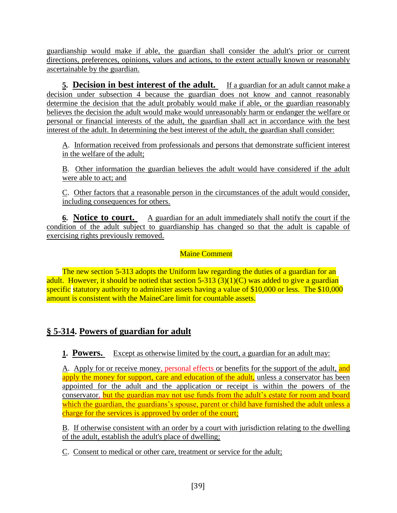guardianship would make if able, the guardian shall consider the adult's prior or current directions, preferences, opinions, values and actions, to the extent actually known or reasonably ascertainable by the guardian.

**5. Decision in best interest of the adult.** If a guardian for an adult cannot make a decision under subsection 4 because the guardian does not know and cannot reasonably determine the decision that the adult probably would make if able, or the guardian reasonably believes the decision the adult would make would unreasonably harm or endanger the welfare or personal or financial interests of the adult, the guardian shall act in accordance with the best interest of the adult. In determining the best interest of the adult, the guardian shall consider:

A. Information received from professionals and persons that demonstrate sufficient interest in the welfare of the adult;

B. Other information the guardian believes the adult would have considered if the adult were able to act; and

C. Other factors that a reasonable person in the circumstances of the adult would consider, including consequences for others.

**6. Notice to court.** A guardian for an adult immediately shall notify the court if the condition of the adult subject to guardianship has changed so that the adult is capable of exercising rights previously removed.

#### Maine Comment

The new section 5-313 adopts the Uniform law regarding the duties of a guardian for an adult. However, it should be notied that section  $5-313$  (3)(1)(C) was added to give a guardian specific statutory authority to administer assets having a value of \$10,000 or less. The \$10,000 amount is consistent with the MaineCare limit for countable assets.

## **§ 5-314. Powers of guardian for adult**

**1. Powers.** Except as otherwise limited by the court, a guardian for an adult may:

A. Apply for or receive money, personal effects or benefits for the support of the adult, and apply the money for support, care and education of the adult, unless a conservator has been appointed for the adult and the application or receipt is within the powers of the conservator, but the guardian may not use funds from the adult's estate for room and board which the guardian, the guardians's spouse, parent or child have furnished the adult unless a charge for the services is approved by order of the court;

B. If otherwise consistent with an order by a court with jurisdiction relating to the dwelling of the adult, establish the adult's place of dwelling;

C. Consent to medical or other care, treatment or service for the adult;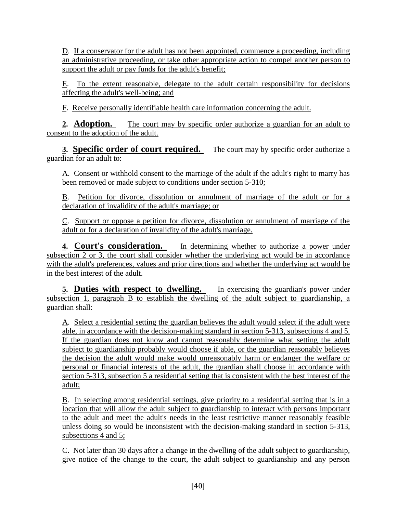D. If a conservator for the adult has not been appointed, commence a proceeding, including an administrative proceeding, or take other appropriate action to compel another person to support the adult or pay funds for the adult's benefit;

E. To the extent reasonable, delegate to the adult certain responsibility for decisions affecting the adult's well-being; and

F. Receive personally identifiable health care information concerning the adult.

**2. Adoption.** The court may by specific order authorize a guardian for an adult to consent to the adoption of the adult.

**3. Specific order of court required.** The court may by specific order authorize a guardian for an adult to:

A. Consent or withhold consent to the marriage of the adult if the adult's right to marry has been removed or made subject to conditions under section 5-310;

B. Petition for divorce, dissolution or annulment of marriage of the adult or for a declaration of invalidity of the adult's marriage; or

C. Support or oppose a petition for divorce, dissolution or annulment of marriage of the adult or for a declaration of invalidity of the adult's marriage.

**4. Court's consideration.** In determining whether to authorize a power under subsection 2 or 3, the court shall consider whether the underlying act would be in accordance with the adult's preferences, values and prior directions and whether the underlying act would be in the best interest of the adult.

**5. Duties with respect to dwelling.** In exercising the guardian's power under subsection 1, paragraph B to establish the dwelling of the adult subject to guardianship, a guardian shall:

A. Select a residential setting the guardian believes the adult would select if the adult were able, in accordance with the decision-making standard in section 5-313, subsections 4 and 5. If the guardian does not know and cannot reasonably determine what setting the adult subject to guardianship probably would choose if able, or the guardian reasonably believes the decision the adult would make would unreasonably harm or endanger the welfare or personal or financial interests of the adult, the guardian shall choose in accordance with section 5-313, subsection 5 a residential setting that is consistent with the best interest of the adult;

B. In selecting among residential settings, give priority to a residential setting that is in a location that will allow the adult subject to guardianship to interact with persons important to the adult and meet the adult's needs in the least restrictive manner reasonably feasible unless doing so would be inconsistent with the decision-making standard in section 5-313, subsections 4 and 5;

C. Not later than 30 days after a change in the dwelling of the adult subject to guardianship, give notice of the change to the court, the adult subject to guardianship and any person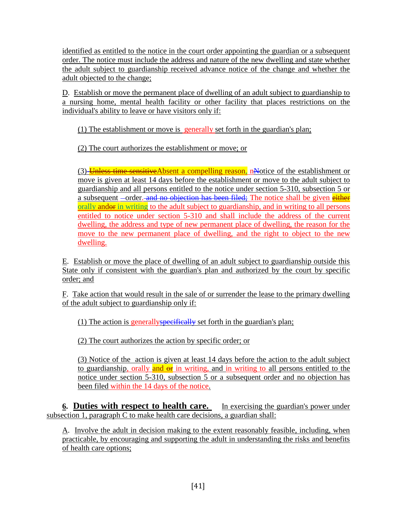identified as entitled to the notice in the court order appointing the guardian or a subsequent order. The notice must include the address and nature of the new dwelling and state whether the adult subject to guardianship received advance notice of the change and whether the adult objected to the change;

D. Establish or move the permanent place of dwelling of an adult subject to guardianship to a nursing home, mental health facility or other facility that places restrictions on the individual's ability to leave or have visitors only if:

(1) The establishment or move is generally set forth in the guardian's plan;

(2) The court authorizes the establishment or move; or

(3) Unless time sensitive Absent a compelling reason, nNotice of the establishment or move is given at least 14 days before the establishment or move to the adult subject to guardianship and all persons entitled to the notice under section 5-310, subsection 5 or a subsequent –order. and no objection has been filed; The notice shall be given either orally andor in writing to the adult subject to guardianship, and in writing to all persons entitled to notice under section 5-310 and shall include the address of the current dwelling, the address and type of new permanent place of dwelling, the reason for the move to the new permanent place of dwelling, and the right to object to the new dwelling.

E. Establish or move the place of dwelling of an adult subject to guardianship outside this State only if consistent with the guardian's plan and authorized by the court by specific order; and

F. Take action that would result in the sale of or surrender the lease to the primary dwelling of the adult subject to guardianship only if:

(1) The action is generally specifically set forth in the guardian's plan;

(2) The court authorizes the action by specific order; or

(3) Notice of the action is given at least 14 days before the action to the adult subject to guardianship, orally and  $\theta$  in writing, and in writing to all persons entitled to the notice under section 5-310, subsection 5 or a subsequent order and no objection has been filed within the 14 days of the notice.

**6. Duties with respect to health care.** In exercising the guardian's power under subsection 1, paragraph C to make health care decisions, a guardian shall:

A. Involve the adult in decision making to the extent reasonably feasible, including, when practicable, by encouraging and supporting the adult in understanding the risks and benefits of health care options;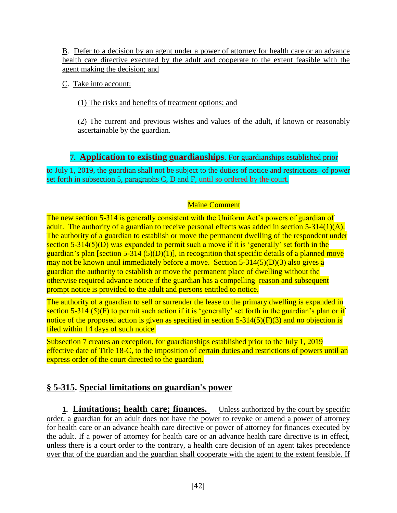B. Defer to a decision by an agent under a power of attorney for health care or an advance health care directive executed by the adult and cooperate to the extent feasible with the agent making the decision; and

C. Take into account:

(1) The risks and benefits of treatment options; and

(2) The current and previous wishes and values of the adult, if known or reasonably ascertainable by the guardian.

**7. Application to existing guardianships**. For guardianships established prior

to July 1, 2019, the guardian shall not be subject to the duties of notice and restrictions of power set forth in subsection 5, paragraphs C, D and F, until so ordered by the court.

#### Maine Comment

The new section 5-314 is generally consistent with the Uniform Act's powers of guardian of adult. The authority of a guardian to receive personal effects was added in section 5-314(1)(A). The authority of a guardian to establish or move the permanent dwelling of the respondent under section 5-314(5)(D) was expanded to permit such a move if it is 'generally' set forth in the guardian's plan [section 5-314 (5)(D)(1)], in recognition that specific details of a planned move may not be known until immediately before a move. Section 5-314(5)(D)(3) also gives a guardian the authority to establish or move the permanent place of dwelling without the otherwise required advance notice if the guardian has a compelling reason and subsequent prompt notice is provided to the adult and persons entitled to notice.

The authority of a guardian to sell or surrender the lease to the primary dwelling is expanded in section 5-314 (5)(F) to permit such action if it is 'generally' set forth in the guardian's plan or if notice of the proposed action is given as specified in section 5-314(5)(F)(3) and no objection is filed within 14 days of such notice.

Subsection 7 creates an exception, for guardianships established prior to the July 1, 2019 effective date of Title 18-C, to the imposition of certain duties and restrictions of powers until an express order of the court directed to the guardian.

# **§ 5-315. Special limitations on guardian's power**

**1. Limitations; health care; finances.** Unless authorized by the court by specific order, a guardian for an adult does not have the power to revoke or amend a power of attorney for health care or an advance health care directive or power of attorney for finances executed by the adult. If a power of attorney for health care or an advance health care directive is in effect, unless there is a court order to the contrary, a health care decision of an agent takes precedence over that of the guardian and the guardian shall cooperate with the agent to the extent feasible. If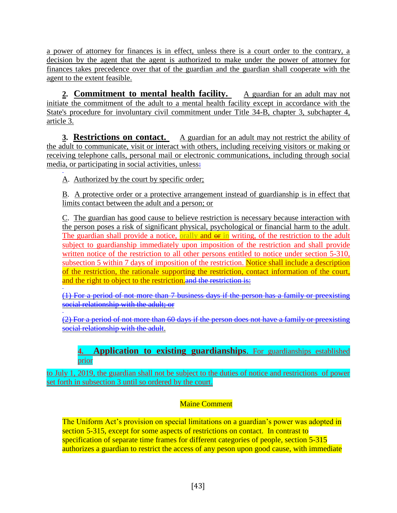a power of attorney for finances is in effect, unless there is a court order to the contrary, a decision by the agent that the agent is authorized to make under the power of attorney for finances takes precedence over that of the guardian and the guardian shall cooperate with the agent to the extent feasible.

**2. Commitment to mental health facility.** A guardian for an adult may not initiate the commitment of the adult to a mental health facility except in accordance with the State's procedure for involuntary civil commitment under Title 34-B, chapter 3, subchapter 4, article 3.

**3. Restrictions on contact.** A guardian for an adult may not restrict the ability of the adult to communicate, visit or interact with others, including receiving visitors or making or receiving telephone calls, personal mail or electronic communications, including through social media, or participating in social activities, unless-

A. Authorized by the court by specific order;

B. A protective order or a protective arrangement instead of guardianship is in effect that limits contact between the adult and a person; or

C. The guardian has good cause to believe restriction is necessary because interaction with the person poses a risk of significant physical, psychological or financial harm to the adult. The guardian shall provide a notice, orally and  $\theta$  in writing, of the restriction to the adult subject to guardianship immediately upon imposition of the restriction and shall provide written notice of the restriction to all other persons entitled to notice under section 5-310, subsection 5 within 7 days of imposition of the restriction. Notice shall include a description of the restriction, the rationale supporting the restriction, contact information of the court, and the right to object to the restriction. and the restriction is:

(1) For a period of not more than 7 business days if the person has a family or preexisting social relationship with the adult; or

(2) For a period of not more than 60 days if the person does not have a family or preexisting social relationship with the adult.

### **4. Application to existing guardianships**. For guardianships established prior

to July 1, 2019, the guardian shall not be subject to the duties of notice and restrictions of power set forth in subsection 3 until so ordered by the court.

### Maine Comment

The Uniform Act's provision on special limitations on a guardian's power was adopted in section 5-315, except for some aspects of restrictions on contact. In contrast to specification of separate time frames for different categories of people, section 5-315 authorizes a guardian to restrict the access of any peson upon good cause, with immediate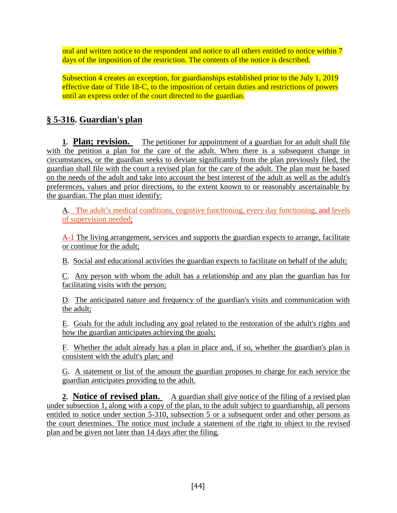oral and written notice to the respondent and notice to all others entitled to notice within 7 days of the imposition of the restriction. The contents of the notice is described.

Subsection 4 creates an exception, for guardianships established prior to the July 1, 2019 effective date of Title 18-C, to the imposition of certain duties and restrictions of powers until an express order of the court directed to the guardian.

# **§ 5-316. Guardian's plan**

**1. Plan; revision.** The petitioner for appointment of a guardian for an adult shall file with the petition a plan for the care of the adult. When there is a subsequent change in circumstances, or the guardian seeks to deviate significantly from the plan previously filed, the guardian shall file with the court a revised plan for the care of the adult. The plan must be based on the needs of the adult and take into account the best interest of the adult as well as the adult's preferences, values and prior directions, to the extent known to or reasonably ascertainable by the guardian. The plan must identify:

A. The adult's medical conditions, cognitive functioning, every day functioning, and levels of supervision needed;

A-1 The living arrangement, services and supports the guardian expects to arrange, facilitate or continue for the adult;

B. Social and educational activities the guardian expects to facilitate on behalf of the adult;

C. Any person with whom the adult has a relationship and any plan the guardian has for facilitating visits with the person;

D. The anticipated nature and frequency of the guardian's visits and communication with the adult;

E. Goals for the adult including any goal related to the restoration of the adult's rights and how the guardian anticipates achieving the goals;

F. Whether the adult already has a plan in place and, if so, whether the guardian's plan is consistent with the adult's plan; and

G. A statement or list of the amount the guardian proposes to charge for each service the guardian anticipates providing to the adult.

**2. Notice of revised plan.** A guardian shall give notice of the filing of a revised plan under subsection 1, along with a copy of the plan, to the adult subject to guardianship, all persons entitled to notice under section 5-310, subsection 5 or a subsequent order and other persons as the court determines. The notice must include a statement of the right to object to the revised plan and be given not later than 14 days after the filing.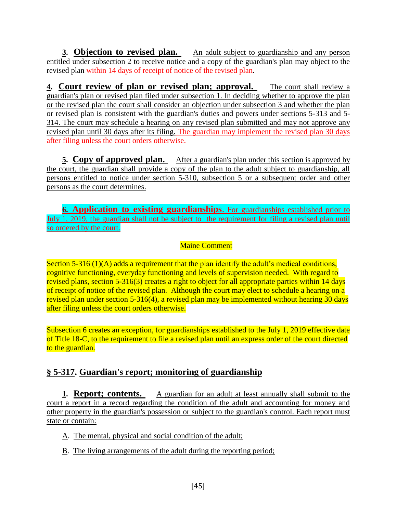**3. Objection to revised plan.** An adult subject to guardianship and any person entitled under subsection 2 to receive notice and a copy of the guardian's plan may object to the revised plan within 14 days of receipt of notice of the revised plan.

**4. Court review of plan or revised plan; approval.** The court shall review a guardian's plan or revised plan filed under subsection 1. In deciding whether to approve the plan or the revised plan the court shall consider an objection under subsection 3 and whether the plan or revised plan is consistent with the guardian's duties and powers under sections 5-313 and 5- 314. The court may schedule a hearing on any revised plan submitted and may not approve any revised plan until 30 days after its filing. The guardian may implement the revised plan 30 days after filing unless the court orders otherwise.

**<u>5. Copy of approved plan.** After a guardian's plan under this section is approved by</u> the court, the guardian shall provide a copy of the plan to the adult subject to guardianship, all persons entitled to notice under section 5-310, subsection 5 or a subsequent order and other persons as the court determines.

**6. Application to existing guardianships**. For guardianships established prior to July 1, 2019, the guardian shall not be subject to the requirement for filing a revised plan until so ordered by the court.

#### Maine Comment

Section 5-316 (1)(A) adds a requirement that the plan identify the adult's medical conditions, cognitive functioning, everyday functioning and levels of supervision needed. With regard to revised plans, section 5-316(3) creates a right to object for all appropriate parties within 14 days of receipt of notice of the revised plan. Although the court may elect to schedule a hearing on a revised plan under section 5-316(4), a revised plan may be implemented without hearing 30 days after filing unless the court orders otherwise.

Subsection 6 creates an exception, for guardianships established to the July 1, 2019 effective date of Title 18-C, to the requirement to file a revised plan until an express order of the court directed to the guardian.

## **§ 5-317. Guardian's report; monitoring of guardianship**

**1. Report; contents.** A guardian for an adult at least annually shall submit to the court a report in a record regarding the condition of the adult and accounting for money and other property in the guardian's possession or subject to the guardian's control. Each report must state or contain:

- A. The mental, physical and social condition of the adult;
- B. The living arrangements of the adult during the reporting period;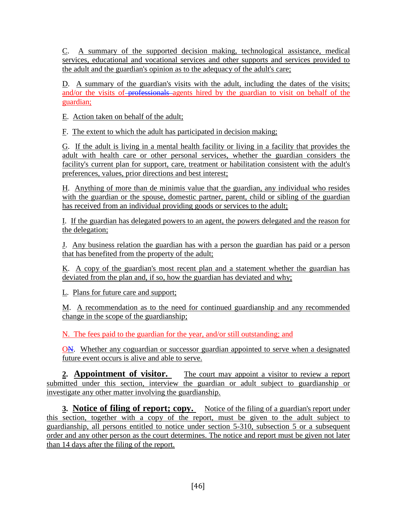C. A summary of the supported decision making, technological assistance, medical services, educational and vocational services and other supports and services provided to the adult and the guardian's opinion as to the adequacy of the adult's care;

D. A summary of the guardian's visits with the adult, including the dates of the visits; and/or the visits of professionals agents hired by the guardian to visit on behalf of the guardian;

E. Action taken on behalf of the adult;

F. The extent to which the adult has participated in decision making;

G. If the adult is living in a mental health facility or living in a facility that provides the adult with health care or other personal services, whether the guardian considers the facility's current plan for support, care, treatment or habilitation consistent with the adult's preferences, values, prior directions and best interest;

H. Anything of more than de minimis value that the guardian, any individual who resides with the guardian or the spouse, domestic partner, parent, child or sibling of the guardian has received from an individual providing goods or services to the adult;

I. If the guardian has delegated powers to an agent, the powers delegated and the reason for the delegation;

J. Any business relation the guardian has with a person the guardian has paid or a person that has benefited from the property of the adult;

K. A copy of the guardian's most recent plan and a statement whether the guardian has deviated from the plan and, if so, how the guardian has deviated and why;

L. Plans for future care and support;

M. A recommendation as to the need for continued guardianship and any recommended change in the scope of the guardianship;

N. The fees paid to the guardian for the year, and/or still outstanding; and

ON. Whether any coguardian or successor guardian appointed to serve when a designated future event occurs is alive and able to serve.

**2. Appointment of visitor.** The court may appoint a visitor to review a report submitted under this section, interview the guardian or adult subject to guardianship or investigate any other matter involving the guardianship.

**3.** Notice of filing of report; copy. Notice of the filing of a guardian's report under this section, together with a copy of the report, must be given to the adult subject to guardianship, all persons entitled to notice under section 5-310, subsection 5 or a subsequent order and any other person as the court determines. The notice and report must be given not later than 14 days after the filing of the report.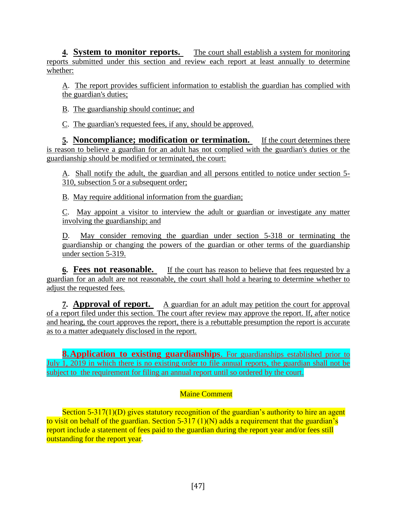**4. System to monitor reports.** The court shall establish a system for monitoring reports submitted under this section and review each report at least annually to determine whether:

A. The report provides sufficient information to establish the guardian has complied with the guardian's duties;

B. The guardianship should continue; and

C. The guardian's requested fees, if any, should be approved.

**5. Noncompliance; modification or termination.** If the court determines there is reason to believe a guardian for an adult has not complied with the guardian's duties or the guardianship should be modified or terminated, the court:

A. Shall notify the adult, the guardian and all persons entitled to notice under section 5- 310, subsection 5 or a subsequent order;

B. May require additional information from the guardian;

C. May appoint a visitor to interview the adult or guardian or investigate any matter involving the guardianship; and

D. May consider removing the guardian under section 5-318 or terminating the guardianship or changing the powers of the guardian or other terms of the guardianship under section 5-319.

**6. Fees not reasonable.** If the court has reason to believe that fees requested by a guardian for an adult are not reasonable, the court shall hold a hearing to determine whether to adjust the requested fees.

**7. Approval of report.** A guardian for an adult may petition the court for approval of a report filed under this section. The court after review may approve the report. If, after notice and hearing, the court approves the report, there is a rebuttable presumption the report is accurate as to a matter adequately disclosed in the report.

**8. Application to existing guardianships**. For guardianships established prior to July 1, 2019 in which there is no existing order to file annual reports, the guardian shall not be subject to the requirement for filing an annual report until so ordered by the court.

#### Maine Comment

Section 5-317(1)(D) gives statutory recognition of the guardian's authority to hire an agent to visit on behalf of the guardian. Section 5-317 (1)(N) adds a requirement that the guardian's report include a statement of fees paid to the guardian during the report year and/or fees still outstanding for the report year.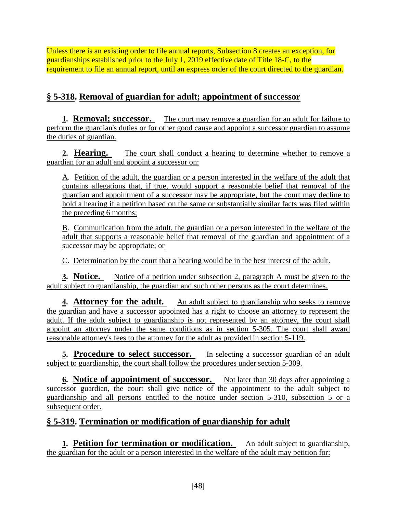Unless there is an existing order to file annual reports, Subsection 8 creates an exception, for guardianships established prior to the July 1, 2019 effective date of Title 18-C, to the requirement to file an annual report, until an express order of the court directed to the guardian.

# **§ 5-318. Removal of guardian for adult; appointment of successor**

**1. Removal; successor.** The court may remove a guardian for an adult for failure to perform the guardian's duties or for other good cause and appoint a successor guardian to assume the duties of guardian.

**2. Hearing.** The court shall conduct a hearing to determine whether to remove a guardian for an adult and appoint a successor on:

A. Petition of the adult, the guardian or a person interested in the welfare of the adult that contains allegations that, if true, would support a reasonable belief that removal of the guardian and appointment of a successor may be appropriate, but the court may decline to hold a hearing if a petition based on the same or substantially similar facts was filed within the preceding 6 months;

B. Communication from the adult, the guardian or a person interested in the welfare of the adult that supports a reasonable belief that removal of the guardian and appointment of a successor may be appropriate; or

C. Determination by the court that a hearing would be in the best interest of the adult.

**3. Notice.** Notice of a petition under subsection 2, paragraph A must be given to the adult subject to guardianship, the guardian and such other persons as the court determines.

**4. Attorney for the adult.** An adult subject to guardianship who seeks to remove the guardian and have a successor appointed has a right to choose an attorney to represent the adult. If the adult subject to guardianship is not represented by an attorney, the court shall appoint an attorney under the same conditions as in section 5-305. The court shall award reasonable attorney's fees to the attorney for the adult as provided in section 5-119.

**5. Procedure to select successor.** In selecting a successor guardian of an adult subject to guardianship, the court shall follow the procedures under section 5-309.

**<u>6.** Notice of appointment of successor. Not later than 30 days after appointing a</u> successor guardian, the court shall give notice of the appointment to the adult subject to guardianship and all persons entitled to the notice under section 5-310, subsection 5 or a subsequent order.

# **§ 5-319. Termination or modification of guardianship for adult**

**1. Petition for termination or modification.** An adult subject to guardianship, the guardian for the adult or a person interested in the welfare of the adult may petition for: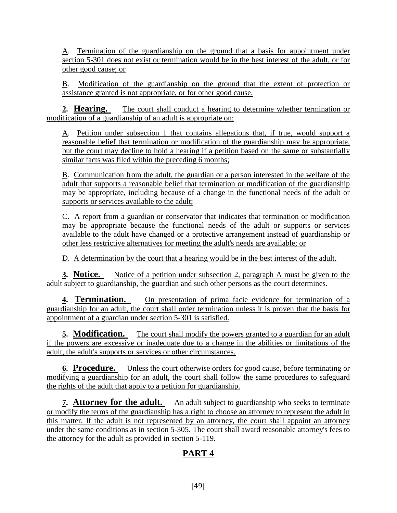A. Termination of the guardianship on the ground that a basis for appointment under section 5-301 does not exist or termination would be in the best interest of the adult, or for other good cause; or

B. Modification of the guardianship on the ground that the extent of protection or assistance granted is not appropriate, or for other good cause.

**2. Hearing.** The court shall conduct a hearing to determine whether termination or modification of a guardianship of an adult is appropriate on:

A. Petition under subsection 1 that contains allegations that, if true, would support a reasonable belief that termination or modification of the guardianship may be appropriate, but the court may decline to hold a hearing if a petition based on the same or substantially similar facts was filed within the preceding 6 months;

B. Communication from the adult, the guardian or a person interested in the welfare of the adult that supports a reasonable belief that termination or modification of the guardianship may be appropriate, including because of a change in the functional needs of the adult or supports or services available to the adult;

C. A report from a guardian or conservator that indicates that termination or modification may be appropriate because the functional needs of the adult or supports or services available to the adult have changed or a protective arrangement instead of guardianship or other less restrictive alternatives for meeting the adult's needs are available; or

D. A determination by the court that a hearing would be in the best interest of the adult.

**3. Notice.** Notice of a petition under subsection 2, paragraph A must be given to the adult subject to guardianship, the guardian and such other persons as the court determines.

**4. Termination.** On presentation of prima facie evidence for termination of a guardianship for an adult, the court shall order termination unless it is proven that the basis for appointment of a guardian under section 5-301 is satisfied.

**5. Modification.** The court shall modify the powers granted to a guardian for an adult if the powers are excessive or inadequate due to a change in the abilities or limitations of the adult, the adult's supports or services or other circumstances.

**6. Procedure.** Unless the court otherwise orders for good cause, before terminating or modifying a guardianship for an adult, the court shall follow the same procedures to safeguard the rights of the adult that apply to a petition for guardianship.

**7. Attorney for the adult.** An adult subject to guardianship who seeks to terminate or modify the terms of the guardianship has a right to choose an attorney to represent the adult in this matter. If the adult is not represented by an attorney, the court shall appoint an attorney under the same conditions as in section 5-305. The court shall award reasonable attorney's fees to the attorney for the adult as provided in section 5-119.

# **PART 4**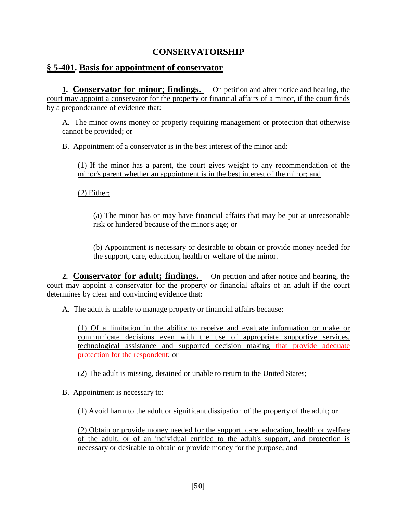### **CONSERVATORSHIP**

### **§ 5-401. Basis for appointment of conservator**

**1. Conservator for minor; findings.** On petition and after notice and hearing, the court may appoint a conservator for the property or financial affairs of a minor, if the court finds by a preponderance of evidence that:

A. The minor owns money or property requiring management or protection that otherwise cannot be provided; or

B. Appointment of a conservator is in the best interest of the minor and:

(1) If the minor has a parent, the court gives weight to any recommendation of the minor's parent whether an appointment is in the best interest of the minor; and

(2) Either:

(a) The minor has or may have financial affairs that may be put at unreasonable risk or hindered because of the minor's age; or

(b) Appointment is necessary or desirable to obtain or provide money needed for the support, care, education, health or welfare of the minor.

**2. Conservator for adult; findings.** On petition and after notice and hearing, the court may appoint a conservator for the property or financial affairs of an adult if the court determines by clear and convincing evidence that:

A. The adult is unable to manage property or financial affairs because:

(1) Of a limitation in the ability to receive and evaluate information or make or communicate decisions even with the use of appropriate supportive services, technological assistance and supported decision making that provide adequate protection for the respondent; or

(2) The adult is missing, detained or unable to return to the United States;

B. Appointment is necessary to:

(1) Avoid harm to the adult or significant dissipation of the property of the adult; or

(2) Obtain or provide money needed for the support, care, education, health or welfare of the adult, or of an individual entitled to the adult's support, and protection is necessary or desirable to obtain or provide money for the purpose; and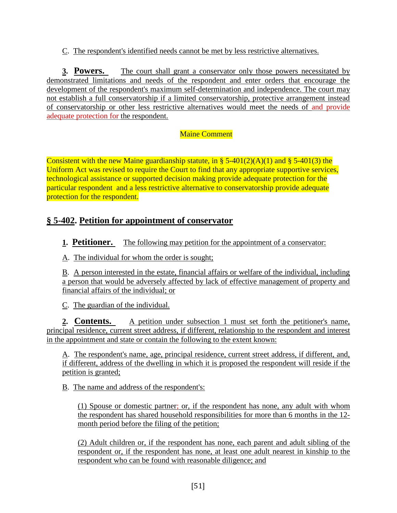C. The respondent's identified needs cannot be met by less restrictive alternatives.

**3. Powers.** The court shall grant a conservator only those powers necessitated by demonstrated limitations and needs of the respondent and enter orders that encourage the development of the respondent's maximum self-determination and independence. The court may not establish a full conservatorship if a limited conservatorship, protective arrangement instead of conservatorship or other less restrictive alternatives would meet the needs of and provide adequate protection for the respondent.

#### Maine Comment

Consistent with the new Maine guardianship statute, in § 5-401(2)(A)(1) and § 5-401(3) the Uniform Act was revised to require the Court to find that any appropriate supportive services, technological assistance or supported decision making provide adequate protection for the particular respondent and a less restrictive alternative to conservatorship provide adequate protection for the respondent.

# **§ 5-402. Petition for appointment of conservator**

**1. Petitioner.** The following may petition for the appointment of a conservator:

A. The individual for whom the order is sought;

B. A person interested in the estate, financial affairs or welfare of the individual, including a person that would be adversely affected by lack of effective management of property and financial affairs of the individual; or

C. The guardian of the individual.

**2. Contents.** A petition under subsection 1 must set forth the petitioner's name, principal residence, current street address, if different, relationship to the respondent and interest in the appointment and state or contain the following to the extent known:

A. The respondent's name, age, principal residence, current street address, if different, and, if different, address of the dwelling in which it is proposed the respondent will reside if the petition is granted;

B. The name and address of the respondent's:

(1) Spouse or domestic partner; or, if the respondent has none, any adult with whom the respondent has shared household responsibilities for more than 6 months in the 12 month period before the filing of the petition;

(2) Adult children or, if the respondent has none, each parent and adult sibling of the respondent or, if the respondent has none, at least one adult nearest in kinship to the respondent who can be found with reasonable diligence; and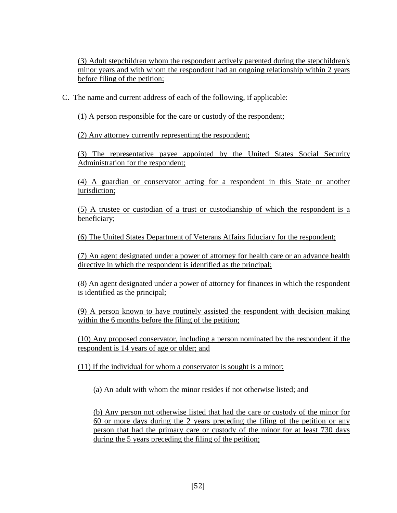(3) Adult stepchildren whom the respondent actively parented during the stepchildren's minor years and with whom the respondent had an ongoing relationship within 2 years before filing of the petition;

C. The name and current address of each of the following, if applicable:

(1) A person responsible for the care or custody of the respondent;

(2) Any attorney currently representing the respondent;

(3) The representative payee appointed by the United States Social Security Administration for the respondent;

(4) A guardian or conservator acting for a respondent in this State or another jurisdiction;

(5) A trustee or custodian of a trust or custodianship of which the respondent is a beneficiary;

(6) The United States Department of Veterans Affairs fiduciary for the respondent;

(7) An agent designated under a power of attorney for health care or an advance health directive in which the respondent is identified as the principal;

(8) An agent designated under a power of attorney for finances in which the respondent is identified as the principal;

(9) A person known to have routinely assisted the respondent with decision making within the 6 months before the filing of the petition;

(10) Any proposed conservator, including a person nominated by the respondent if the respondent is 14 years of age or older; and

(11) If the individual for whom a conservator is sought is a minor:

(a) An adult with whom the minor resides if not otherwise listed; and

(b) Any person not otherwise listed that had the care or custody of the minor for 60 or more days during the 2 years preceding the filing of the petition or any person that had the primary care or custody of the minor for at least 730 days during the 5 years preceding the filing of the petition;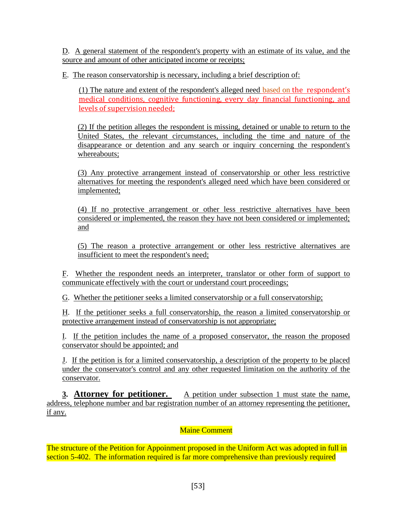D. A general statement of the respondent's property with an estimate of its value, and the source and amount of other anticipated income or receipts;

E. The reason conservatorship is necessary, including a brief description of:

(1) The nature and extent of the respondent's alleged need based on the respondent's medical conditions, cognitive functioning, every day financial functioning, and levels of supervision needed;

(2) If the petition alleges the respondent is missing, detained or unable to return to the United States, the relevant circumstances, including the time and nature of the disappearance or detention and any search or inquiry concerning the respondent's whereabouts;

(3) Any protective arrangement instead of conservatorship or other less restrictive alternatives for meeting the respondent's alleged need which have been considered or implemented;

(4) If no protective arrangement or other less restrictive alternatives have been considered or implemented, the reason they have not been considered or implemented; and

(5) The reason a protective arrangement or other less restrictive alternatives are insufficient to meet the respondent's need;

F. Whether the respondent needs an interpreter, translator or other form of support to communicate effectively with the court or understand court proceedings;

G. Whether the petitioner seeks a limited conservatorship or a full conservatorship;

H. If the petitioner seeks a full conservatorship, the reason a limited conservatorship or protective arrangement instead of conservatorship is not appropriate;

I. If the petition includes the name of a proposed conservator, the reason the proposed conservator should be appointed; and

J. If the petition is for a limited conservatorship, a description of the property to be placed under the conservator's control and any other requested limitation on the authority of the conservator.

**3. Attorney for petitioner.** A petition under subsection 1 must state the name, address, telephone number and bar registration number of an attorney representing the petitioner, if any.

#### Maine Comment

The structure of the Petition for Appoinment proposed in the Uniform Act was adopted in full in section 5-402. The information required is far more comprehensive than previously required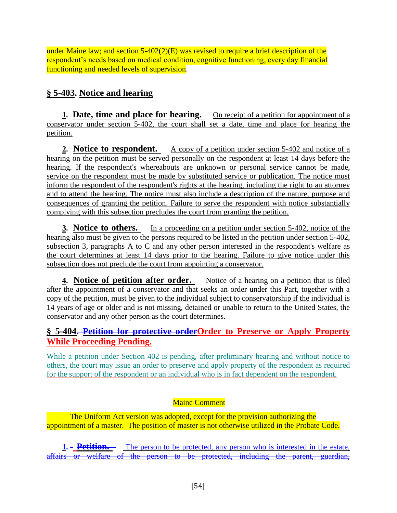under Maine law; and section 5-402(2)(E) was revised to require a brief description of the respondent's needs based on medical condition, cognitive functioning, every day financial functioning and needed levels of supervision.

# **§ 5-403. Notice and hearing**

**1. Date, time and place for hearing.** On receipt of a petition for appointment of a conservator under section 5-402, the court shall set a date, time and place for hearing the petition.

2. **Notice to respondent.** A copy of a petition under section 5-402 and notice of a hearing on the petition must be served personally on the respondent at least 14 days before the hearing. If the respondent's whereabouts are unknown or personal service cannot be made, service on the respondent must be made by substituted service or publication. The notice must inform the respondent of the respondent's rights at the hearing, including the right to an attorney and to attend the hearing. The notice must also include a description of the nature, purpose and consequences of granting the petition. Failure to serve the respondent with notice substantially complying with this subsection precludes the court from granting the petition.

**3. Notice to others.** In a proceeding on a petition under section 5-402, notice of the hearing also must be given to the persons required to be listed in the petition under section 5-402, subsection 3, paragraphs A to C and any other person interested in the respondent's welfare as the court determines at least 14 days prior to the hearing. Failure to give notice under this subsection does not preclude the court from appointing a conservator.

**4. Notice of petition after order.** Notice of a hearing on a petition that is filed after the appointment of a conservator and that seeks an order under this Part, together with a copy of the petition, must be given to the individual subject to conservatorship if the individual is 14 years of age or older and is not missing, detained or unable to return to the United States, the conservator and any other person as the court determines.

### **§ 5-404. Petition for protective orderOrder to Preserve or Apply Property While Proceeding Pending.**

While a petition under Section 402 is pending, after preliminary hearing and without notice to others, the court may issue an order to preserve and apply property of the respondent as required for the support of the respondent or an individual who is in fact dependent on the respondent.

### Maine Comment

The Uniform Act version was adopted, except for the provision authorizing the appointment of a master. The position of master is not otherwise utilized in the Probate Code.

**1. Petition.** The person to be protected, any person who is interested in the estate, affairs or welfare of the person to be protected, including the parent, guardian,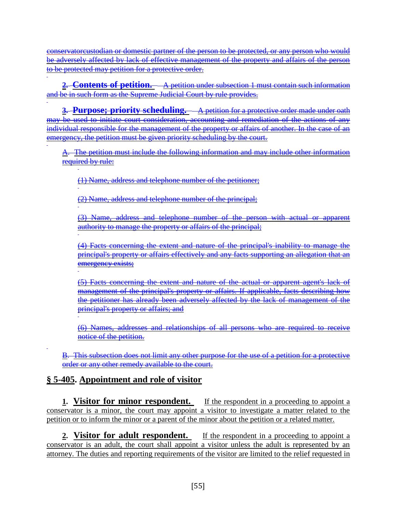conservatorcustodian or domestic partner of the person to be protected, or any person who would be adversely affected by lack of effective management of the property and affairs of the person to be protected may petition for a protective order.

**2. Contents of petition.** A petition under subsection 1 must contain such information and be in such form as the Supreme Judicial Court by rule provides.

**3. Purpose; priority scheduling.** A petition for a protective order made under oath may be used to initiate court consideration, accounting and remediation of the actions of any individual responsible for the management of the property or affairs of another. In the case of an emergency, the petition must be given priority scheduling by the court.

A. The petition must include the following information and may include other information required by rule:

(1) Name, address and telephone number of the petitioner;

(2) Name, address and telephone number of the principal;

(3) Name, address and telephone number of the person with actual or apparent authority to manage the property or affairs of the principal;

(4) Facts concerning the extent and nature of the principal's inability to manage the principal's property or affairs effectively and any facts supporting an allegation that an emergency exists;

(5) Facts concerning the extent and nature of the actual or apparent agent's lack of management of the principal's property or affairs. If applicable, facts describing how the petitioner has already been adversely affected by the lack of management of the principal's property or affairs; and

(6) Names, addresses and relationships of all persons who are required to receive notice of the petition.

B. This subsection does not limit any other purpose for the use of a petition for a protective order or any other remedy available to the court.

### **§ 5-405. Appointment and role of visitor**

**1. Visitor for minor respondent.** If the respondent in a proceeding to appoint a conservator is a minor, the court may appoint a visitor to investigate a matter related to the petition or to inform the minor or a parent of the minor about the petition or a related matter.

**2. Visitor for adult respondent.** If the respondent in a proceeding to appoint a conservator is an adult, the court shall appoint a visitor unless the adult is represented by an attorney. The duties and reporting requirements of the visitor are limited to the relief requested in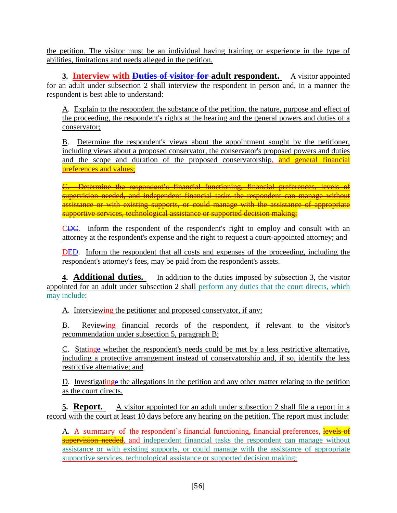the petition. The visitor must be an individual having training or experience in the type of abilities, limitations and needs alleged in the petition.

**3. Interview with <del>Duties of visitor for</del> adult respondent.** A visitor appointed for an adult under subsection 2 shall interview the respondent in person and, in a manner the respondent is best able to understand:

A. Explain to the respondent the substance of the petition, the nature, purpose and effect of the proceeding, the respondent's rights at the hearing and the general powers and duties of a conservator;

B. Determine the respondent's views about the appointment sought by the petitioner, including views about a proposed conservator, the conservator's proposed powers and duties and the scope and duration of the proposed conservatorship, and general financial preferences and values;

C. Determine the respondent's financial functioning, financial preferences, levels of supervision needed, and independent financial tasks the respondent can manage without assistance or with existing supports, or could manage with the assistance of appropriate supportive services, technological assistance or supported decision making;

CDC. Inform the respondent of the respondent's right to employ and consult with an attorney at the respondent's expense and the right to request a court-appointed attorney; and

DED. Inform the respondent that all costs and expenses of the proceeding, including the respondent's attorney's fees, may be paid from the respondent's assets.

**4. Additional duties.** In addition to the duties imposed by subsection 3, the visitor appointed for an adult under subsection 2 shall perform any duties that the court directs, which may include:

A. Interviewing the petitioner and proposed conservator, if any;

B. Reviewing financial records of the respondent, if relevant to the visitor's recommendation under subsection 5, paragraph B;

C. Statinge whether the respondent's needs could be met by a less restrictive alternative, including a protective arrangement instead of conservatorship and, if so, identify the less restrictive alternative; and

D. Investigating the allegations in the petition and any other matter relating to the petition as the court directs.

**5. Report.** A visitor appointed for an adult under subsection 2 shall file a report in a record with the court at least 10 days before any hearing on the petition. The report must include:

A. A summary of the respondent's financial functioning, financial preferences, levels of supervision needed, and independent financial tasks the respondent can manage without assistance or with existing supports, or could manage with the assistance of appropriate supportive services, technological assistance or supported decision making;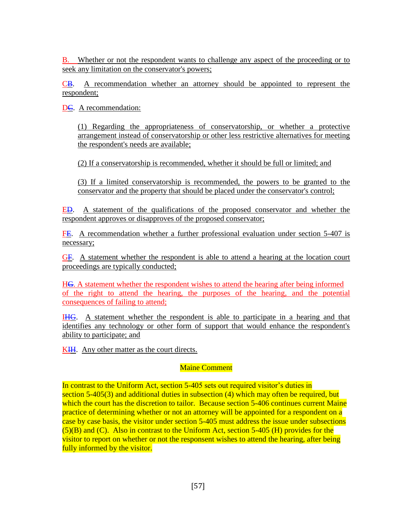B. Whether or not the respondent wants to challenge any aspect of the proceeding or to seek any limitation on the conservator's powers;

CB. A recommendation whether an attorney should be appointed to represent the respondent;

DC. A recommendation:

(1) Regarding the appropriateness of conservatorship, or whether a protective arrangement instead of conservatorship or other less restrictive alternatives for meeting the respondent's needs are available;

(2) If a conservatorship is recommended, whether it should be full or limited; and

(3) If a limited conservatorship is recommended, the powers to be granted to the conservator and the property that should be placed under the conservator's control;

ED. A statement of the qualifications of the proposed conservator and whether the respondent approves or disapproves of the proposed conservator;

FE. A recommendation whether a further professional evaluation under section 5-407 is necessary;

GF. A statement whether the respondent is able to attend a hearing at the location court proceedings are typically conducted;

HG. A statement whether the respondent wishes to attend the hearing after being informed of the right to attend the hearing, the purposes of the hearing, and the potential consequences of failing to attend;

IHG. A statement whether the respondent is able to participate in a hearing and that identifies any technology or other form of support that would enhance the respondent's ability to participate; and

KIH. Any other matter as the court directs.

#### Maine Comment

In contrast to the Uniform Act, section 5-405 sets out required visitor's duties in section 5-405(3) and additional duties in subsection (4) which may often be required, but which the court has the discretion to tailor. Because section 5-406 continues current Maine practice of determining whether or not an attorney will be appointed for a respondent on a case by case basis, the visitor under section 5-405 must address the issue under subsections  $(5)(B)$  and  $(C)$ . Also in contrast to the Uniform Act, section 5-405 (H) provides for the visitor to report on whether or not the responsent wishes to attend the hearing, after being fully informed by the visitor.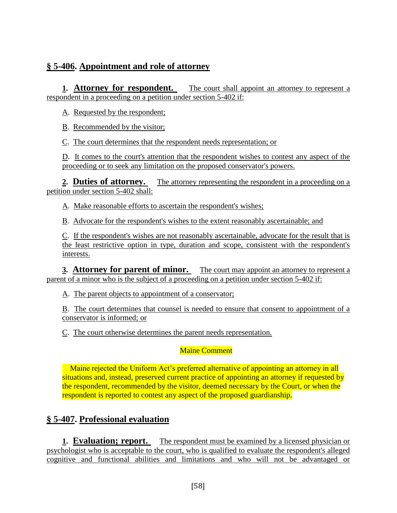### **§ 5-406. Appointment and role of attorney**

**1. Attorney for respondent.** The court shall appoint an attorney to represent a respondent in a proceeding on a petition under section 5-402 if:

A. Requested by the respondent;

B. Recommended by the visitor;

C. The court determines that the respondent needs representation; or

D. It comes to the court's attention that the respondent wishes to contest any aspect of the proceeding or to seek any limitation on the proposed conservator's powers.

**2. Duties of attorney.** The attorney representing the respondent in a proceeding on a petition under section 5-402 shall:

A. Make reasonable efforts to ascertain the respondent's wishes;

B. Advocate for the respondent's wishes to the extent reasonably ascertainable; and

C. If the respondent's wishes are not reasonably ascertainable, advocate for the result that is the least restrictive option in type, duration and scope, consistent with the respondent's interests.

**3. Attorney for parent of minor.** The court may appoint an attorney to represent a parent of a minor who is the subject of a proceeding on a petition under section 5-402 if:

A. The parent objects to appointment of a conservator;

B. The court determines that counsel is needed to ensure that consent to appointment of a conservator is informed; or

C. The court otherwise determines the parent needs representation.

Maine Comment

Maine rejected the Uniform Act's preferred alternative of appointing an attorney in all situations and, instead, preserved current practice of appointing an attorney if requested by the respondent, recommended by the visitor, deemed necessary by the Court, or when the respondent is reported to contest any aspect of the proposed guardianship.

## **§ 5-407. Professional evaluation**

**1. Evaluation; report.** The respondent must be examined by a licensed physician or psychologist who is acceptable to the court, who is qualified to evaluate the respondent's alleged cognitive and functional abilities and limitations and who will not be advantaged or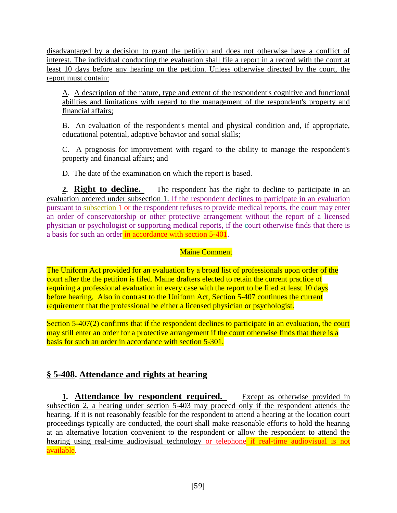disadvantaged by a decision to grant the petition and does not otherwise have a conflict of interest. The individual conducting the evaluation shall file a report in a record with the court at least 10 days before any hearing on the petition. Unless otherwise directed by the court, the report must contain:

A. A description of the nature, type and extent of the respondent's cognitive and functional abilities and limitations with regard to the management of the respondent's property and financial affairs;

B. An evaluation of the respondent's mental and physical condition and, if appropriate, educational potential, adaptive behavior and social skills;

C. A prognosis for improvement with regard to the ability to manage the respondent's property and financial affairs; and

D. The date of the examination on which the report is based.

**2. Right to decline.** The respondent has the right to decline to participate in an evaluation ordered under subsection 1. If the respondent declines to participate in an evaluation pursuant to subsection 1 or the respondent refuses to provide medical reports, the court may enter an order of conservatorship or other protective arrangement without the report of a licensed physician or psychologist or supporting medical reports, if the court otherwise finds that there is a basis for such an order in accordance with section 5-401.

#### Maine Comment

The Uniform Act provided for an evaluation by a broad list of professionals upon order of the court after the the petition is filed. Maine drafters elected to retain the current practice of requiring a professional evaluation in every case with the report to be filed at least 10 days before hearing. Also in contrast to the Uniform Act, Section 5-407 continues the current requirement that the professional be either a licensed physician or psychologist.

Section 5-407(2) confirms that if the respondent declines to participate in an evaluation, the court may still enter an order for a protective arrangement if the court otherwise finds that there is a basis for such an order in accordance with section 5-301.

## **§ 5-408. Attendance and rights at hearing**

**1. Attendance by respondent required.** Except as otherwise provided in subsection 2, a hearing under section 5-403 may proceed only if the respondent attends the hearing. If it is not reasonably feasible for the respondent to attend a hearing at the location court proceedings typically are conducted, the court shall make reasonable efforts to hold the hearing at an alternative location convenient to the respondent or allow the respondent to attend the hearing using real-time audiovisual technology or telephone if real-time audiovisual is not available.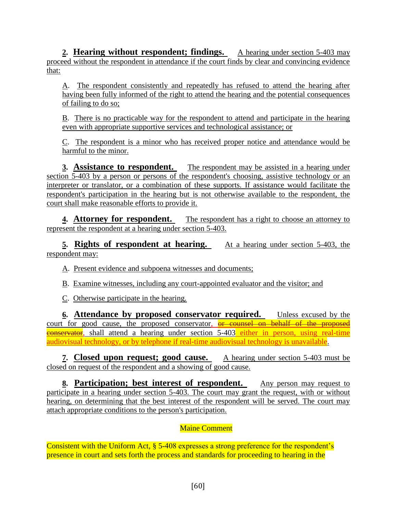**2. Hearing without respondent; findings.** A hearing under section 5-403 may proceed without the respondent in attendance if the court finds by clear and convincing evidence that:

A. The respondent consistently and repeatedly has refused to attend the hearing after having been fully informed of the right to attend the hearing and the potential consequences of failing to do so;

B. There is no practicable way for the respondent to attend and participate in the hearing even with appropriate supportive services and technological assistance; or

C. The respondent is a minor who has received proper notice and attendance would be harmful to the minor.

**3.** Assistance to respondent. The respondent may be assisted in a hearing under section 5-403 by a person or persons of the respondent's choosing, assistive technology or an interpreter or translator, or a combination of these supports. If assistance would facilitate the respondent's participation in the hearing but is not otherwise available to the respondent, the court shall make reasonable efforts to provide it.

**4. Attorney for respondent.** The respondent has a right to choose an attorney to represent the respondent at a hearing under section 5-403.

**5. Rights of respondent at hearing.** At a hearing under section 5-403, the respondent may:

A. Present evidence and subpoena witnesses and documents;

B. Examine witnesses, including any court-appointed evaluator and the visitor; and

C. Otherwise participate in the hearing.

**6. Attendance by proposed conservator required.** Unless excused by the court for good cause, the proposed conservator, or counsel on behalf of the proposed **conservator**, shall attend a hearing under section 5-403 either in person, using real-time audiovisual technology, or by telephone if real-time audiovisual technology is unavailable.

**7. Closed upon request; good cause.** A hearing under section 5-403 must be closed on request of the respondent and a showing of good cause.

**8. Participation; best interest of respondent.** Any person may request to participate in a hearing under section 5-403. The court may grant the request, with or without hearing, on determining that the best interest of the respondent will be served. The court may attach appropriate conditions to the person's participation.

#### Maine Comment

Consistent with the Uniform Act, § 5-408 expresses a strong preference for the respondent's presence in court and sets forth the process and standards for proceeding to hearing in the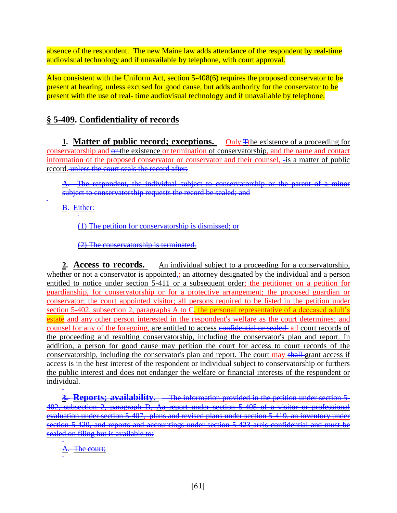absence of the respondent. The new Maine law adds attendance of the respondent by real-time audiovisual technology and if unavailable by telephone, with court approval.

Also consistent with the Uniform Act, section 5-408(6) requires the proposed conservator to be present at hearing, unless excused for good cause, but adds authority for the conservator to be present with the use of real- time audiovisual technology and if unavailable by telephone.

# **§ 5-409. Confidentiality of records**

**1. Matter of public record; exceptions.** Only Tthe existence of a proceeding for conservatorship and  $\Theta$ -the existence or termination of conservatorship, and the name and contact information of the proposed conservator or conservator and their counsel, -is a matter of public record. unless the court seals the record after:

The respondent, the individual subject to conservatorship or the parent of a minor subject to conservatorship requests the record be sealed; and

B. Either:

(1) The petition for conservatorship is dismissed; or

(2) The conservatorship is terminated.

**2. Access to records.** An individual subject to a proceeding for a conservatorship, whether or not a conservator is appointed, an attorney designated by the individual and a person entitled to notice under section 5-411 or a subsequent order; the petitioner on a petition for guardianship, for conservatorship or for a protective arrangement; the proposed guardian or conservator; the court appointed visitor; all persons required to be listed in the petition under section 5-402, subsection 2, paragraphs A to C, the personal representative of a deceased adult's estate and any other person interested in the respondent's welfare as the court determines; and counsel for any of the foregoing, are entitled to access confidential or sealed all court records of the proceeding and resulting conservatorship, including the conservator's plan and report. In addition, a person for good cause may petition the court for access to court records of the conservatorship, including the conservator's plan and report. The court may shall-grant access if access is in the best interest of the respondent or individual subject to conservatorship or furthers the public interest and does not endanger the welfare or financial interests of the respondent or individual.

**3. Reports; availability.** The information provided in the petition under section 5- 402, subsection 2, paragraph D, Aa report under section 5-405 of a visitor or professional evaluation under section 5-407, plans and revised plans under section 5-419, an inventory under section 5-420, and reports and accountings under section 5-423 areis confidential and must be sealed on filing but is available to:

A. The court;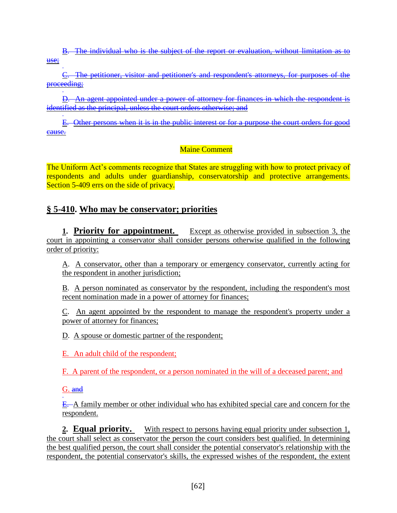B. The individual who is the subject of the report or evaluation, without limitation as to use;

C. The petitioner, visitor and petitioner's and respondent's attorneys, for purposes of the proceeding;

D. An agent appointed under a power of attorney for finances in which the respondent is identified as the principal, unless the court orders otherwise; and

E. Other persons when it is in the public interest or for a purpose the court orders for good cause.

#### Maine Comment

The Uniform Act's comments recognize that States are struggling with how to protect privacy of respondents and adults under guardianship, conservatorship and protective arrangements. Section 5-409 errs on the side of privacy.

### **§ 5-410. Who may be conservator; priorities**

**1. Priority for appointment.** Except as otherwise provided in subsection 3, the court in appointing a conservator shall consider persons otherwise qualified in the following order of priority:

A. A conservator, other than a temporary or emergency conservator, currently acting for the respondent in another jurisdiction;

B. A person nominated as conservator by the respondent, including the respondent's most recent nomination made in a power of attorney for finances;

C. An agent appointed by the respondent to manage the respondent's property under a power of attorney for finances;

D. A spouse or domestic partner of the respondent;

E. An adult child of the respondent;

F. A parent of the respondent, or a person nominated in the will of a deceased parent; and

G. and

E. A family member or other individual who has exhibited special care and concern for the respondent.

**2. Equal priority.** With respect to persons having equal priority under subsection 1, the court shall select as conservator the person the court considers best qualified. In determining the best qualified person, the court shall consider the potential conservator's relationship with the respondent, the potential conservator's skills, the expressed wishes of the respondent, the extent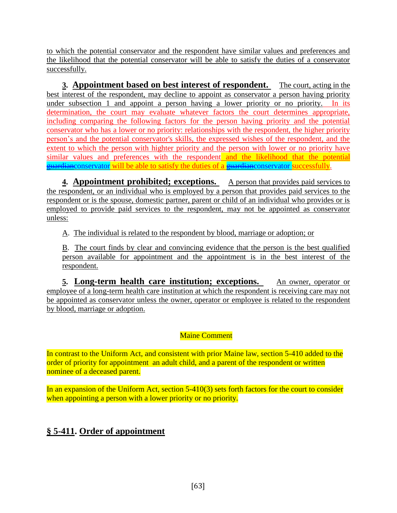to which the potential conservator and the respondent have similar values and preferences and the likelihood that the potential conservator will be able to satisfy the duties of a conservator successfully.

**3. Appointment based on best interest of respondent.** The court, acting in the best interest of the respondent, may decline to appoint as conservator a person having priority under subsection 1 and appoint a person having a lower priority or no priority. In its determination, the court may evaluate whatever factors the court determines appropriate, including comparing the following factors for the person having priority and the potential conservator who has a lower or no priority: relationships with the respondent, the higher priority person's and the potential conservator's skills, the expressed wishes of the respondent, and the extent to which the person with highter priority and the person with lower or no priority have similar values and preferences with the respondent and the likelihood that the potential guardianconservator will be able to satisfy the duties of a guardianconservator successfully.

**4. Appointment prohibited; exceptions.** A person that provides paid services to the respondent, or an individual who is employed by a person that provides paid services to the respondent or is the spouse, domestic partner, parent or child of an individual who provides or is employed to provide paid services to the respondent, may not be appointed as conservator unless:

A. The individual is related to the respondent by blood, marriage or adoption; or

B. The court finds by clear and convincing evidence that the person is the best qualified person available for appointment and the appointment is in the best interest of the respondent.

**5. Long-term health care institution; exceptions.** An owner, operator or employee of a long-term health care institution at which the respondent is receiving care may not be appointed as conservator unless the owner, operator or employee is related to the respondent by blood, marriage or adoption.

#### Maine Comment

In contrast to the Uniform Act, and consistent with prior Maine law, section 5-410 added to the order of priority for appointment an adult child, and a parent of the respondent or written nominee of a deceased parent.

In an expansion of the Uniform Act, section 5-410(3) sets forth factors for the court to consider when appointing a person with a lower priority or no priority.

# **§ 5-411. Order of appointment**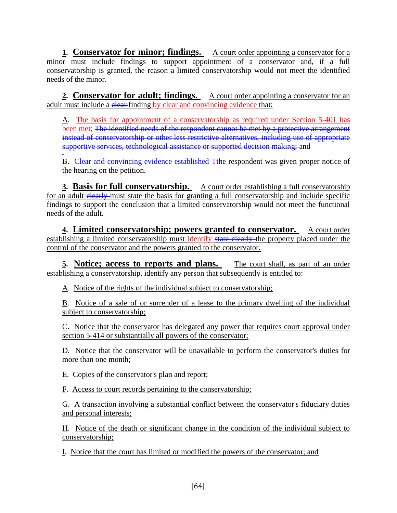**1. Conservator for minor; findings.** A court order appointing a conservator for a minor must include findings to support appointment of a conservator and, if a full conservatorship is granted, the reason a limited conservatorship would not meet the identified needs of the minor.

**2. Conservator for adult; findings.** A court order appointing a conservator for an adult must include a clear-finding by clear and convincing evidence that:

A. The basis for appointment of a conservatorship as required under Section 5-401 has been met; The identified needs of the respondent cannot be met by a protective arrangement instead of conservatorship or other less restrictive alternatives, including use of appropriate supportive services, technological assistance or supported decision making; and

B. Clear and convincing evidence established Tthe respondent was given proper notice of the hearing on the petition.

**3. Basis for full conservatorship.** A court order establishing a full conservatorship for an adult elearly must state the basis for granting a full conservatorship and include specific findings to support the conclusion that a limited conservatorship would not meet the functional needs of the adult.

**4. Limited conservatorship; powers granted to conservator.** A court order establishing a limited conservatorship must identify state clearly the property placed under the control of the conservator and the powers granted to the conservator.

**5. Notice; access to reports and plans.** The court shall, as part of an order establishing a conservatorship, identify any person that subsequently is entitled to:

A. Notice of the rights of the individual subject to conservatorship;

B. Notice of a sale of or surrender of a lease to the primary dwelling of the individual subject to conservatorship;

C. Notice that the conservator has delegated any power that requires court approval under section 5-414 or substantially all powers of the conservator;

D. Notice that the conservator will be unavailable to perform the conservator's duties for more than one month;

E. Copies of the conservator's plan and report;

F. Access to court records pertaining to the conservatorship;

G. A transaction involving a substantial conflict between the conservator's fiduciary duties and personal interests;

H. Notice of the death or significant change in the condition of the individual subject to conservatorship;

I. Notice that the court has limited or modified the powers of the conservator; and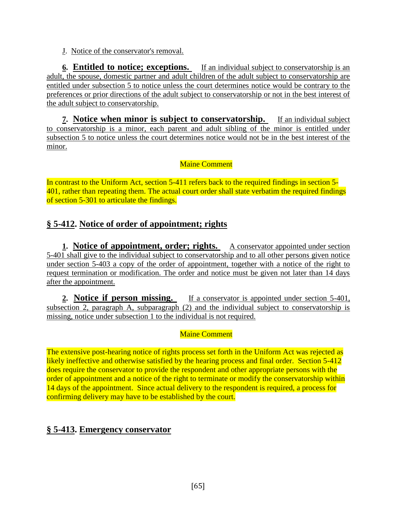J. Notice of the conservator's removal.

**6. Entitled to notice; exceptions.** If an individual subject to conservatorship is an adult, the spouse, domestic partner and adult children of the adult subject to conservatorship are entitled under subsection 5 to notice unless the court determines notice would be contrary to the preferences or prior directions of the adult subject to conservatorship or not in the best interest of the adult subject to conservatorship.

**7. Notice when minor is subject to conservatorship.** If an individual subject to conservatorship is a minor, each parent and adult sibling of the minor is entitled under subsection 5 to notice unless the court determines notice would not be in the best interest of the minor.

Maine Comment

In contrast to the Uniform Act, section 5-411 refers back to the required findings in section 5- 401, rather than repeating them. The actual court order shall state verbatim the required findings of section 5-301 to articulate the findings.

# **§ 5-412. Notice of order of appointment; rights**

**1. Notice of appointment, order; rights.** A conservator appointed under section 5-401 shall give to the individual subject to conservatorship and to all other persons given notice under section 5-403 a copy of the order of appointment, together with a notice of the right to request termination or modification. The order and notice must be given not later than 14 days after the appointment.

**2. Notice if person missing.** If a conservator is appointed under section 5-401, subsection 2, paragraph A, subparagraph (2) and the individual subject to conservatorship is missing, notice under subsection 1 to the individual is not required.

#### Maine Comment

The extensive post-hearing notice of rights process set forth in the Uniform Act was rejected as likely ineffective and otherwise satisfied by the hearing process and final order. Section 5-412 does require the conservator to provide the respondent and other appropriate persons with the order of appointment and a notice of the right to terminate or modify the conservatorship within 14 days of the appointment. Since actual delivery to the respondent is required, a process for confirming delivery may have to be established by the court.

## **§ 5-413. Emergency conservator**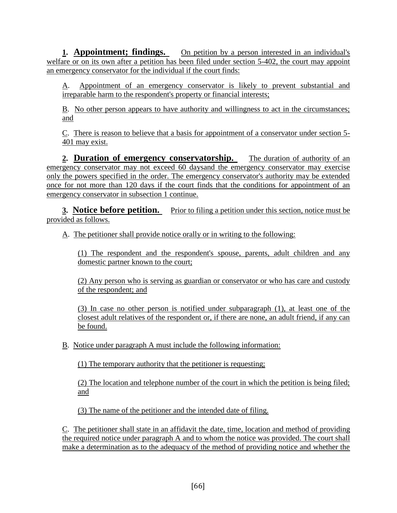**1. Appointment; findings.** On petition by a person interested in an individual's welfare or on its own after a petition has been filed under section 5-402, the court may appoint an emergency conservator for the individual if the court finds:

A. Appointment of an emergency conservator is likely to prevent substantial and irreparable harm to the respondent's property or financial interests;

B. No other person appears to have authority and willingness to act in the circumstances; and

C. There is reason to believe that a basis for appointment of a conservator under section 5- 401 may exist.

**2. Duration of emergency conservatorship.** The duration of authority of an emergency conservator may not exceed 60 daysand the emergency conservator may exercise only the powers specified in the order. The emergency conservator's authority may be extended once for not more than 120 days if the court finds that the conditions for appointment of an emergency conservator in subsection 1 continue.

**3. Notice before petition.** Prior to filing a petition under this section, notice must be provided as follows.

A. The petitioner shall provide notice orally or in writing to the following:

(1) The respondent and the respondent's spouse, parents, adult children and any domestic partner known to the court;

(2) Any person who is serving as guardian or conservator or who has care and custody of the respondent; and

(3) In case no other person is notified under subparagraph (1), at least one of the closest adult relatives of the respondent or, if there are none, an adult friend, if any can be found.

B. Notice under paragraph A must include the following information:

(1) The temporary authority that the petitioner is requesting;

(2) The location and telephone number of the court in which the petition is being filed; and

(3) The name of the petitioner and the intended date of filing.

C. The petitioner shall state in an affidavit the date, time, location and method of providing the required notice under paragraph A and to whom the notice was provided. The court shall make a determination as to the adequacy of the method of providing notice and whether the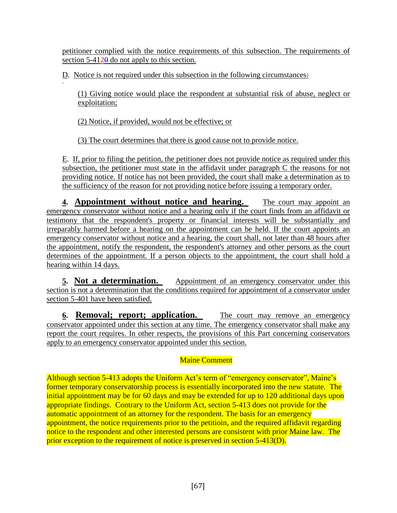petitioner complied with the notice requirements of this subsection. The requirements of section  $5-4120$  do not apply to this section.

D. Notice is not required under this subsection in the following circumstances:

(1) Giving notice would place the respondent at substantial risk of abuse, neglect or exploitation;

(2) Notice, if provided, would not be effective; or

(3) The court determines that there is good cause not to provide notice.

E. If, prior to filing the petition, the petitioner does not provide notice as required under this subsection, the petitioner must state in the affidavit under paragraph C the reasons for not providing notice. If notice has not been provided, the court shall make a determination as to the sufficiency of the reason for not providing notice before issuing a temporary order.

**4. Appointment without notice and hearing.** The court may appoint an emergency conservator without notice and a hearing only if the court finds from an affidavit or testimony that the respondent's property or financial interests will be substantially and irreparably harmed before a hearing on the appointment can be held. If the court appoints an emergency conservator without notice and a hearing, the court shall, not later than 48 hours after the appointment, notify the respondent, the respondent's attorney and other persons as the court determines of the appointment. If a person objects to the appointment, the court shall hold a hearing within 14 days.

**5. Not a determination.** Appointment of an emergency conservator under this section is not a determination that the conditions required for appointment of a conservator under section 5-401 have been satisfied.

**6. Removal; report; application.** The court may remove an emergency conservator appointed under this section at any time. The emergency conservator shall make any report the court requires. In other respects, the provisions of this Part concerning conservators apply to an emergency conservator appointed under this section.

### Maine Comment

Although section 5-413 adopts the Uniform Act's term of "emergency conservator", Maine's former temporary conservatorship process is essentially incorporated into the new statute. The initial appointment may be for 60 days and may be extended for up to 120 additional days upon appropriate findings. Contrary to the Uniform Act, section 5-413 does not provide for the automatic appointment of an attorney for the respondent. The basis for an emergency appointment, the notice requirements prior to the petitioin, and the required affidavit regarding notice to the respondent and other interested persons are consistent with prior Maine law. The prior exception to the requirement of notice is preserved in section 5-413(D).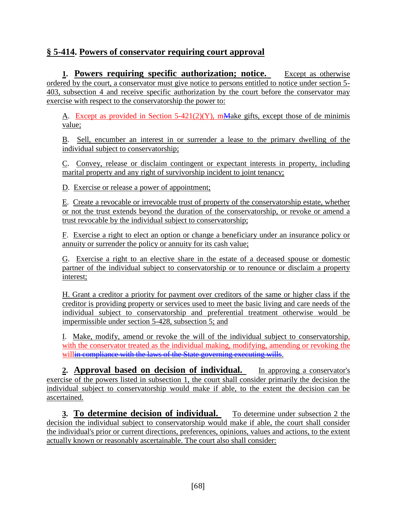### **§ 5-414. Powers of conservator requiring court approval**

**1. Powers requiring specific authorization; notice.** Except as otherwise ordered by the court, a conservator must give notice to persons entitled to notice under section 5- 403, subsection 4 and receive specific authorization by the court before the conservator may exercise with respect to the conservatorship the power to:

A. Except as provided in Section  $5-421(2)(Y)$ , mMake gifts, except those of de minimis value;

B. Sell, encumber an interest in or surrender a lease to the primary dwelling of the individual subject to conservatorship;

C. Convey, release or disclaim contingent or expectant interests in property, including marital property and any right of survivorship incident to joint tenancy;

D. Exercise or release a power of appointment;

E. Create a revocable or irrevocable trust of property of the conservatorship estate, whether or not the trust extends beyond the duration of the conservatorship, or revoke or amend a trust revocable by the individual subject to conservatorship;

F. Exercise a right to elect an option or change a beneficiary under an insurance policy or annuity or surrender the policy or annuity for its cash value;

G. Exercise a right to an elective share in the estate of a deceased spouse or domestic partner of the individual subject to conservatorship or to renounce or disclaim a property interest;

H. Grant a creditor a priority for payment over creditors of the same or higher class if the creditor is providing property or services used to meet the basic living and care needs of the individual subject to conservatorship and preferential treatment otherwise would be impermissible under section 5-428, subsection 5; and

I. Make, modify, amend or revoke the will of the individual subject to conservatorship, with the conservator treated as the individual making, modifying, amending or revoking the willin compliance with the laws of the State governing executing wills.

**2. Approval based on decision of individual.** In approving a conservator's exercise of the powers listed in subsection 1, the court shall consider primarily the decision the individual subject to conservatorship would make if able, to the extent the decision can be ascertained.

**3. To determine decision of individual.** To determine under subsection 2 the decision the individual subject to conservatorship would make if able, the court shall consider the individual's prior or current directions, preferences, opinions, values and actions, to the extent actually known or reasonably ascertainable. The court also shall consider: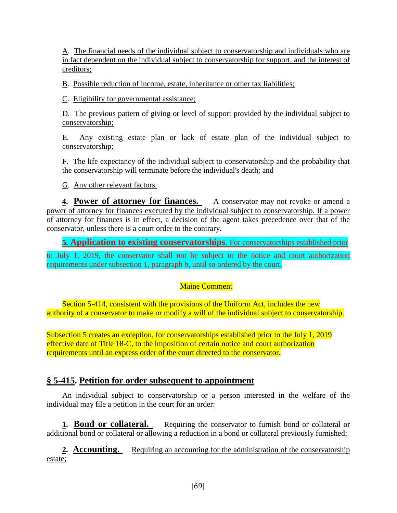A. The financial needs of the individual subject to conservatorship and individuals who are in fact dependent on the individual subject to conservatorship for support, and the interest of creditors;

B. Possible reduction of income, estate, inheritance or other tax liabilities;

C. Eligibility for governmental assistance;

D. The previous pattern of giving or level of support provided by the individual subject to conservatorship;

E. Any existing estate plan or lack of estate plan of the individual subject to conservatorship;

F. The life expectancy of the individual subject to conservatorship and the probability that the conservatorship will terminate before the individual's death; and

G. Any other relevant factors.

**4. Power of attorney for finances.** A conservator may not revoke or amend a power of attorney for finances executed by the individual subject to conservatorship. If a power of attorney for finances is in effect, a decision of the agent takes precedence over that of the conservator, unless there is a court order to the contrary.

**5. Application to existing conservatorships**. For conservatorships established prior

to July 1, 2019, the conservator shall not be subject to the notice and court authorization requirements under subsection 1, paragraph b, until so ordered by the court.

### Maine Comment

Section 5-414, consistent with the provisions of the Uniform Act, includes the new authority of a conservator to make or modify a will of the individual subject to conservatorship.

Subsection 5 creates an exception, for conservatorships established prior to the July 1, 2019 effective date of Title 18-C, to the imposition of certain notice and court authorization requirements until an express order of the court directed to the conservator.

# **§ 5-415. Petition for order subsequent to appointment**

An individual subject to conservatorship or a person interested in the welfare of the individual may file a petition in the court for an order:

**1. Bond or collateral.** Requiring the conservator to furnish bond or collateral or additional bond or collateral or allowing a reduction in a bond or collateral previously furnished;

**2. Accounting.** Requiring an accounting for the administration of the conservatorship estate;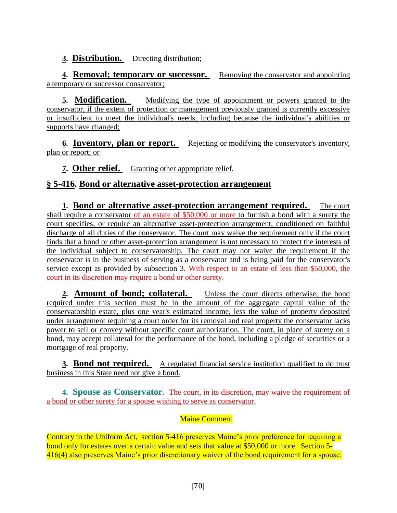#### **3. Distribution.** Directing distribution;

**4. Removal; temporary or successor.** Removing the conservator and appointing a temporary or successor conservator;

**5. Modification.** Modifying the type of appointment or powers granted to the conservator, if the extent of protection or management previously granted is currently excessive or insufficient to meet the individual's needs, including because the individual's abilities or supports have changed;

**6. Inventory, plan or report.** Rejecting or modifying the conservator's inventory, plan or report; or

**7. Other relief.** Granting other appropriate relief.

### **§ 5-416. Bond or alternative asset-protection arrangement**

**1. Bond or alternative asset-protection arrangement required.** The court shall require a conservator of an estate of \$50,000 or more to furnish a bond with a surety the court specifies, or require an alternative asset-protection arrangement, conditioned on faithful discharge of all duties of the conservator. The court may waive the requirement only if the court finds that a bond or other asset-protection arrangement is not necessary to protect the interests of the individual subject to conservatorship. The court may not waive the requirement if the conservator is in the business of serving as a conservator and is being paid for the conservator's service except as provided by subsection 3. With respect to an estate of less than \$50,000, the court in its discretion may require a bond or other surety.

**2. Amount of bond; collateral.** Unless the court directs otherwise, the bond required under this section must be in the amount of the aggregate capital value of the conservatorship estate, plus one year's estimated income, less the value of property deposited under arrangement requiring a court order for its removal and real property the conservator lacks power to sell or convey without specific court authorization. The court, in place of surety on a bond, may accept collateral for the performance of the bond, including a pledge of securities or a mortgage of real property.

**3. Bond not required.** A regulated financial service institution qualified to do trust business in this State need not give a bond.

**4. Spouse as Conservator.** The court, in its discretion, may waive the requirement of a bond or other surety for a spouse wishing to serve as conservator.

#### Maine Comment

Contrary to the Uniform Act, section 5-416 preserves Maine's prior preference for requiring a bond only for estates over a certain value and sets that value at \$50,000 or more. Section 5-416(4) also preserves Maine's prior discretionary waiver of the bond requirement for a spouse.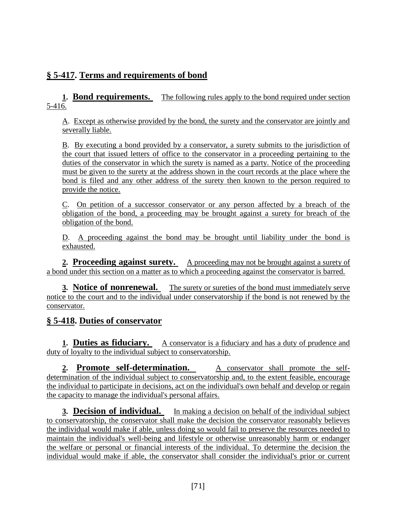# **§ 5-417. Terms and requirements of bond**

**1. Bond requirements.** The following rules apply to the bond required under section 5-416.

A. Except as otherwise provided by the bond, the surety and the conservator are jointly and severally liable.

B. By executing a bond provided by a conservator, a surety submits to the jurisdiction of the court that issued letters of office to the conservator in a proceeding pertaining to the duties of the conservator in which the surety is named as a party. Notice of the proceeding must be given to the surety at the address shown in the court records at the place where the bond is filed and any other address of the surety then known to the person required to provide the notice.

C. On petition of a successor conservator or any person affected by a breach of the obligation of the bond, a proceeding may be brought against a surety for breach of the obligation of the bond.

D. A proceeding against the bond may be brought until liability under the bond is exhausted.

2. **Proceeding against surety.** A proceeding may not be brought against a surety of a bond under this section on a matter as to which a proceeding against the conservator is barred.

**3. Notice of nonrenewal.** The surety or sureties of the bond must immediately serve notice to the court and to the individual under conservatorship if the bond is not renewed by the conservator.

### **§ 5-418. Duties of conservator**

**1. Duties as fiduciary.** A conservator is a fiduciary and has a duty of prudence and duty of loyalty to the individual subject to conservatorship.

**2. Promote self-determination.** A conservator shall promote the selfdetermination of the individual subject to conservatorship and, to the extent feasible, encourage the individual to participate in decisions, act on the individual's own behalf and develop or regain the capacity to manage the individual's personal affairs.

**3. Decision of individual.** In making a decision on behalf of the individual subject to conservatorship, the conservator shall make the decision the conservator reasonably believes the individual would make if able, unless doing so would fail to preserve the resources needed to maintain the individual's well-being and lifestyle or otherwise unreasonably harm or endanger the welfare or personal or financial interests of the individual. To determine the decision the individual would make if able, the conservator shall consider the individual's prior or current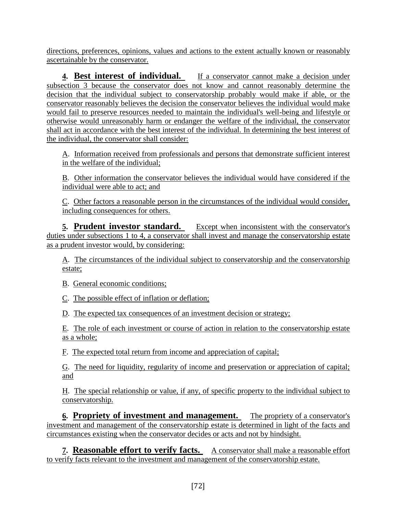directions, preferences, opinions, values and actions to the extent actually known or reasonably ascertainable by the conservator.

**4. Best interest of individual.** If a conservator cannot make a decision under subsection 3 because the conservator does not know and cannot reasonably determine the decision that the individual subject to conservatorship probably would make if able, or the conservator reasonably believes the decision the conservator believes the individual would make would fail to preserve resources needed to maintain the individual's well-being and lifestyle or otherwise would unreasonably harm or endanger the welfare of the individual, the conservator shall act in accordance with the best interest of the individual. In determining the best interest of the individual, the conservator shall consider:

A. Information received from professionals and persons that demonstrate sufficient interest in the welfare of the individual;

B. Other information the conservator believes the individual would have considered if the individual were able to act; and

C. Other factors a reasonable person in the circumstances of the individual would consider, including consequences for others.

**5. Prudent investor standard.** Except when inconsistent with the conservator's duties under subsections 1 to 4, a conservator shall invest and manage the conservatorship estate as a prudent investor would, by considering:

A. The circumstances of the individual subject to conservatorship and the conservatorship estate;

B. General economic conditions;

C. The possible effect of inflation or deflation;

D. The expected tax consequences of an investment decision or strategy;

E. The role of each investment or course of action in relation to the conservatorship estate as a whole;

F. The expected total return from income and appreciation of capital;

G. The need for liquidity, regularity of income and preservation or appreciation of capital; and

H. The special relationship or value, if any, of specific property to the individual subject to conservatorship.

**6. Propriety of investment and management.** The propriety of a conservator's investment and management of the conservatorship estate is determined in light of the facts and circumstances existing when the conservator decides or acts and not by hindsight.

**7. Reasonable effort to verify facts.** A conservator shall make a reasonable effort to verify facts relevant to the investment and management of the conservatorship estate.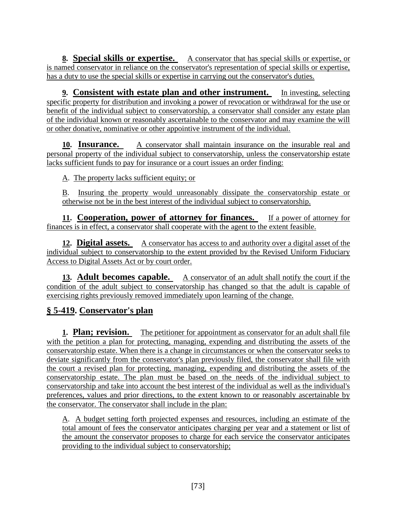**8. Special skills or expertise.** A conservator that has special skills or expertise, or is named conservator in reliance on the conservator's representation of special skills or expertise, has a duty to use the special skills or expertise in carrying out the conservator's duties.

**9. Consistent with estate plan and other instrument.** In investing, selecting specific property for distribution and invoking a power of revocation or withdrawal for the use or benefit of the individual subject to conservatorship, a conservator shall consider any estate plan of the individual known or reasonably ascertainable to the conservator and may examine the will or other donative, nominative or other appointive instrument of the individual.

**10. Insurance.** A conservator shall maintain insurance on the insurable real and personal property of the individual subject to conservatorship, unless the conservatorship estate lacks sufficient funds to pay for insurance or a court issues an order finding:

A. The property lacks sufficient equity; or

B. Insuring the property would unreasonably dissipate the conservatorship estate or otherwise not be in the best interest of the individual subject to conservatorship.

**11. Cooperation, power of attorney for finances.** If a power of attorney for finances is in effect, a conservator shall cooperate with the agent to the extent feasible.

**12. Digital assets.** A conservator has access to and authority over a digital asset of the individual subject to conservatorship to the extent provided by the Revised Uniform Fiduciary Access to Digital Assets Act or by court order.

**13. Adult becomes capable.** A conservator of an adult shall notify the court if the condition of the adult subject to conservatorship has changed so that the adult is capable of exercising rights previously removed immediately upon learning of the change.

## **§ 5-419. Conservator's plan**

**1. Plan; revision.** The petitioner for appointment as conservator for an adult shall file with the petition a plan for protecting, managing, expending and distributing the assets of the conservatorship estate. When there is a change in circumstances or when the conservator seeks to deviate significantly from the conservator's plan previously filed, the conservator shall file with the court a revised plan for protecting, managing, expending and distributing the assets of the conservatorship estate. The plan must be based on the needs of the individual subject to conservatorship and take into account the best interest of the individual as well as the individual's preferences, values and prior directions, to the extent known to or reasonably ascertainable by the conservator. The conservator shall include in the plan:

A. A budget setting forth projected expenses and resources, including an estimate of the total amount of fees the conservator anticipates charging per year and a statement or list of the amount the conservator proposes to charge for each service the conservator anticipates providing to the individual subject to conservatorship;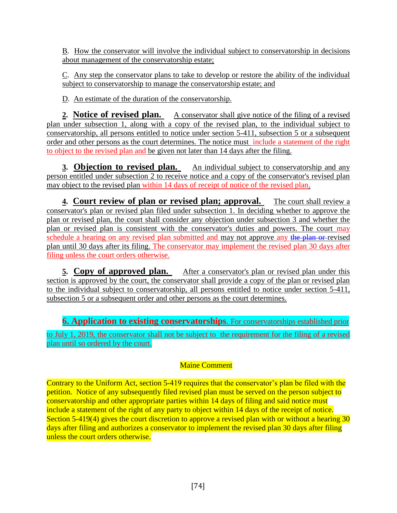B. How the conservator will involve the individual subject to conservatorship in decisions about management of the conservatorship estate;

C. Any step the conservator plans to take to develop or restore the ability of the individual subject to conservatorship to manage the conservatorship estate; and

D. An estimate of the duration of the conservatorship.

**2. Notice of revised plan.** A conservator shall give notice of the filing of a revised plan under subsection 1, along with a copy of the revised plan, to the individual subject to conservatorship, all persons entitled to notice under section 5-411, subsection 5 or a subsequent order and other persons as the court determines. The notice must include a statement of the right to object to the revised plan and be given not later than 14 days after the filing.

**3. Objection to revised plan.** An individual subject to conservatorship and any person entitled under subsection 2 to receive notice and a copy of the conservator's revised plan may object to the revised plan within 14 days of receipt of notice of the revised plan.

**4. Court review of plan or revised plan; approval.** The court shall review a conservator's plan or revised plan filed under subsection 1. In deciding whether to approve the plan or revised plan, the court shall consider any objection under subsection 3 and whether the plan or revised plan is consistent with the conservator's duties and powers. The court may schedule a hearing on any revised plan submitted and may not approve any the plan or revised plan until 30 days after its filing. The conservator may implement the revised plan 30 days after filing unless the court orders otherwise.

**5. Copy of approved plan.** After a conservator's plan or revised plan under this section is approved by the court, the conservator shall provide a copy of the plan or revised plan to the individual subject to conservatorship, all persons entitled to notice under section 5-411, subsection 5 or a subsequent order and other persons as the court determines.

**6. Application to existing conservatorships**. For conservatorships established prior

to July 1, 2019, the conservator shall not be subject to the requirement for the filing of a revised plan until so ordered by the court.

### Maine Comment

Contrary to the Uniform Act, section 5-419 requires that the conservator's plan be filed with the petition. Notice of any subsequently filed revised plan must be served on the person subject to conservatorship and other appropriate parties within 14 days of filing and said notice must include a statement of the right of any party to object within 14 days of the receipt of notice. Section 5-419(4) gives the court discretion to approve a revised plan with or without a hearing 30 days after filing and authorizes a conservator to implement the revised plan 30 days after filing unless the court orders otherwise.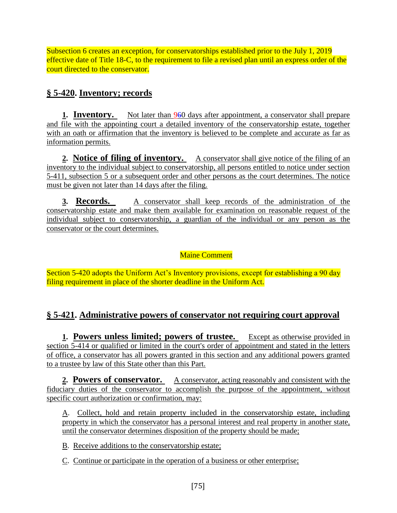Subsection 6 creates an exception, for conservatorships established prior to the July 1, 2019 effective date of Title 18-C, to the requirement to file a revised plan until an express order of the court directed to the conservator.

## **§ 5-420. Inventory; records**

**1. Inventory.** Not later than 960 days after appointment, a conservator shall prepare and file with the appointing court a detailed inventory of the conservatorship estate, together with an oath or affirmation that the inventory is believed to be complete and accurate as far as information permits.

**2. Notice of filing of inventory.** A conservator shall give notice of the filing of an inventory to the individual subject to conservatorship, all persons entitled to notice under section 5-411, subsection 5 or a subsequent order and other persons as the court determines. The notice must be given not later than 14 days after the filing.

**3. Records.** A conservator shall keep records of the administration of the conservatorship estate and make them available for examination on reasonable request of the individual subject to conservatorship, a guardian of the individual or any person as the conservator or the court determines.

Maine Comment

Section 5-420 adopts the Uniform Act's Inventory provisions, except for establishing a 90 day filing requirement in place of the shorter deadline in the Uniform Act.

## **§ 5-421. Administrative powers of conservator not requiring court approval**

**1. Powers unless limited; powers of trustee.** Except as otherwise provided in section 5-414 or qualified or limited in the court's order of appointment and stated in the letters of office, a conservator has all powers granted in this section and any additional powers granted to a trustee by law of this State other than this Part.

**2. Powers of conservator.** A conservator, acting reasonably and consistent with the fiduciary duties of the conservator to accomplish the purpose of the appointment, without specific court authorization or confirmation, may:

A. Collect, hold and retain property included in the conservatorship estate, including property in which the conservator has a personal interest and real property in another state, until the conservator determines disposition of the property should be made;

B. Receive additions to the conservatorship estate;

C. Continue or participate in the operation of a business or other enterprise;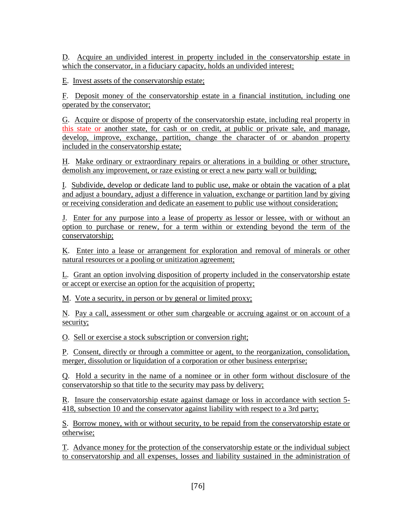D. Acquire an undivided interest in property included in the conservatorship estate in which the conservator, in a fiduciary capacity, holds an undivided interest;

E. Invest assets of the conservatorship estate;

F. Deposit money of the conservatorship estate in a financial institution, including one operated by the conservator;

G. Acquire or dispose of property of the conservatorship estate, including real property in this state or another state, for cash or on credit, at public or private sale, and manage, develop, improve, exchange, partition, change the character of or abandon property included in the conservatorship estate;

H. Make ordinary or extraordinary repairs or alterations in a building or other structure, demolish any improvement, or raze existing or erect a new party wall or building;

I. Subdivide, develop or dedicate land to public use, make or obtain the vacation of a plat and adjust a boundary, adjust a difference in valuation, exchange or partition land by giving or receiving consideration and dedicate an easement to public use without consideration;

J. Enter for any purpose into a lease of property as lessor or lessee, with or without an option to purchase or renew, for a term within or extending beyond the term of the conservatorship;

K. Enter into a lease or arrangement for exploration and removal of minerals or other natural resources or a pooling or unitization agreement;

L. Grant an option involving disposition of property included in the conservatorship estate or accept or exercise an option for the acquisition of property;

M. Vote a security, in person or by general or limited proxy;

N. Pay a call, assessment or other sum chargeable or accruing against or on account of a security;

O. Sell or exercise a stock subscription or conversion right;

P. Consent, directly or through a committee or agent, to the reorganization, consolidation, merger, dissolution or liquidation of a corporation or other business enterprise;

Q. Hold a security in the name of a nominee or in other form without disclosure of the conservatorship so that title to the security may pass by delivery;

R. Insure the conservatorship estate against damage or loss in accordance with section 5- 418, subsection 10 and the conservator against liability with respect to a 3rd party;

S. Borrow money, with or without security, to be repaid from the conservatorship estate or otherwise;

T. Advance money for the protection of the conservatorship estate or the individual subject to conservatorship and all expenses, losses and liability sustained in the administration of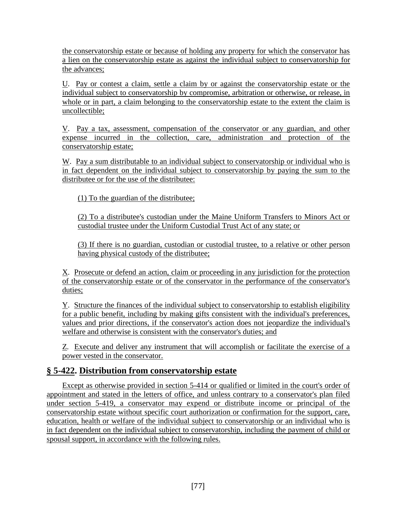the conservatorship estate or because of holding any property for which the conservator has a lien on the conservatorship estate as against the individual subject to conservatorship for the advances;

U. Pay or contest a claim, settle a claim by or against the conservatorship estate or the individual subject to conservatorship by compromise, arbitration or otherwise, or release, in whole or in part, a claim belonging to the conservatorship estate to the extent the claim is uncollectible;

V. Pay a tax, assessment, compensation of the conservator or any guardian, and other expense incurred in the collection, care, administration and protection of the conservatorship estate;

W. Pay a sum distributable to an individual subject to conservatorship or individual who is in fact dependent on the individual subject to conservatorship by paying the sum to the distributee or for the use of the distributee:

(1) To the guardian of the distributee;

(2) To a distributee's custodian under the Maine Uniform Transfers to Minors Act or custodial trustee under the Uniform Custodial Trust Act of any state; or

(3) If there is no guardian, custodian or custodial trustee, to a relative or other person having physical custody of the distributee;

X. Prosecute or defend an action, claim or proceeding in any jurisdiction for the protection of the conservatorship estate or of the conservator in the performance of the conservator's duties;

Y. Structure the finances of the individual subject to conservatorship to establish eligibility for a public benefit, including by making gifts consistent with the individual's preferences, values and prior directions, if the conservator's action does not jeopardize the individual's welfare and otherwise is consistent with the conservator's duties; and

Z. Execute and deliver any instrument that will accomplish or facilitate the exercise of a power vested in the conservator.

## **§ 5-422. Distribution from conservatorship estate**

Except as otherwise provided in section 5-414 or qualified or limited in the court's order of appointment and stated in the letters of office, and unless contrary to a conservator's plan filed under section 5-419, a conservator may expend or distribute income or principal of the conservatorship estate without specific court authorization or confirmation for the support, care, education, health or welfare of the individual subject to conservatorship or an individual who is in fact dependent on the individual subject to conservatorship, including the payment of child or spousal support, in accordance with the following rules.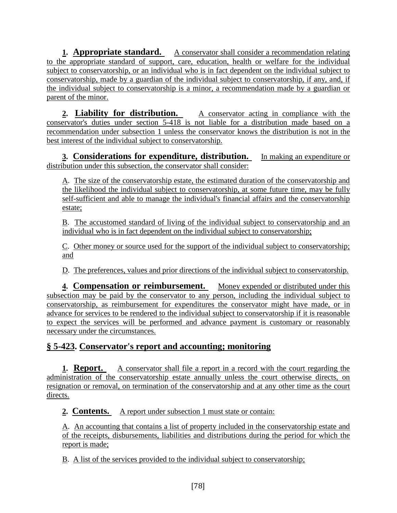**1. Appropriate standard.** A conservator shall consider a recommendation relating to the appropriate standard of support, care, education, health or welfare for the individual subject to conservatorship, or an individual who is in fact dependent on the individual subject to conservatorship, made by a guardian of the individual subject to conservatorship, if any, and, if the individual subject to conservatorship is a minor, a recommendation made by a guardian or parent of the minor.

**2. Liability for distribution.** A conservator acting in compliance with the conservator's duties under section 5-418 is not liable for a distribution made based on a recommendation under subsection 1 unless the conservator knows the distribution is not in the best interest of the individual subject to conservatorship.

**3. Considerations for expenditure, distribution.** In making an expenditure or distribution under this subsection, the conservator shall consider:

A. The size of the conservatorship estate, the estimated duration of the conservatorship and the likelihood the individual subject to conservatorship, at some future time, may be fully self-sufficient and able to manage the individual's financial affairs and the conservatorship estate;

B. The accustomed standard of living of the individual subject to conservatorship and an individual who is in fact dependent on the individual subject to conservatorship;

C. Other money or source used for the support of the individual subject to conservatorship; and

D. The preferences, values and prior directions of the individual subject to conservatorship.

**4. Compensation or reimbursement.** Money expended or distributed under this subsection may be paid by the conservator to any person, including the individual subject to conservatorship, as reimbursement for expenditures the conservator might have made, or in advance for services to be rendered to the individual subject to conservatorship if it is reasonable to expect the services will be performed and advance payment is customary or reasonably necessary under the circumstances.

## **§ 5-423. Conservator's report and accounting; monitoring**

**1. Report.** A conservator shall file a report in a record with the court regarding the administration of the conservatorship estate annually unless the court otherwise directs, on resignation or removal, on termination of the conservatorship and at any other time as the court directs.

**2. Contents.** A report under subsection 1 must state or contain:

A. An accounting that contains a list of property included in the conservatorship estate and of the receipts, disbursements, liabilities and distributions during the period for which the report is made;

B. A list of the services provided to the individual subject to conservatorship;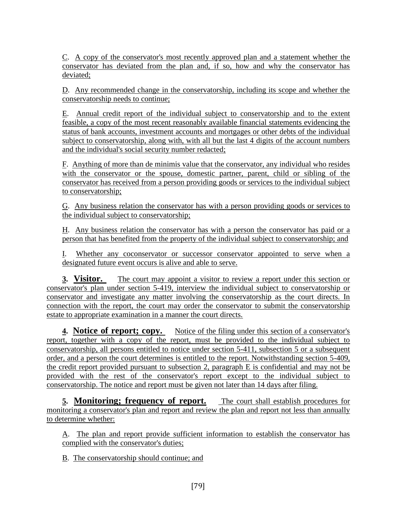C. A copy of the conservator's most recently approved plan and a statement whether the conservator has deviated from the plan and, if so, how and why the conservator has deviated;

D. Any recommended change in the conservatorship, including its scope and whether the conservatorship needs to continue;

E. Annual credit report of the individual subject to conservatorship and to the extent feasible, a copy of the most recent reasonably available financial statements evidencing the status of bank accounts, investment accounts and mortgages or other debts of the individual subject to conservatorship, along with, with all but the last 4 digits of the account numbers and the individual's social security number redacted;

F. Anything of more than de minimis value that the conservator, any individual who resides with the conservator or the spouse, domestic partner, parent, child or sibling of the conservator has received from a person providing goods or services to the individual subject to conservatorship;

G. Any business relation the conservator has with a person providing goods or services to the individual subject to conservatorship;

H. Any business relation the conservator has with a person the conservator has paid or a person that has benefited from the property of the individual subject to conservatorship; and

I. Whether any coconservator or successor conservator appointed to serve when a designated future event occurs is alive and able to serve.

**3. Visitor.** The court may appoint a visitor to review a report under this section or conservator's plan under section 5-419, interview the individual subject to conservatorship or conservator and investigate any matter involving the conservatorship as the court directs. In connection with the report, the court may order the conservator to submit the conservatorship estate to appropriate examination in a manner the court directs.

**4. Notice of report; copy.** Notice of the filing under this section of a conservator's report, together with a copy of the report, must be provided to the individual subject to conservatorship, all persons entitled to notice under section 5-411, subsection 5 or a subsequent order, and a person the court determines is entitled to the report. Notwithstanding section 5-409, the credit report provided pursuant to subsection 2, paragraph E is confidential and may not be provided with the rest of the conservator's report except to the individual subject to conservatorship. The notice and report must be given not later than 14 days after filing.

**5. Monitoring; frequency of report.** The court shall establish procedures for monitoring a conservator's plan and report and review the plan and report not less than annually to determine whether:

A. The plan and report provide sufficient information to establish the conservator has complied with the conservator's duties;

B. The conservatorship should continue; and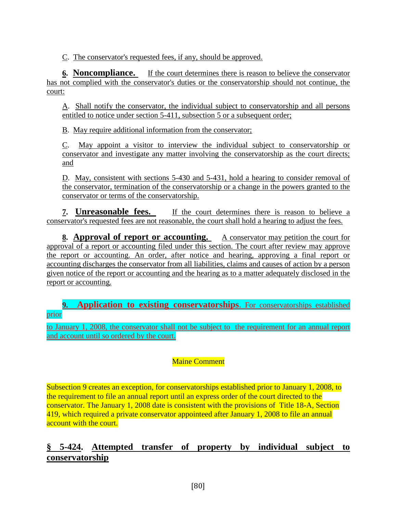C. The conservator's requested fees, if any, should be approved.

**6. Noncompliance.** If the court determines there is reason to believe the conservator has not complied with the conservator's duties or the conservatorship should not continue, the court:

A. Shall notify the conservator, the individual subject to conservatorship and all persons entitled to notice under section 5-411, subsection 5 or a subsequent order;

B. May require additional information from the conservator;

C. May appoint a visitor to interview the individual subject to conservatorship or conservator and investigate any matter involving the conservatorship as the court directs; and

D. May, consistent with sections 5-430 and 5-431, hold a hearing to consider removal of the conservator, termination of the conservatorship or a change in the powers granted to the conservator or terms of the conservatorship.

**7. Unreasonable fees.** If the court determines there is reason to believe a conservator's requested fees are not reasonable, the court shall hold a hearing to adjust the fees.

**8. Approval of report or accounting.** A conservator may petition the court for approval of a report or accounting filed under this section. The court after review may approve the report or accounting. An order, after notice and hearing, approving a final report or accounting discharges the conservator from all liabilities, claims and causes of action by a person given notice of the report or accounting and the hearing as to a matter adequately disclosed in the report or accounting.

#### **9. Application to existing conservatorships**. For conservatorships established prior

to January 1, 2008, the conservator shall not be subject to the requirement for an annual report and account until so ordered by the court.

### Maine Comment

Subsection 9 creates an exception, for conservatorships established prior to January 1, 2008, to the requirement to file an annual report until an express order of the court directed to the conservator. The January 1, 2008 date is consistent with the provisions of Title 18-A, Section 419, which required a private conservator appointeed after January 1, 2008 to file an annual account with the court.

## **§ 5-424. Attempted transfer of property by individual subject to conservatorship**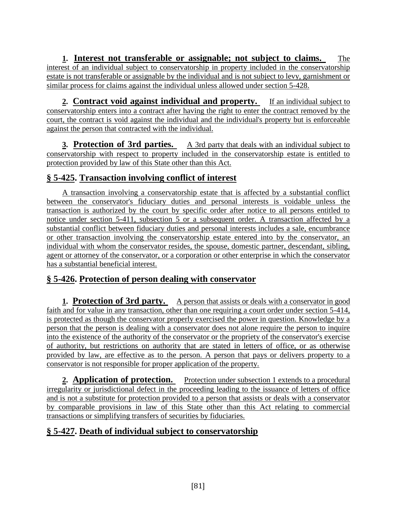**1. Interest not transferable or assignable; not subject to claims.** The interest of an individual subject to conservatorship in property included in the conservatorship estate is not transferable or assignable by the individual and is not subject to levy, garnishment or similar process for claims against the individual unless allowed under section 5-428.

**2. Contract void against individual and property.** If an individual subject to conservatorship enters into a contract after having the right to enter the contract removed by the court, the contract is void against the individual and the individual's property but is enforceable against the person that contracted with the individual.

**3. Protection of 3rd parties.** A 3rd party that deals with an individual subject to conservatorship with respect to property included in the conservatorship estate is entitled to protection provided by law of this State other than this Act.

## **§ 5-425. Transaction involving conflict of interest**

A transaction involving a conservatorship estate that is affected by a substantial conflict between the conservator's fiduciary duties and personal interests is voidable unless the transaction is authorized by the court by specific order after notice to all persons entitled to notice under section 5-411, subsection 5 or a subsequent order. A transaction affected by a substantial conflict between fiduciary duties and personal interests includes a sale, encumbrance or other transaction involving the conservatorship estate entered into by the conservator, an individual with whom the conservator resides, the spouse, domestic partner, descendant, sibling, agent or attorney of the conservator, or a corporation or other enterprise in which the conservator has a substantial beneficial interest.

## **§ 5-426. Protection of person dealing with conservator**

**1. Protection of 3rd party.** A person that assists or deals with a conservator in good faith and for value in any transaction, other than one requiring a court order under section 5-414, is protected as though the conservator properly exercised the power in question. Knowledge by a person that the person is dealing with a conservator does not alone require the person to inquire into the existence of the authority of the conservator or the propriety of the conservator's exercise of authority, but restrictions on authority that are stated in letters of office, or as otherwise provided by law, are effective as to the person. A person that pays or delivers property to a conservator is not responsible for proper application of the property.

**2. Application of protection.** Protection under subsection 1 extends to a procedural irregularity or jurisdictional defect in the proceeding leading to the issuance of letters of office and is not a substitute for protection provided to a person that assists or deals with a conservator by comparable provisions in law of this State other than this Act relating to commercial transactions or simplifying transfers of securities by fiduciaries.

## **§ 5-427. Death of individual subject to conservatorship**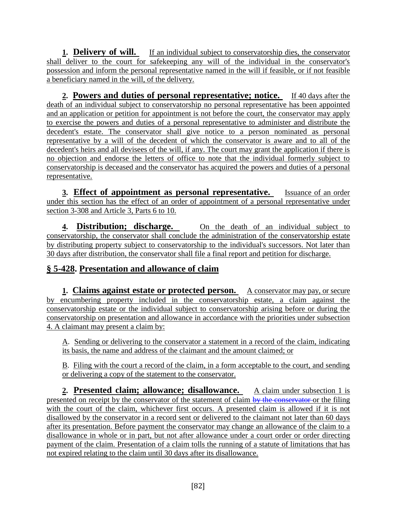**1. Delivery of will.** If an individual subject to conservatorship dies, the conservator shall deliver to the court for safekeeping any will of the individual in the conservator's possession and inform the personal representative named in the will if feasible, or if not feasible a beneficiary named in the will, of the delivery.

**2. Powers and duties of personal representative; notice.** If 40 days after the death of an individual subject to conservatorship no personal representative has been appointed and an application or petition for appointment is not before the court, the conservator may apply to exercise the powers and duties of a personal representative to administer and distribute the decedent's estate. The conservator shall give notice to a person nominated as personal representative by a will of the decedent of which the conservator is aware and to all of the decedent's heirs and all devisees of the will, if any. The court may grant the application if there is no objection and endorse the letters of office to note that the individual formerly subject to conservatorship is deceased and the conservator has acquired the powers and duties of a personal representative.

**3. Effect of appointment as personal representative.** Issuance of an order under this section has the effect of an order of appointment of a personal representative under section 3-308 and Article 3, Parts 6 to 10.

**4. Distribution; discharge.** On the death of an individual subject to conservatorship, the conservator shall conclude the administration of the conservatorship estate by distributing property subject to conservatorship to the individual's successors. Not later than 30 days after distribution, the conservator shall file a final report and petition for discharge.

## **§ 5-428. Presentation and allowance of claim**

**1. Claims against estate or protected person.** A conservator may pay, or secure by encumbering property included in the conservatorship estate, a claim against the conservatorship estate or the individual subject to conservatorship arising before or during the conservatorship on presentation and allowance in accordance with the priorities under subsection 4. A claimant may present a claim by:

A. Sending or delivering to the conservator a statement in a record of the claim, indicating its basis, the name and address of the claimant and the amount claimed; or

B. Filing with the court a record of the claim, in a form acceptable to the court, and sending or delivering a copy of the statement to the conservator.

**2. Presented claim; allowance; disallowance.** A claim under subsection 1 is presented on receipt by the conservator of the statement of claim by the conservator or the filing with the court of the claim, whichever first occurs. A presented claim is allowed if it is not disallowed by the conservator in a record sent or delivered to the claimant not later than 60 days after its presentation. Before payment the conservator may change an allowance of the claim to a disallowance in whole or in part, but not after allowance under a court order or order directing payment of the claim. Presentation of a claim tolls the running of a statute of limitations that has not expired relating to the claim until 30 days after its disallowance.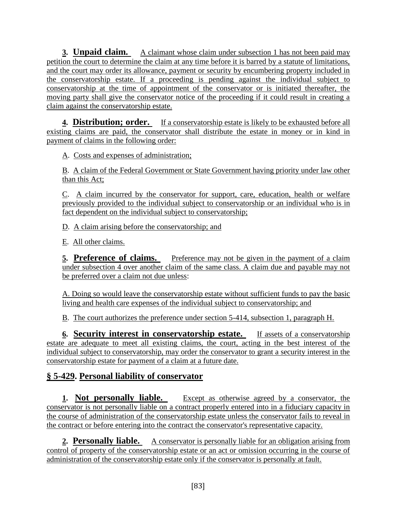**3. Unpaid claim.** A claimant whose claim under subsection 1 has not been paid may petition the court to determine the claim at any time before it is barred by a statute of limitations, and the court may order its allowance, payment or security by encumbering property included in the conservatorship estate. If a proceeding is pending against the individual subject to conservatorship at the time of appointment of the conservator or is initiated thereafter, the moving party shall give the conservator notice of the proceeding if it could result in creating a claim against the conservatorship estate.

**4. Distribution; order.** If a conservatorship estate is likely to be exhausted before all existing claims are paid, the conservator shall distribute the estate in money or in kind in payment of claims in the following order:

A. Costs and expenses of administration;

B. A claim of the Federal Government or State Government having priority under law other than this Act;

C. A claim incurred by the conservator for support, care, education, health or welfare previously provided to the individual subject to conservatorship or an individual who is in fact dependent on the individual subject to conservatorship;

D. A claim arising before the conservatorship; and

E. All other claims.

**<u>5.** Preference of claims. Preference may not be given in the payment of a claim</u> under subsection 4 over another claim of the same class. A claim due and payable may not be preferred over a claim not due unless:

A. Doing so would leave the conservatorship estate without sufficient funds to pay the basic living and health care expenses of the individual subject to conservatorship; and

B. The court authorizes the preference under section 5-414, subsection 1, paragraph H.

**6. Security interest in conservatorship estate.** If assets of a conservatorship estate are adequate to meet all existing claims, the court, acting in the best interest of the individual subject to conservatorship, may order the conservator to grant a security interest in the conservatorship estate for payment of a claim at a future date.

## **§ 5-429. Personal liability of conservator**

**1. Not personally liable.** Except as otherwise agreed by a conservator, the conservator is not personally liable on a contract properly entered into in a fiduciary capacity in the course of administration of the conservatorship estate unless the conservator fails to reveal in the contract or before entering into the contract the conservator's representative capacity.

**2. Personally liable.** A conservator is personally liable for an obligation arising from control of property of the conservatorship estate or an act or omission occurring in the course of administration of the conservatorship estate only if the conservator is personally at fault.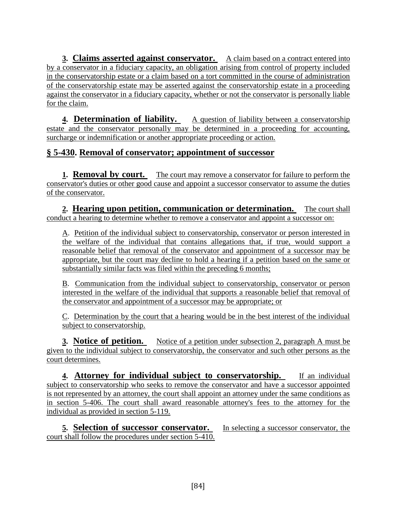**3. Claims asserted against conservator.** A claim based on a contract entered into by a conservator in a fiduciary capacity, an obligation arising from control of property included in the conservatorship estate or a claim based on a tort committed in the course of administration of the conservatorship estate may be asserted against the conservatorship estate in a proceeding against the conservator in a fiduciary capacity, whether or not the conservator is personally liable for the claim.

**4. Determination of liability.** A question of liability between a conservatorship estate and the conservator personally may be determined in a proceeding for accounting, surcharge or indemnification or another appropriate proceeding or action.

### **§ 5-430. Removal of conservator; appointment of successor**

**1. Removal by court.** The court may remove a conservator for failure to perform the conservator's duties or other good cause and appoint a successor conservator to assume the duties of the conservator.

**2. Hearing upon petition, communication or determination.** The court shall conduct a hearing to determine whether to remove a conservator and appoint a successor on:

A. Petition of the individual subject to conservatorship, conservator or person interested in the welfare of the individual that contains allegations that, if true, would support a reasonable belief that removal of the conservator and appointment of a successor may be appropriate, but the court may decline to hold a hearing if a petition based on the same or substantially similar facts was filed within the preceding 6 months;

B. Communication from the individual subject to conservatorship, conservator or person interested in the welfare of the individual that supports a reasonable belief that removal of the conservator and appointment of a successor may be appropriate; or

C. Determination by the court that a hearing would be in the best interest of the individual subject to conservatorship.

**3. Notice of petition.** Notice of a petition under subsection 2, paragraph A must be given to the individual subject to conservatorship, the conservator and such other persons as the court determines.

**4. Attorney for individual subject to conservatorship.** If an individual subject to conservatorship who seeks to remove the conservator and have a successor appointed is not represented by an attorney, the court shall appoint an attorney under the same conditions as in section 5-406. The court shall award reasonable attorney's fees to the attorney for the individual as provided in section 5-119.

**5. Selection of successor conservator.** In selecting a successor conservator, the court shall follow the procedures under section 5-410.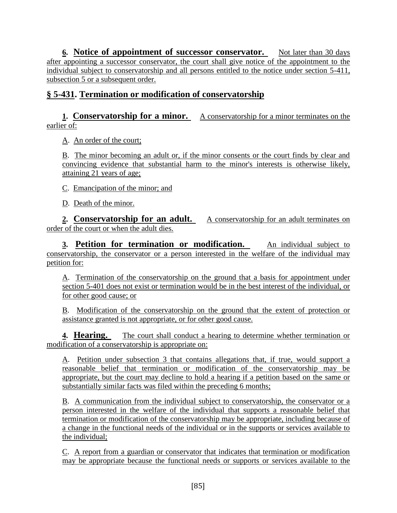**6. Notice of appointment of successor conservator.** Not later than 30 days after appointing a successor conservator, the court shall give notice of the appointment to the individual subject to conservatorship and all persons entitled to the notice under section 5-411, subsection 5 or a subsequent order.

### **§ 5-431. Termination or modification of conservatorship**

#### **1. Conservatorship for a minor.** A conservatorship for a minor terminates on the earlier of:

A. An order of the court;

B. The minor becoming an adult or, if the minor consents or the court finds by clear and convincing evidence that substantial harm to the minor's interests is otherwise likely, attaining 21 years of age;

C. Emancipation of the minor; and

D. Death of the minor.

**2. Conservatorship for an adult.** A conservatorship for an adult terminates on order of the court or when the adult dies.

**3. Petition for termination or modification.** An individual subject to conservatorship, the conservator or a person interested in the welfare of the individual may petition for:

A. Termination of the conservatorship on the ground that a basis for appointment under section 5-401 does not exist or termination would be in the best interest of the individual, or for other good cause; or

B. Modification of the conservatorship on the ground that the extent of protection or assistance granted is not appropriate, or for other good cause.

**4. Hearing.** The court shall conduct a hearing to determine whether termination or modification of a conservatorship is appropriate on:

A. Petition under subsection 3 that contains allegations that, if true, would support a reasonable belief that termination or modification of the conservatorship may be appropriate, but the court may decline to hold a hearing if a petition based on the same or substantially similar facts was filed within the preceding 6 months;

B. A communication from the individual subject to conservatorship, the conservator or a person interested in the welfare of the individual that supports a reasonable belief that termination or modification of the conservatorship may be appropriate, including because of a change in the functional needs of the individual or in the supports or services available to the individual;

C. A report from a guardian or conservator that indicates that termination or modification may be appropriate because the functional needs or supports or services available to the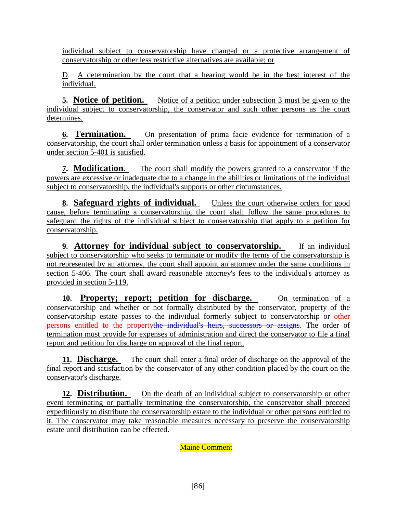individual subject to conservatorship have changed or a protective arrangement of conservatorship or other less restrictive alternatives are available; or

D. A determination by the court that a hearing would be in the best interest of the individual.

**5. Notice of petition.** Notice of a petition under subsection 3 must be given to the individual subject to conservatorship, the conservator and such other persons as the court determines.

**6. Termination.** On presentation of prima facie evidence for termination of a conservatorship, the court shall order termination unless a basis for appointment of a conservator under section 5-401 is satisfied.

**7. Modification.** The court shall modify the powers granted to a conservator if the powers are excessive or inadequate due to a change in the abilities or limitations of the individual subject to conservatorship, the individual's supports or other circumstances.

**8. Safeguard rights of individual.** Unless the court otherwise orders for good cause, before terminating a conservatorship, the court shall follow the same procedures to safeguard the rights of the individual subject to conservatorship that apply to a petition for conservatorship.

**9. Attorney for individual subject to conservatorship.** If an individual subject to conservatorship who seeks to terminate or modify the terms of the conservatorship is not represented by an attorney, the court shall appoint an attorney under the same conditions in section 5-406. The court shall award reasonable attorney's fees to the individual's attorney as provided in section 5-119.

10. **Property; report; petition for discharge.** On termination of a conservatorship and whether or not formally distributed by the conservator, property of the conservatorship estate passes to the individual formerly subject to conservatorship or other persons entitled to the propertythe individual's heirs, successors or assigns. The order of termination must provide for expenses of administration and direct the conservator to file a final report and petition for discharge on approval of the final report.

**11. Discharge.** The court shall enter a final order of discharge on the approval of the final report and satisfaction by the conservator of any other condition placed by the court on the conservator's discharge.

**12. Distribution.** On the death of an individual subject to conservatorship or other event terminating or partially terminating the conservatorship, the conservator shall proceed expeditiously to distribute the conservatorship estate to the individual or other persons entitled to it. The conservator may take reasonable measures necessary to preserve the conservatorship estate until distribution can be effected.

Maine Comment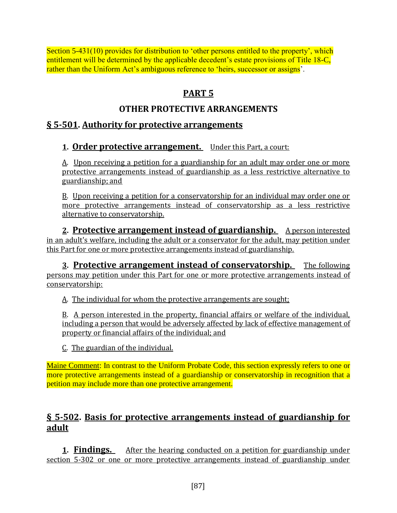Section 5-431(10) provides for distribution to 'other persons entitled to the property', which entitlement will be determined by the applicable decedent's estate provisions of Title 18-C, rather than the Uniform Act's ambiguous reference to 'heirs, successor or assigns'.

# **PART 5**

## **OTHER PROTECTIVE ARRANGEMENTS**

## **§ 5-501. Authority for protective arrangements**

### **1. Order protective arrangement.** Under this Part, a court:

A. Upon receiving a petition for a guardianship for an adult may order one or more protective arrangements instead of guardianship as a less restrictive alternative to guardianship; and

B. Upon receiving a petition for a conservatorship for an individual may order one or more protective arrangements instead of conservatorship as a less restrictive alternative to conservatorship.

**2. Protective arrangement instead of guardianship.** A person interested in an adult's welfare, including the adult or a conservator for the adult, may petition under this Part for one or more protective arrangements instead of guardianship.

**3. Protective arrangement instead of conservatorship.** The following persons may petition under this Part for one or more protective arrangements instead of conservatorship:

A. The individual for whom the protective arrangements are sought;

B. A person interested in the property, financial affairs or welfare of the individual, including a person that would be adversely affected by lack of effective management of property or financial affairs of the individual; and

C. The guardian of the individual.

Maine Comment: In contrast to the Uniform Probate Code, this section expressly refers to one or more protective arrangements instead of a guardianship or conservatorship in recognition that a petition may include more than one protective arrangement.

## **§ 5-502. Basis for protective arrangements instead of guardianship for adult**

**1. Findings.** After the hearing conducted on a petition for guardianship under section 5-302 or one or more protective arrangements instead of guardianship under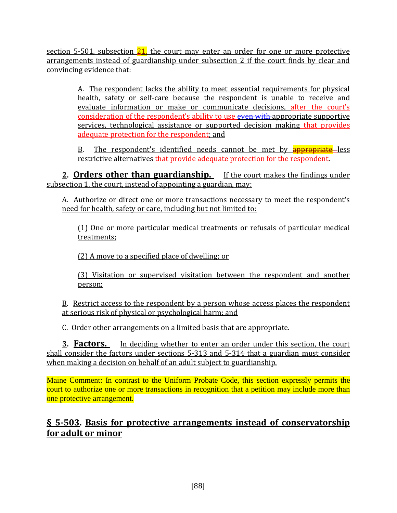section 5-501, subsection  $24$ , the court may enter an order for one or more protective arrangements instead of guardianship under subsection 2 if the court finds by clear and convincing evidence that:

> A. The respondent lacks the ability to meet essential requirements for physical health, safety or self-care because the respondent is unable to receive and evaluate information or make or communicate decisions, after the court's consideration of the respondent's ability to use even with appropriate supportive services, technological assistance or supported decision making that provides adequate protection for the respondent; and

> B. The respondent's identified needs cannot be met by **appropriate** less restrictive alternatives that provide adequate protection for the respondent.

**2. Orders other than guardianship.** If the court makes the findings under subsection 1, the court, instead of appointing a guardian, may:

A. Authorize or direct one or more transactions necessary to meet the respondent's need for health, safety or care, including but not limited to:

(1) One or more particular medical treatments or refusals of particular medical treatments;

(2) A move to a specified place of dwelling; or

(3) Visitation or supervised visitation between the respondent and another person;

B. Restrict access to the respondent by a person whose access places the respondent at serious risk of physical or psychological harm; and

C. Order other arrangements on a limited basis that are appropriate.

**3. Factors.** In deciding whether to enter an order under this section, the court shall consider the factors under sections 5-313 and 5-314 that a guardian must consider when making a decision on behalf of an adult subject to guardianship.

Maine Comment: In contrast to the Uniform Probate Code, this section expressly permits the court to authorize one or more transactions in recognition that a petition may include more than one protective arrangement.

## **§ 5-503. Basis for protective arrangements instead of conservatorship for adult or minor**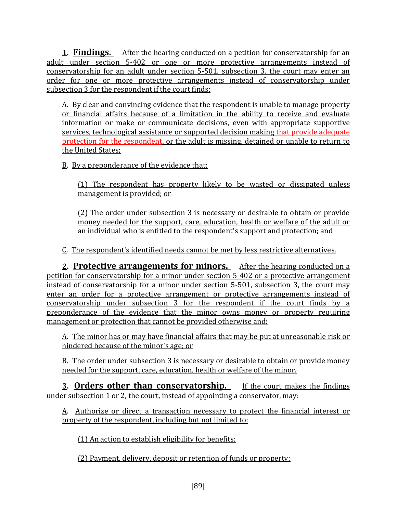**1. Findings.** After the hearing conducted on a petition for conservatorship for an adult under section 5-402 or one or more protective arrangements instead of conservatorship for an adult under section 5-501, subsection 3, the court may enter an order for one or more protective arrangements instead of conservatorship under subsection 3 for the respondent if the court finds:

A. By clear and convincing evidence that the respondent is unable to manage property or financial affairs because of a limitation in the ability to receive and evaluate information or make or communicate decisions, even with appropriate supportive services, technological assistance or supported decision making that provide adequate protection for the respondent, or the adult is missing, detained or unable to return to the United States;

B. By a preponderance of the evidence that:

(1) The respondent has property likely to be wasted or dissipated unless management is provided; or

(2) The order under subsection 3 is necessary or desirable to obtain or provide money needed for the support, care, education, health or welfare of the adult or an individual who is entitled to the respondent's support and protection; and

C. The respondent's identified needs cannot be met by less restrictive alternatives.

**2. Protective arrangements for minors.** After the hearing conducted on a petition for conservatorship for a minor under section 5-402 or a protective arrangement instead of conservatorship for a minor under section 5-501, subsection 3, the court may enter an order for a protective arrangement or protective arrangements instead of conservatorship under subsection 3 for the respondent if the court finds by a preponderance of the evidence that the minor owns money or property requiring management or protection that cannot be provided otherwise and:

A. The minor has or may have financial affairs that may be put at unreasonable risk or hindered because of the minor's age; or

B. The order under subsection 3 is necessary or desirable to obtain or provide money needed for the support, care, education, health or welfare of the minor.

**3. Orders other than conservatorship.** If the court makes the findings under subsection 1 or 2, the court, instead of appointing a conservator, may:

A. Authorize or direct a transaction necessary to protect the financial interest or property of the respondent, including but not limited to:

(1) An action to establish eligibility for benefits;

(2) Payment, delivery, deposit or retention of funds or property;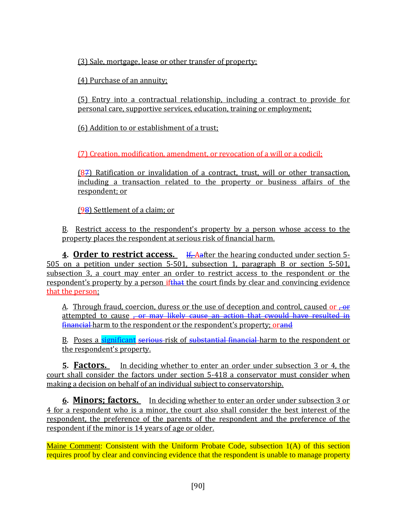(3) Sale, mortgage, lease or other transfer of property;

(4) Purchase of an annuity;

(5) Entry into a contractual relationship, including a contract to provide for personal care, supportive services, education, training or employment;

(6) Addition to or establishment of a trust;

(7) Creation, modification, amendment, or revocation of a will or a codicil;

(87) Ratification or invalidation of a contract, trust, will or other transaction, including a transaction related to the property or business affairs of the respondent; or

(98) Settlement of a claim; or

B. Restrict access to the respondent's property by a person whose access to the property places the respondent at serious risk of financial harm.

**4. Order to restrict access.** If, Aafter the hearing conducted under section 5- 505 on a petition under section 5-501, subsection 1, paragraph B or section 5-501, subsection 3, a court may enter an order to restrict access to the respondent or the respondent's property by a person ifthat the court finds by clear and convincing evidence that the person:

A. Through fraud, coercion, duress or the use of deception and control, caused or  $\frac{1}{1}$ attempted to cause <del>, or may likely cause an action that cwould have resulted in</del> financial harm to the respondent or the respondent's property; orand

B. Poses a significant serious risk of substantial financial harm to the respondent or the respondent's property.

**5. Factors.** In deciding whether to enter an order under subsection 3 or 4, the court shall consider the factors under section 5-418 a conservator must consider when making a decision on behalf of an individual subject to conservatorship.

**6. Minors; factors.** In deciding whether to enter an order under subsection 3 or 4 for a respondent who is a minor, the court also shall consider the best interest of the respondent, the preference of the parents of the respondent and the preference of the respondent if the minor is 14 years of age or older.

Maine Comment: Consistent with the Uniform Probate Code, subsection 1(A) of this section requires proof by clear and convincing evidence that the respondent is unable to manage property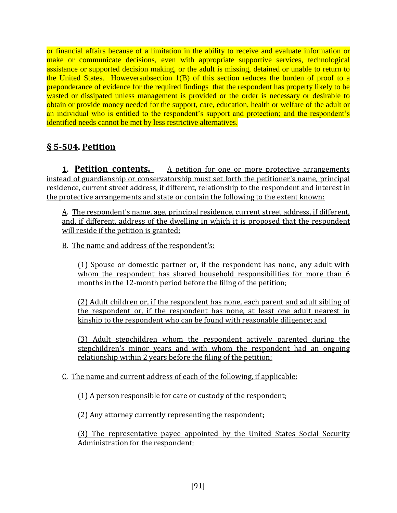or financial affairs because of a limitation in the ability to receive and evaluate information or make or communicate decisions, even with appropriate supportive services, technological assistance or supported decision making, or the adult is missing, detained or unable to return to the United States. Howeversubsection 1(B) of this section reduces the burden of proof to a preponderance of evidence for the required findings that the respondent has property likely to be wasted or dissipated unless management is provided or the order is necessary or desirable to obtain or provide money needed for the support, care, education, health or welfare of the adult or an individual who is entitled to the respondent's support and protection; and the respondent's identified needs cannot be met by less restrictive alternatives.

# **§ 5-504. Petition**

**1. Petition contents.** A petition for one or more protective arrangements instead of guardianship or conservatorship must set forth the petitioner's name, principal residence, current street address, if different, relationship to the respondent and interest in the protective arrangements and state or contain the following to the extent known:

A. The respondent's name, age, principal residence, current street address, if different, and, if different, address of the dwelling in which it is proposed that the respondent will reside if the petition is granted;

B. The name and address of the respondent's:

(1) Spouse or domestic partner or, if the respondent has none, any adult with whom the respondent has shared household responsibilities for more than 6 months in the 12-month period before the filing of the petition;

(2) Adult children or, if the respondent has none, each parent and adult sibling of the respondent or, if the respondent has none, at least one adult nearest in kinship to the respondent who can be found with reasonable diligence; and

(3) Adult stepchildren whom the respondent actively parented during the stepchildren's minor years and with whom the respondent had an ongoing relationship within 2 years before the filing of the petition;

### C. The name and current address of each of the following, if applicable:

(1) A person responsible for care or custody of the respondent;

(2) Any attorney currently representing the respondent;

(3) The representative payee appointed by the United States Social Security Administration for the respondent;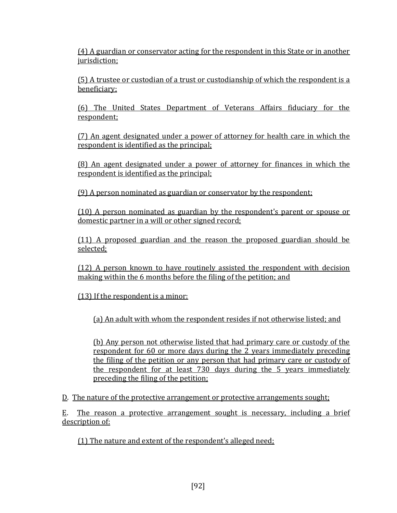(4) A guardian or conservator acting for the respondent in this State or in another jurisdiction;

(5) A trustee or custodian of a trust or custodianship of which the respondent is a beneficiary;

(6) The United States Department of Veterans Affairs fiduciary for the respondent;

(7) An agent designated under a power of attorney for health care in which the respondent is identified as the principal;

(8) An agent designated under a power of attorney for finances in which the respondent is identified as the principal;

(9) A person nominated as guardian or conservator by the respondent;

(10) A person nominated as guardian by the respondent's parent or spouse or domestic partner in a will or other signed record;

(11) A proposed guardian and the reason the proposed guardian should be selected;

(12) A person known to have routinely assisted the respondent with decision making within the 6 months before the filing of the petition; and

(13) If the respondent is a minor:

(a) An adult with whom the respondent resides if not otherwise listed; and

(b) Any person not otherwise listed that had primary care or custody of the respondent for 60 or more days during the 2 years immediately preceding the filing of the petition or any person that had primary care or custody of the respondent for at least 730 days during the 5 years immediately preceding the filing of the petition;

D. The nature of the protective arrangement or protective arrangements sought;

E. The reason a protective arrangement sought is necessary, including a brief description of:

(1) The nature and extent of the respondent's alleged need;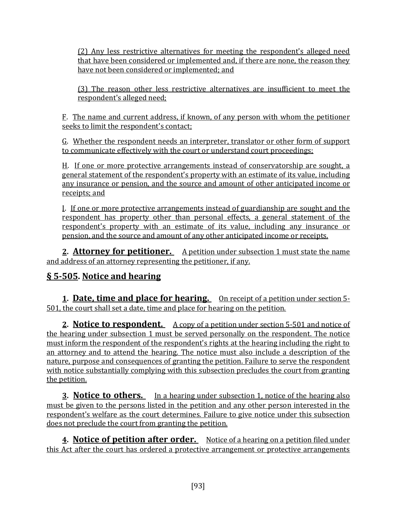(2) Any less restrictive alternatives for meeting the respondent's alleged need that have been considered or implemented and, if there are none, the reason they have not been considered or implemented; and

(3) The reason other less restrictive alternatives are insufficient to meet the respondent's alleged need;

F. The name and current address, if known, of any person with whom the petitioner seeks to limit the respondent's contact;

G. Whether the respondent needs an interpreter, translator or other form of support to communicate effectively with the court or understand court proceedings;

H. If one or more protective arrangements instead of conservatorship are sought, a general statement of the respondent's property with an estimate of its value, including any insurance or pension, and the source and amount of other anticipated income or receipts; and

I. If one or more protective arrangements instead of guardianship are sought and the respondent has property other than personal effects, a general statement of the respondent's property with an estimate of its value, including any insurance or pension, and the source and amount of any other anticipated income or receipts.

**2. Attorney for petitioner.** A petition under subsection 1 must state the name and address of an attorney representing the petitioner, if any.

## **§ 5-505. Notice and hearing**

**1. Date, time and place for hearing.** On receipt of a petition under section 5- 501, the court shall set a date, time and place for hearing on the petition.

**2. Notice to respondent.** A copy of a petition under section 5-501 and notice of the hearing under subsection 1 must be served personally on the respondent. The notice must inform the respondent of the respondent's rights at the hearing including the right to an attorney and to attend the hearing. The notice must also include a description of the nature, purpose and consequences of granting the petition. Failure to serve the respondent with notice substantially complying with this subsection precludes the court from granting the petition.

**3. Notice to others.** In a hearing under subsection 1, notice of the hearing also must be given to the persons listed in the petition and any other person interested in the respondent's welfare as the court determines. Failure to give notice under this subsection does not preclude the court from granting the petition.

**4. Notice of petition after order.** Notice of a hearing on a petition filed under this Act after the court has ordered a protective arrangement or protective arrangements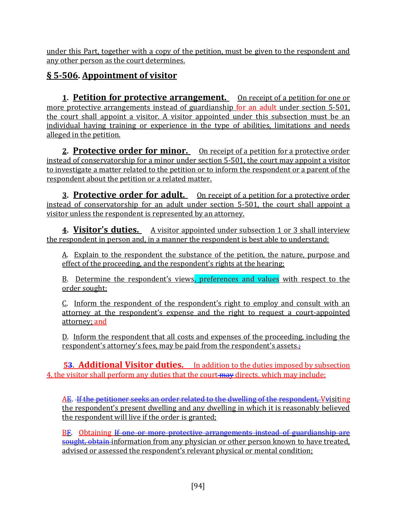under this Part, together with a copy of the petition, must be given to the respondent and any other person as the court determines.

# **§ 5-506. Appointment of visitor**

**1. Petition for protective arrangement.** On receipt of a petition for one or more protective arrangements instead of guardianship for an adult under section 5-501, the court shall appoint a visitor. A visitor appointed under this subsection must be an individual having training or experience in the type of abilities, limitations and needs alleged in the petition.

**2. Protective order for minor.** On receipt of a petition for a protective order instead of conservatorship for a minor under section 5-501, the court may appoint a visitor to investigate a matter related to the petition or to inform the respondent or a parent of the respondent about the petition or a related matter.

**3. Protective order for adult.** On receipt of a petition for a protective order instead of conservatorship for an adult under section 5-501, the court shall appoint a visitor unless the respondent is represented by an attorney.

**4. Visitor's duties.** A visitor appointed under subsection 1 or 3 shall interview the respondent in person and, in a manner the respondent is best able to understand:

A. Explain to the respondent the substance of the petition, the nature, purpose and effect of the proceeding, and the respondent's rights at the hearing;

B. Determine the respondent's views, preferences and values with respect to the order sought;

C. Inform the respondent of the respondent's right to employ and consult with an attorney at the respondent's expense and the right to request a court-appointed attorney; and

D. Inform the respondent that all costs and expenses of the proceeding, including the respondent's attorney's fees, may be paid from the respondent's assets.

**53. Additional Visitor duties.** In addition to the duties imposed by subsection 4, the visitor shall perform any duties that the court may directs, which may include:

AE. If the petitioner seeks an order related to the dwelling of the respondent. Vyisiting the respondent's present dwelling and any dwelling in which it is reasonably believed the respondent will live if the order is granted;

BF. Obtaining If one or more protective arrangements instead of guardianship are sought, obtain information from any physician or other person known to have treated, advised or assessed the respondent's relevant physical or mental condition;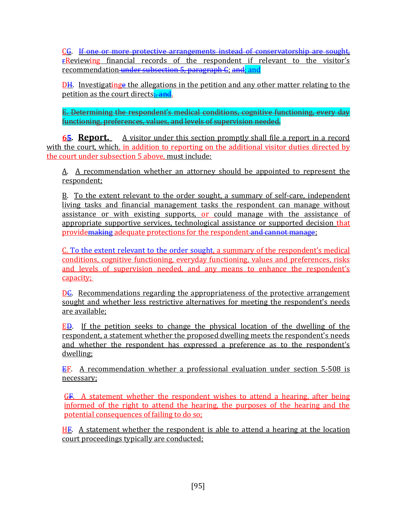CG. If one or more protective arrangements instead of conservatorship are sought, **FReviewing** financial records of the respondent if relevant to the visitor's recommendation under subsection 5, paragraph C; and; and

DH. Investigatinge the allegations in the petition and any other matter relating to the petition as the court directs: and.

E. Determining the respondent's medical conditions, cognitive functioning, every day functioning, preferences, values, and levels of supervision needed.

**65. Report.** A visitor under this section promptly shall file a report in a record with the court, which, in addition to reporting on the additional visitor duties directed by the court under subsection 5 above, must include:

A. A recommendation whether an attorney should be appointed to represent the respondent;

B. To the extent relevant to the order sought, a summary of self-care, independent living tasks and financial management tasks the respondent can manage without assistance or with existing supports, or could manage with the assistance of appropriate supportive services, technological assistance or supported decision that providemaking adequate protections for the respondent and cannot manage;

C. To the extent relevant to the order sought, a summary of the respondent's medical conditions, cognitive functioning, everyday functioning, values and preferences, risks and levels of supervision needed, and any means to enhance the respondent's capacity;

DC. Recommendations regarding the appropriateness of the protective arrangement sought and whether less restrictive alternatives for meeting the respondent's needs are available;

ED. If the petition seeks to change the physical location of the dwelling of the respondent, a statement whether the proposed dwelling meets the respondent's needs and whether the respondent has expressed a preference as to the respondent's dwelling;

EF. A recommendation whether a professional evaluation under section 5-508 is necessary;

GF. A statement whether the respondent wishes to attend a hearing, after being informed of the right to attend the hearing, the purposes of the hearing and the potential consequences of failing to do so;

HF. A statement whether the respondent is able to attend a hearing at the location court proceedings typically are conducted;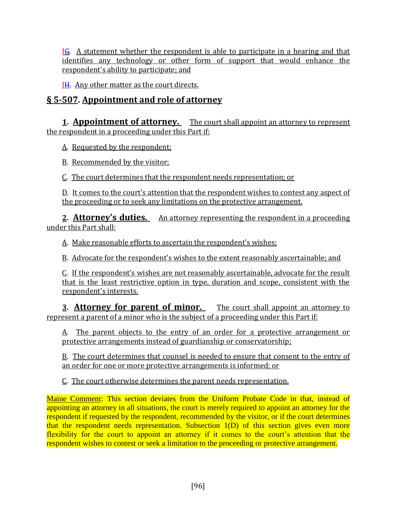IG. A statement whether the respondent is able to participate in a hearing and that identifies any technology or other form of support that would enhance the respondent's ability to participate; and

JH. Any other matter as the court directs.

## **§ 5-507. Appointment and role of attorney**

**1. Appointment of attorney.** The court shall appoint an attorney to represent the respondent in a proceeding under this Part if:

A. Requested by the respondent;

B. Recommended by the visitor;

C. The court determines that the respondent needs representation; or

D. It comes to the court's attention that the respondent wishes to contest any aspect of the proceeding or to seek any limitations on the protective arrangement.

**2. Attorney's duties.** An attorney representing the respondent in a proceeding under this Part shall:

A. Make reasonable efforts to ascertain the respondent's wishes;

B. Advocate for the respondent's wishes to the extent reasonably ascertainable; and

C. If the respondent's wishes are not reasonably ascertainable, advocate for the result that is the least restrictive option in type, duration and scope, consistent with the respondent's interests.

**3. Attorney for parent of minor.** The court shall appoint an attorney to represent a parent of a minor who is the subject of a proceeding under this Part if:

A. The parent objects to the entry of an order for a protective arrangement or protective arrangements instead of guardianship or conservatorship;

B. The court determines that counsel is needed to ensure that consent to the entry of an order for one or more protective arrangements is informed; or

C. The court otherwise determines the parent needs representation.

Maine Comment: This section deviates from the Uniform Probate Code in that, instead of appointing an attorney in all situations, the court is merely required to appoint an attorney for the respondent if requested by the respondent, recommended by the visitor, or if the court determines that the respondent needs representation. Subsection 1(D) of this section gives even more flexibility for the court to appoint an attorney if it comes to the court's attention that the respondent wishes to contest or seek a limitation to the proceeding or protective arrangement.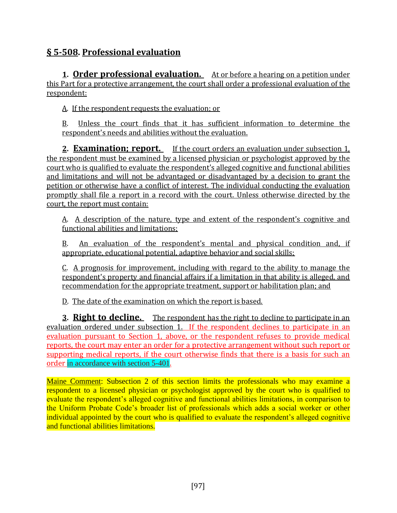# **§ 5-508. Professional evaluation**

**1. Order professional evaluation.** At or before a hearing on a petition under this Part for a protective arrangement, the court shall order a professional evaluation of the respondent:

A. If the respondent requests the evaluation; or

B. Unless the court finds that it has sufficient information to determine the respondent's needs and abilities without the evaluation.

**2. Examination; report.** If the court orders an evaluation under subsection 1, the respondent must be examined by a licensed physician or psychologist approved by the court who is qualified to evaluate the respondent's alleged cognitive and functional abilities and limitations and will not be advantaged or disadvantaged by a decision to grant the petition or otherwise have a conflict of interest. The individual conducting the evaluation promptly shall file a report in a record with the court. Unless otherwise directed by the court, the report must contain:

A. A description of the nature, type and extent of the respondent's cognitive and functional abilities and limitations;

B. An evaluation of the respondent's mental and physical condition and, if appropriate, educational potential, adaptive behavior and social skills;

C. A prognosis for improvement, including with regard to the ability to manage the respondent's property and financial affairs if a limitation in that ability is alleged, and recommendation for the appropriate treatment, support or habilitation plan; and

D. The date of the examination on which the report is based.

**3. Right to decline.** The respondent has the right to decline to participate in an evaluation ordered under subsection 1. If the respondent declines to participate in an evaluation pursuant to Section 1, above, or the respondent refuses to provide medical reports, the court may enter an order for a protective arrangement without such report or supporting medical reports, if the court otherwise finds that there is a basis for such an order in accordance with section 5-401.

Maine Comment: Subsection 2 of this section limits the professionals who may examine a respondent to a licensed physician or psychologist approved by the court who is qualified to evaluate the respondent's alleged cognitive and functional abilities limitations, in comparison to the Uniform Probate Code's broader list of professionals which adds a social worker or other individual appointed by the court who is qualified to evaluate the respondent's alleged cognitive and functional abilities limitations.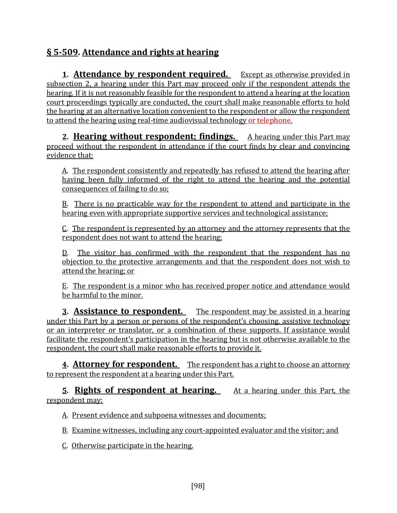# **§ 5-509. Attendance and rights at hearing**

**1. Attendance by respondent required.** Except as otherwise provided in subsection 2, a hearing under this Part may proceed only if the respondent attends the hearing. If it is not reasonably feasible for the respondent to attend a hearing at the location court proceedings typically are conducted, the court shall make reasonable efforts to hold the hearing at an alternative location convenient to the respondent or allow the respondent to attend the hearing using real-time audiovisual technology or telephone.

**2. Hearing without respondent; findings.** A hearing under this Part may proceed without the respondent in attendance if the court finds by clear and convincing evidence that:

A. The respondent consistently and repeatedly has refused to attend the hearing after having been fully informed of the right to attend the hearing and the potential consequences of failing to do so;

B. There is no practicable way for the respondent to attend and participate in the hearing even with appropriate supportive services and technological assistance;

C. The respondent is represented by an attorney and the attorney represents that the respondent does not want to attend the hearing;

D. The visitor has confirmed with the respondent that the respondent has no objection to the protective arrangements and that the respondent does not wish to attend the hearing; or

E. The respondent is a minor who has received proper notice and attendance would be harmful to the minor.

**3. Assistance to respondent.** The respondent may be assisted in a hearing under this Part by a person or persons of the respondent's choosing, assistive technology or an interpreter or translator, or a combination of these supports. If assistance would facilitate the respondent's participation in the hearing but is not otherwise available to the respondent, the court shall make reasonable efforts to provide it.

**4. Attorney for respondent.** The respondent has a right to choose an attorney to represent the respondent at a hearing under this Part.

**5. Rights of respondent at hearing.** At a hearing under this Part, the respondent may:

A. Present evidence and subpoena witnesses and documents;

B. Examine witnesses, including any court-appointed evaluator and the visitor; and

C. Otherwise participate in the hearing.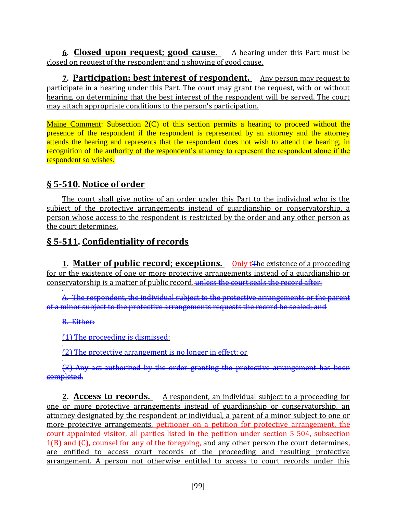**6. Closed upon request; good cause.** A hearing under this Part must be closed on request of the respondent and a showing of good cause.

**7. Participation; best interest of respondent.** Any person may request to participate in a hearing under this Part. The court may grant the request, with or without hearing, on determining that the best interest of the respondent will be served. The court may attach appropriate conditions to the person's participation.

Maine Comment: Subsection 2(C) of this section permits a hearing to proceed without the presence of the respondent if the respondent is represented by an attorney and the attorney attends the hearing and represents that the respondent does not wish to attend the hearing, in recognition of the authority of the respondent's attorney to represent the respondent alone if the respondent so wishes.

## **§ 5-510. Notice of order**

The court shall give notice of an order under this Part to the individual who is the subject of the protective arrangements instead of guardianship or conservatorship, a person whose access to the respondent is restricted by the order and any other person as the court determines.

## **§ 5-511. Confidentiality of records**

**1. Matter of public record; exceptions.** Only t<sub>The existence of a proceeding</sub> for or the existence of one or more protective arrangements instead of a guardianship or conservatorship is a matter of public record. unless the court seals the record after:

A. The respondent, the individual subject to the protective arrangements or the parent of a minor subject to the protective arrangements requests the record be sealed; and

B. Either:

(1) The proceeding is dismissed;

(2) The protective arrangement is no longer in effect; or

(3) Any act authorized by the order granting the protective arrangement has been completed.

**2. Access to records.** A respondent, an individual subject to a proceeding for one or more protective arrangements instead of guardianship or conservatorship, an attorney designated by the respondent or individual, a parent of a minor subject to one or more protective arrangements, petitioner on a petition for protective arrangement, the court appointed visitor, all parties listed in the petition under section 5-504, subsection 1(B) and (C), counsel for any of the foregoing, and any other person the court determines, are entitled to access court records of the proceeding and resulting protective arrangement. A person not otherwise entitled to access to court records under this